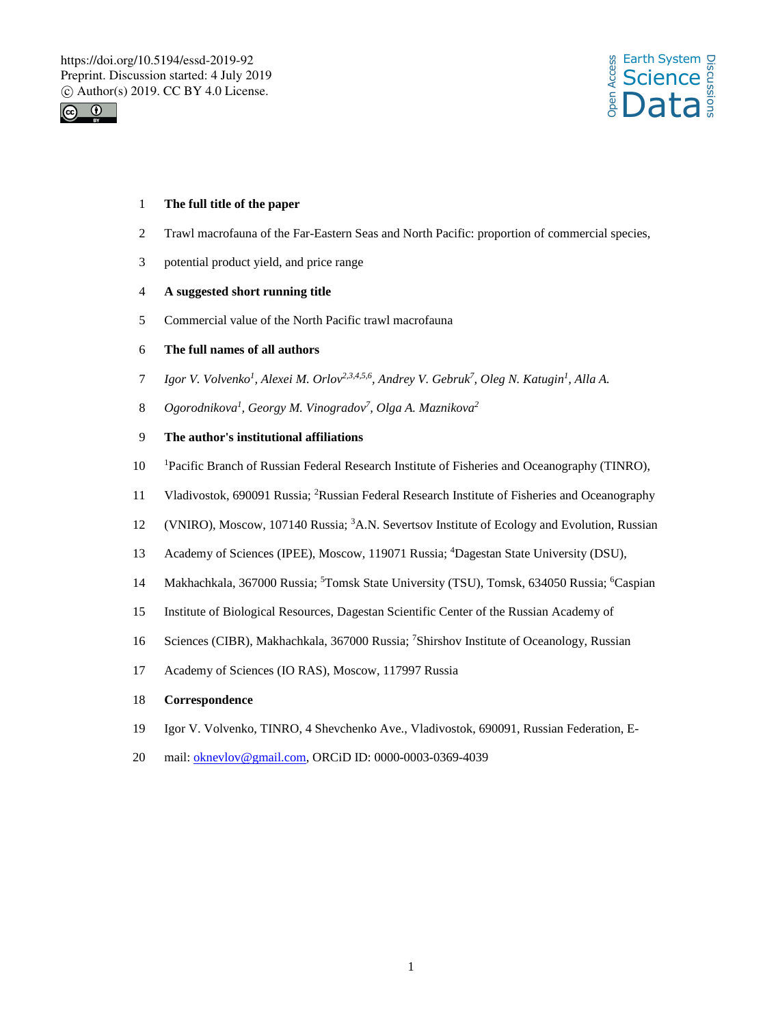



### 1 **The full title of the paper**

- 2 Trawl macrofauna of the Far-Eastern Seas and North Pacific: proportion of commercial species,
- 3 potential product yield, and price range

# 4 **A suggested short running title**

5 Commercial value of the North Pacific trawl macrofauna

## 6 **The full names of all authors**

- *Igor V. Volvenko<sup>1</sup> , Alexei M. Orlov2,3,4,5,6, Andrey V. Gebruk7 , Oleg N. Katugin<sup>1</sup>* 7 *, Alla A.*
- *Ogorodnikova<sup>1</sup> , Georgy M. Vinogradov7 , Olga A. Maznikova<sup>2</sup>* 8
- 9 **The author's institutional affiliations**
- 10 Pacific Branch of Russian Federal Research Institute of Fisheries and Oceanography (TINRO),
- 11 Vladivostok, 690091 Russia; <sup>2</sup> Russian Federal Research Institute of Fisheries and Oceanography
- 12 (VNIRO), Moscow, 107140 Russia; <sup>3</sup>A.N. Severtsov Institute of Ecology and Evolution, Russian
- 13 Academy of Sciences (IPEE), Moscow, 119071 Russia; <sup>4</sup>Dagestan State University (DSU),
- 14 Makhachkala, 367000 Russia; <sup>5</sup>Tomsk State University (TSU), Tomsk, 634050 Russia; <sup>6</sup>Caspian
- 15 Institute of Biological Resources, Dagestan Scientific Center of the Russian Academy of
- 16 Sciences (CIBR), Makhachkala, 367000 Russia; <sup>7</sup>Shirshov Institute of Oceanology, Russian
- 17 Academy of Sciences (IO RAS), Moscow, 117997 Russia

### 18 **Correspondence**

- 19 Igor V. Volvenko, TINRO, 4 Shevchenko Ave., Vladivostok, 690091, Russian Federation, E-
- 20 mail: oknevlov@gmail.com, ORCiD ID: 0000-0003-0369-4039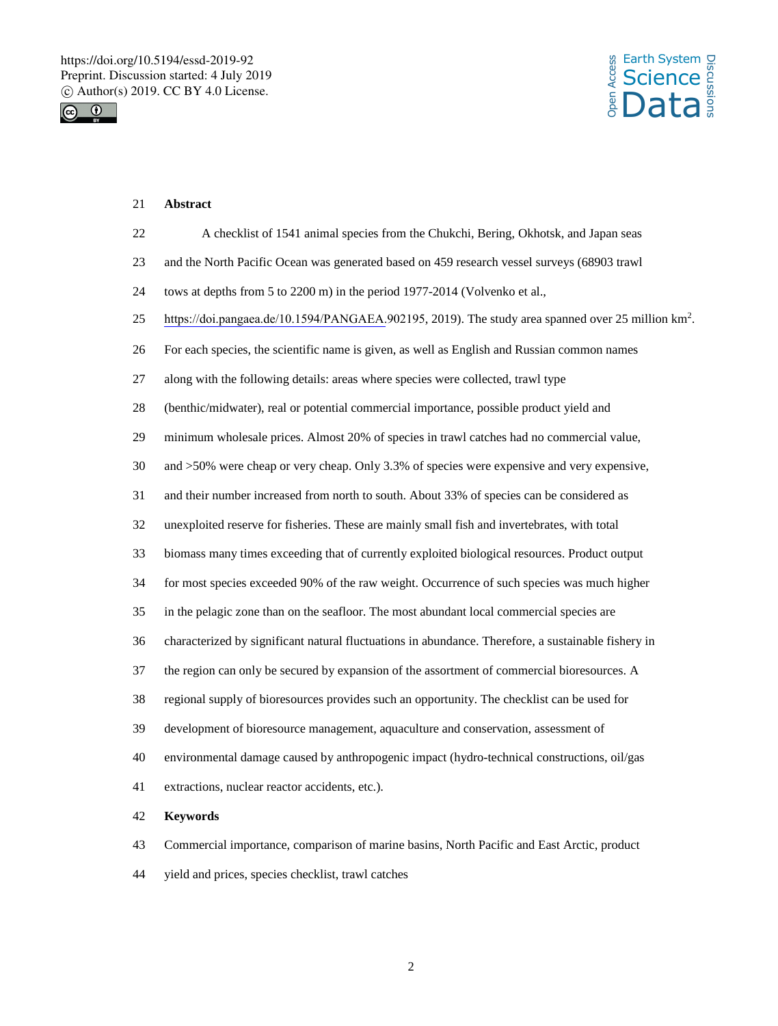



### 21 **Abstract**

- 22 A checklist of 1541 animal species from the Chukchi, Bering, Okhotsk, and Japan seas
- 23 and the North Pacific Ocean was generated based on 459 research vessel surveys (68903 trawl
- 24 tows at depths from 5 to 2200 m) in the period 1977-2014 (Volvenko et al.,
- 25 https://doi.pangaea.de/10.1594/PANGAEA.902195, 2019). The study area spanned over 25 million km<sup>2</sup>.
- 26 For each species, the scientific name is given, as well as English and Russian common names
- 27 along with the following details: areas where species were collected, trawl type
- 28 (benthic/midwater), real or potential commercial importance, possible product yield and
- 29 minimum wholesale prices. Almost 20% of species in trawl catches had no commercial value,
- 30 and >50% were cheap or very cheap. Only 3.3% of species were expensive and very expensive,
- 31 and their number increased from north to south. About 33% of species can be considered as
- 32 unexploited reserve for fisheries. These are mainly small fish and invertebrates, with total
- 33 biomass many times exceeding that of currently exploited biological resources. Product output
- 34 for most species exceeded 90% of the raw weight. Occurrence of such species was much higher
- 35 in the pelagic zone than on the seafloor. The most abundant local commercial species are
- 36 characterized by significant natural fluctuations in abundance. Therefore, a sustainable fishery in
- 37 the region can only be secured by expansion of the assortment of commercial bioresources. A
- 38 regional supply of bioresources provides such an opportunity. The checklist can be used for
- 39 development of bioresource management, aquaculture and conservation, assessment of
- 40 environmental damage caused by anthropogenic impact (hydro-technical constructions, oil/gas
- 41 extractions, nuclear reactor accidents, etc.).

#### 42 **Keywords**

- 43 Commercial importance, comparison of marine basins, North Pacific and East Arctic, product
- 44 yield and prices, species checklist, trawl catches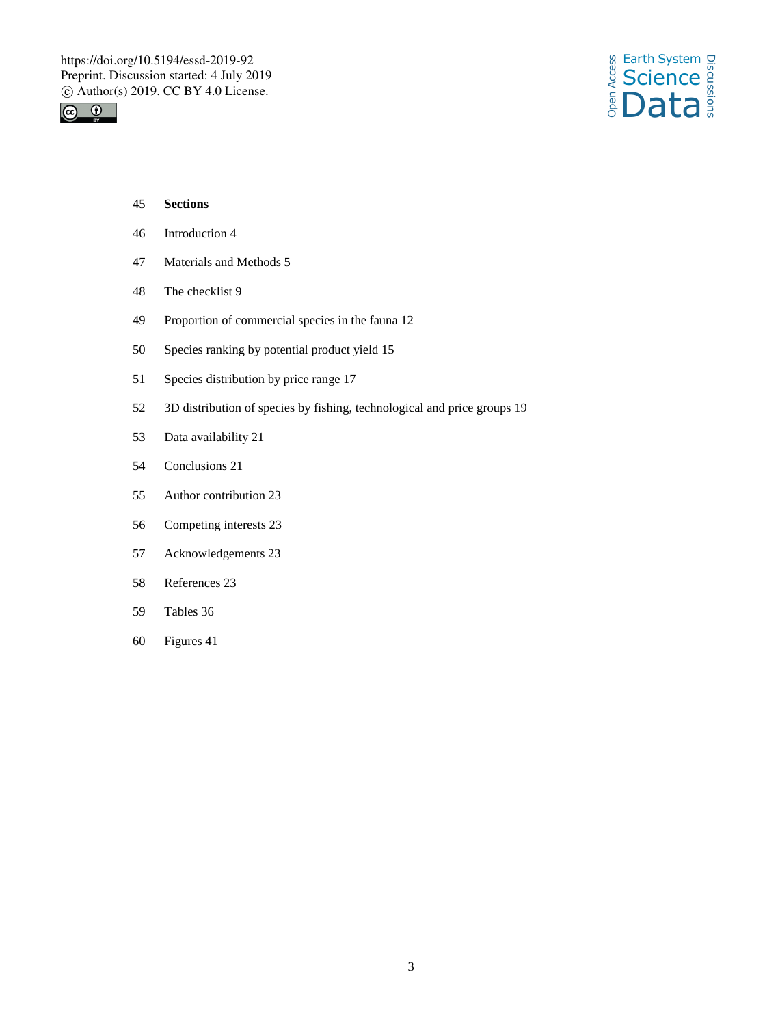



- **Sections**
- Introduction 4
- Materials and Methods 5
- The checklist 9
- Proportion of commercial species in the fauna 12
- Species ranking by potential product yield 15
- Species distribution by price range 17
- 3D distribution of species by fishing, technological and price groups 19
- Data availability 21
- Conclusions 21
- Author contribution 23
- Competing interests 23
- Acknowledgements 23
- References 23
- Tables 36
- Figures 41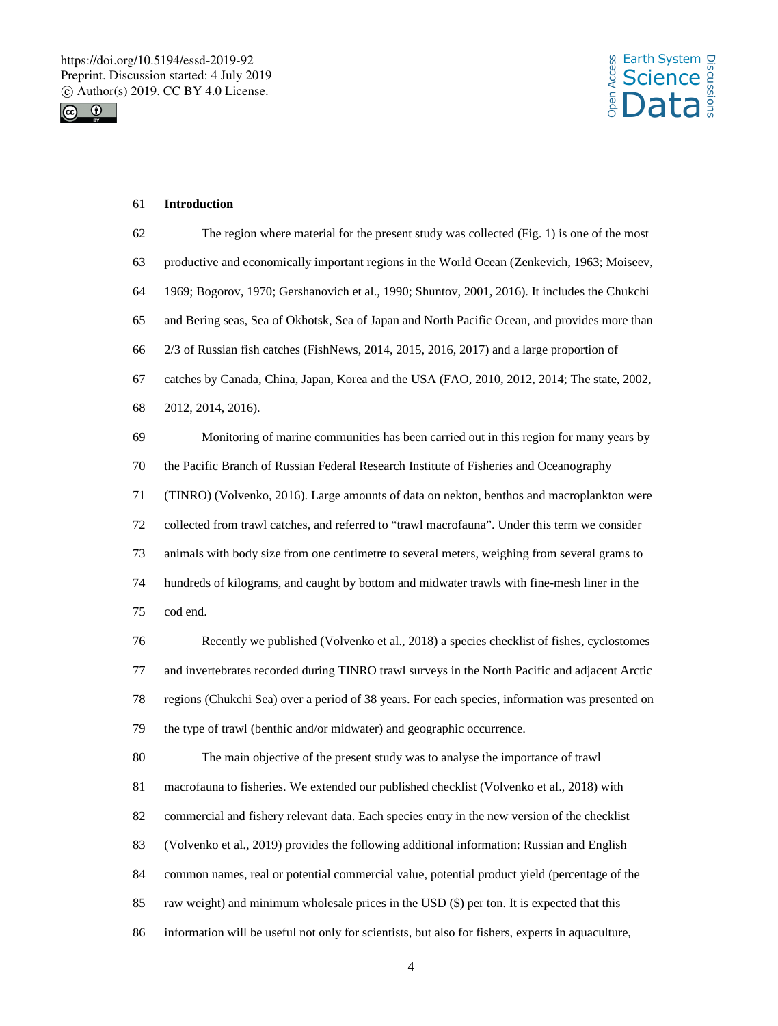



### **Introduction**

 The region where material for the present study was collected (Fig. 1) is one of the most productive and economically important regions in the World Ocean (Zenkevich, 1963; Moiseev, 1969; Bogorov, 1970; Gershanovich et al., 1990; Shuntov, 2001, 2016). It includes the Chukchi and Bering seas, Sea of Okhotsk, Sea of Japan and North Pacific Ocean, and provides more than 2/3 of Russian fish catches (FishNews, 2014, 2015, 2016, 2017) and a large proportion of catches by Canada, China, Japan, Korea and the USA (FAO, 2010, 2012, 2014; The state, 2002, 2012, 2014, 2016). Monitoring of marine communities has been carried out in this region for many years by the Pacific Branch of Russian Federal Research Institute of Fisheries and Oceanography (TINRO) (Volvenko, 2016). Large amounts of data on nekton, benthos and macroplankton were collected from trawl catches, and referred to "trawl macrofauna". Under this term we consider animals with body size from one centimetre to several meters, weighing from several grams to hundreds of kilograms, and caught by bottom and midwater trawls with fine-mesh liner in the cod end.

 Recently we published (Volvenko et al., 2018) a species checklist of fishes, cyclostomes and invertebrates recorded during TINRO trawl surveys in the North Pacific and adjacent Arctic regions (Chukchi Sea) over a period of 38 years. For each species, information was presented on the type of trawl (benthic and/or midwater) and geographic occurrence.

 The main objective of the present study was to analyse the importance of trawl macrofauna to fisheries. We extended our published checklist (Volvenko et al., 2018) with commercial and fishery relevant data. Each species entry in the new version of the checklist (Volvenko et al., 2019) provides the following additional information: Russian and English common names, real or potential commercial value, potential product yield (percentage of the raw weight) and minimum wholesale prices in the USD (\$) per ton. It is expected that this

information will be useful not only for scientists, but also for fishers, experts in aquaculture,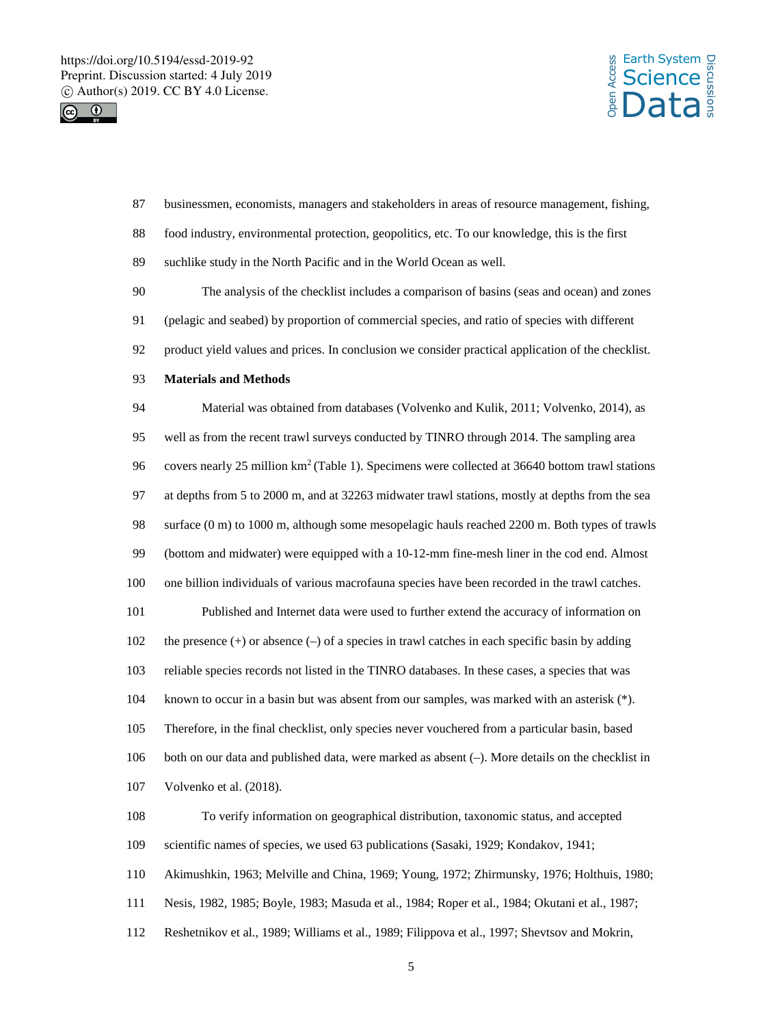



 businessmen, economists, managers and stakeholders in areas of resource management, fishing, food industry, environmental protection, geopolitics, etc. To our knowledge, this is the first suchlike study in the North Pacific and in the World Ocean as well. The analysis of the checklist includes a comparison of basins (seas and ocean) and zones (pelagic and seabed) by proportion of commercial species, and ratio of species with different product yield values and prices. In conclusion we consider practical application of the checklist. **Materials and Methods** Material was obtained from databases (Volvenko and Kulik, 2011; Volvenko, 2014), as well as from the recent trawl surveys conducted by TINRO through 2014. The sampling area 96 covers nearly 25 million  $km^2$  (Table 1). Specimens were collected at 36640 bottom trawl stations at depths from 5 to 2000 m, and at 32263 midwater trawl stations, mostly at depths from the sea surface (0 m) to 1000 m, although some mesopelagic hauls reached 2200 m. Both types of trawls (bottom and midwater) were equipped with a 10-12-mm fine-mesh liner in the cod end. Almost one billion individuals of various macrofauna species have been recorded in the trawl catches. Published and Internet data were used to further extend the accuracy of information on 102 the presence (+) or absence (-) of a species in trawl catches in each specific basin by adding reliable species records not listed in the TINRO databases. In these cases, a species that was known to occur in a basin but was absent from our samples, was marked with an asterisk (\*). Therefore, in the final checklist, only species never vouchered from a particular basin, based both on our data and published data, were marked as absent (–). More details on the checklist in Volvenko et al. (2018). To verify information on geographical distribution, taxonomic status, and accepted scientific names of species, we used 63 publications (Sasaki, 1929; Kondakov, 1941; Akimushkin, 1963; Melville and China, 1969; Young, 1972; Zhirmunsky, 1976; Holthuis, 1980; Nesis, 1982, 1985; Boyle, 1983; Masuda et al., 1984; Roper et al., 1984; Okutani et al., 1987; Reshetnikov et al., 1989; Williams et al., 1989; Filippova et al., 1997; Shevtsov and Mokrin,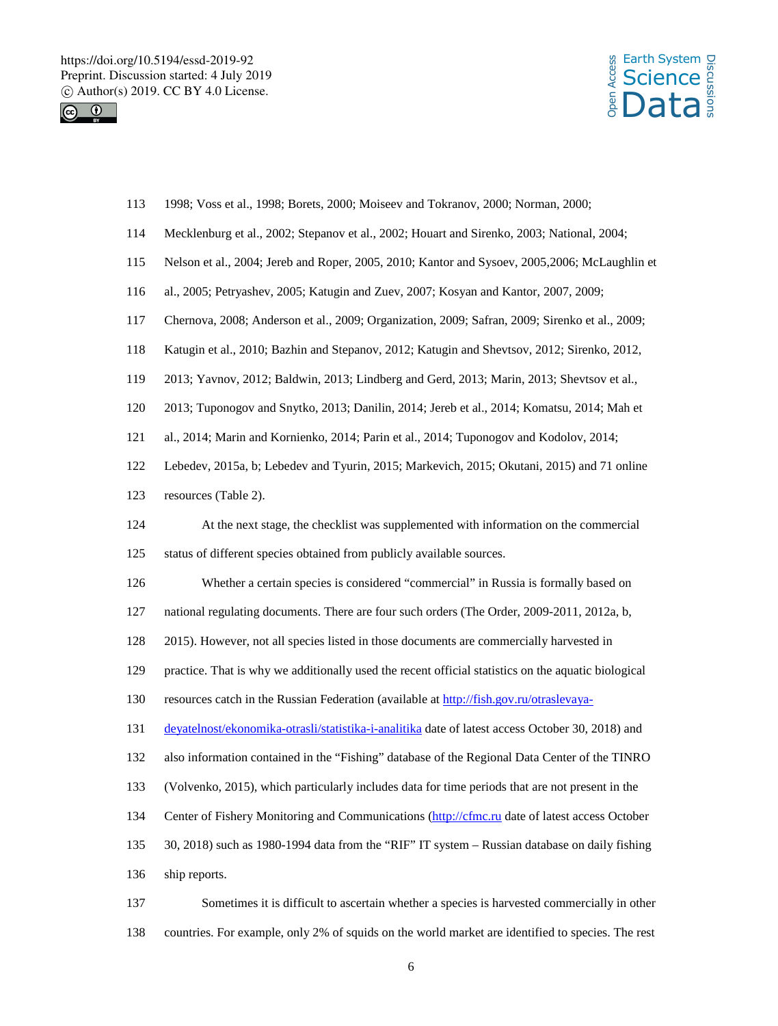



| 113 | 1998; Voss et al., 1998; Borets, 2000; Moiseev and Tokranov, 2000; Norman, 2000;                    |
|-----|-----------------------------------------------------------------------------------------------------|
| 114 | Mecklenburg et al., 2002; Stepanov et al., 2002; Houart and Sirenko, 2003; National, 2004;          |
| 115 | Nelson et al., 2004; Jereb and Roper, 2005, 2010; Kantor and Sysoev, 2005, 2006; McLaughlin et      |
| 116 | al., 2005; Petryashev, 2005; Katugin and Zuev, 2007; Kosyan and Kantor, 2007, 2009;                 |
| 117 | Chernova, 2008; Anderson et al., 2009; Organization, 2009; Safran, 2009; Sirenko et al., 2009;      |
| 118 | Katugin et al., 2010; Bazhin and Stepanov, 2012; Katugin and Shevtsov, 2012; Sirenko, 2012,         |
| 119 | 2013; Yavnov, 2012; Baldwin, 2013; Lindberg and Gerd, 2013; Marin, 2013; Shevtsov et al.,           |
| 120 | 2013; Tuponogov and Snytko, 2013; Danilin, 2014; Jereb et al., 2014; Komatsu, 2014; Mah et          |
| 121 | al., 2014; Marin and Kornienko, 2014; Parin et al., 2014; Tuponogov and Kodolov, 2014;              |
| 122 | Lebedev, 2015a, b; Lebedev and Tyurin, 2015; Markevich, 2015; Okutani, 2015) and 71 online          |
| 123 | resources (Table 2).                                                                                |
| 124 | At the next stage, the checklist was supplemented with information on the commercial                |
| 125 | status of different species obtained from publicly available sources.                               |
| 126 | Whether a certain species is considered "commercial" in Russia is formally based on                 |
| 127 | national regulating documents. There are four such orders (The Order, 2009-2011, 2012a, b,          |
| 128 | 2015). However, not all species listed in those documents are commercially harvested in             |
| 129 | practice. That is why we additionally used the recent official statistics on the aquatic biological |
| 130 | resources catch in the Russian Federation (available at http://fish.gov.ru/otraslevaya-             |
| 131 | devatelnost/ekonomika-otrasli/statistika-i-analitika date of latest access October 30, 2018) and    |
| 132 | also information contained in the "Fishing" database of the Regional Data Center of the TINRO       |
| 133 | (Volvenko, 2015), which particularly includes data for time periods that are not present in the     |
| 134 | Center of Fishery Monitoring and Communications (http://cfmc.ru date of latest access October       |
| 135 | 30, 2018) such as 1980-1994 data from the "RIF" IT system - Russian database on daily fishing       |
| 136 | ship reports.                                                                                       |
| 137 | Sometimes it is difficult to ascertain whether a species is harvested commercially in other         |

countries. For example, only 2% of squids on the world market are identified to species. The rest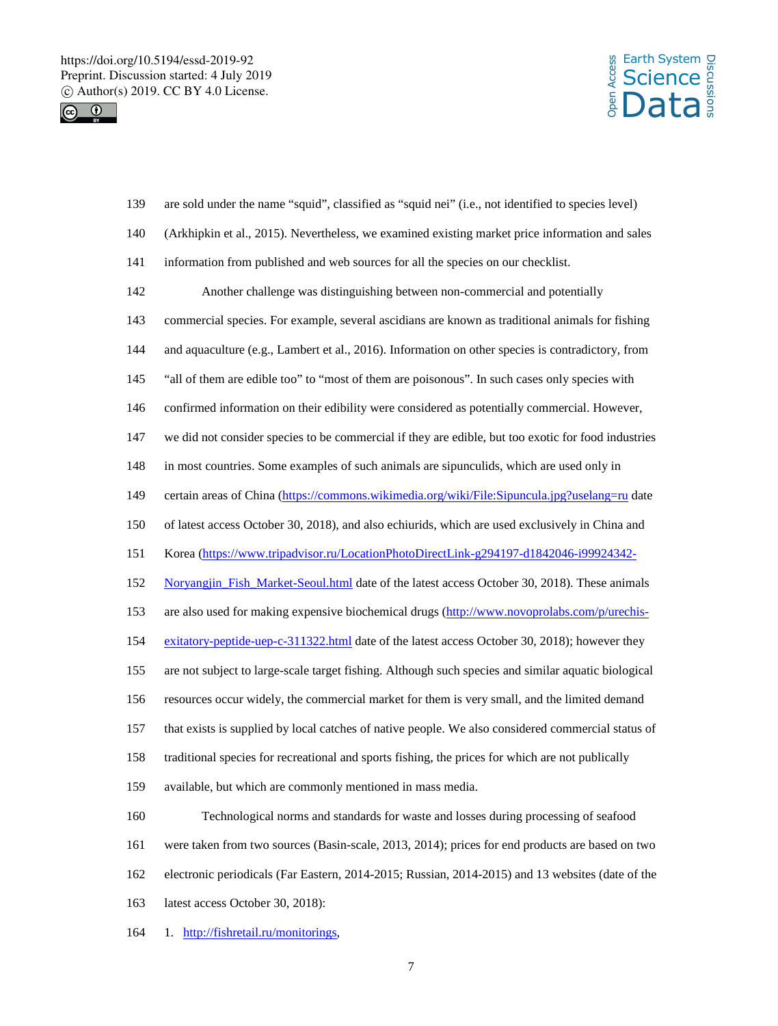



| 139 | are sold under the name "squid", classified as "squid nei" (i.e., not identified to species level)  |
|-----|-----------------------------------------------------------------------------------------------------|
| 140 | (Arkhipkin et al., 2015). Nevertheless, we examined existing market price information and sales     |
| 141 | information from published and web sources for all the species on our checklist.                    |
| 142 | Another challenge was distinguishing between non-commercial and potentially                         |
| 143 | commercial species. For example, several ascidians are known as traditional animals for fishing     |
| 144 | and aquaculture (e.g., Lambert et al., 2016). Information on other species is contradictory, from   |
| 145 | "all of them are edible too" to "most of them are poisonous". In such cases only species with       |
| 146 | confirmed information on their edibility were considered as potentially commercial. However,        |
| 147 | we did not consider species to be commercial if they are edible, but too exotic for food industries |
| 148 | in most countries. Some examples of such animals are sipunculids, which are used only in            |
| 149 | certain areas of China (https://commons.wikimedia.org/wiki/File:Sipuncula.jpg?uselang=ru date       |
| 150 | of latest access October 30, 2018), and also echiurids, which are used exclusively in China and     |
| 151 | Korea (https://www.tripadvisor.ru/LocationPhotoDirectLink-g294197-d1842046-i99924342-               |
| 152 | Noryangjin_Fish_Market-Seoul.html date of the latest access October 30, 2018). These animals        |
| 153 | are also used for making expensive biochemical drugs (http://www.novoprolabs.com/p/urechis-         |
| 154 | exitatory-peptide-uep-c-311322.html date of the latest access October 30, 2018); however they       |
| 155 | are not subject to large-scale target fishing. Although such species and similar aquatic biological |
| 156 | resources occur widely, the commercial market for them is very small, and the limited demand        |
| 157 | that exists is supplied by local catches of native people. We also considered commercial status of  |
| 158 | traditional species for recreational and sports fishing, the prices for which are not publically    |
| 159 | available, but which are commonly mentioned in mass media.                                          |
| 160 | Technological norms and standards for waste and losses during processing of seafood                 |
| 161 | were taken from two sources (Basin-scale, 2013, 2014); prices for end products are based on two     |
| 162 | electronic periodicals (Far Eastern, 2014-2015; Russian, 2014-2015) and 13 websites (date of the    |
| 163 | latest access October 30, 2018):                                                                    |
| 164 | 1. http://fishretail.ru/monitorings,                                                                |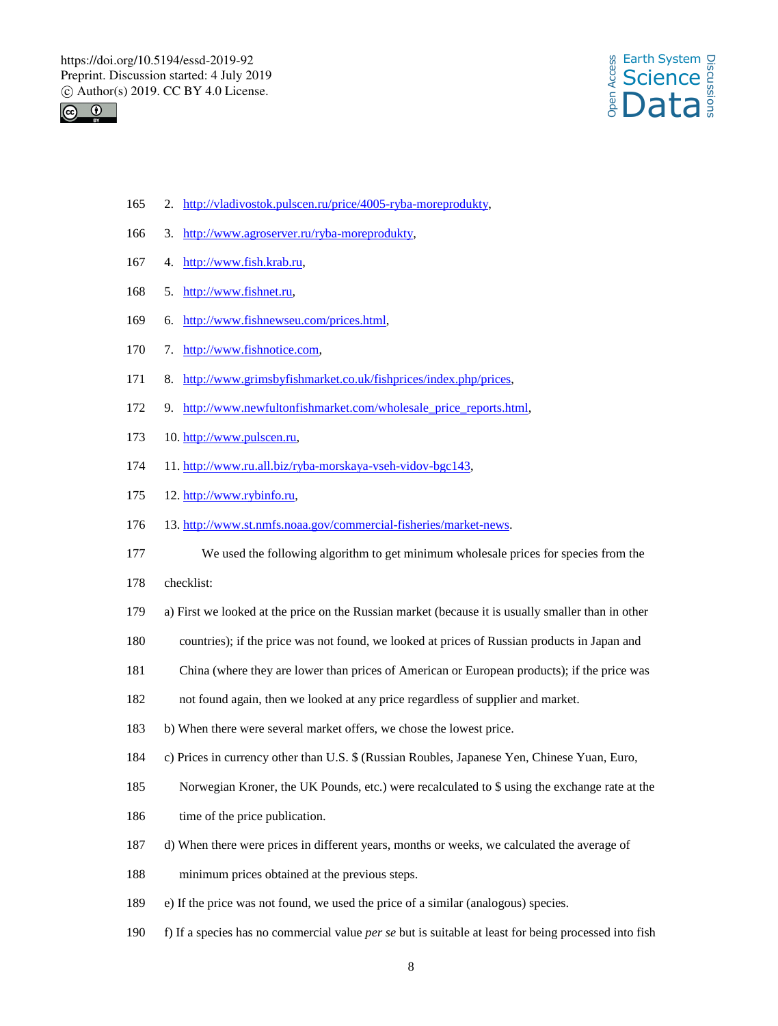



- 2. http://vladivostok.pulscen.ru/price/4005-ryba-moreprodukty,
- 3. http://www.agroserver.ru/ryba-moreprodukty,
- 4. http://www.fish.krab.ru,
- 5. http://www.fishnet.ru,
- 6. http://www.fishnewseu.com/prices.html,
- 7. http://www.fishnotice.com,
- 8. http://www.grimsbyfishmarket.co.uk/fishprices/index.php/prices,
- 172 9. http://www.newfultonfishmarket.com/wholesale\_price\_reports.html,
- 10. http://www.pulscen.ru,
- 11. http://www.ru.all.biz/ryba-morskaya-vseh-vidov-bgc143,
- 12. http://www.rybinfo.ru,
- 13. http://www.st.nmfs.noaa.gov/commercial-fisheries/market-news.
- We used the following algorithm to get minimum wholesale prices for species from the
- checklist:
- a) First we looked at the price on the Russian market (because it is usually smaller than in other
- countries); if the price was not found, we looked at prices of Russian products in Japan and
- China (where they are lower than prices of American or European products); if the price was
- not found again, then we looked at any price regardless of supplier and market.
- b) When there were several market offers, we chose the lowest price.
- c) Prices in currency other than U.S. \$ (Russian Roubles, Japanese Yen, Chinese Yuan, Euro,
- Norwegian Kroner, the UK Pounds, etc.) were recalculated to \$ using the exchange rate at the
- 186 time of the price publication.
- d) When there were prices in different years, months or weeks, we calculated the average of
- minimum prices obtained at the previous steps.
- e) If the price was not found, we used the price of a similar (analogous) species.
- f) If a species has no commercial value *per se* but is suitable at least for being processed into fish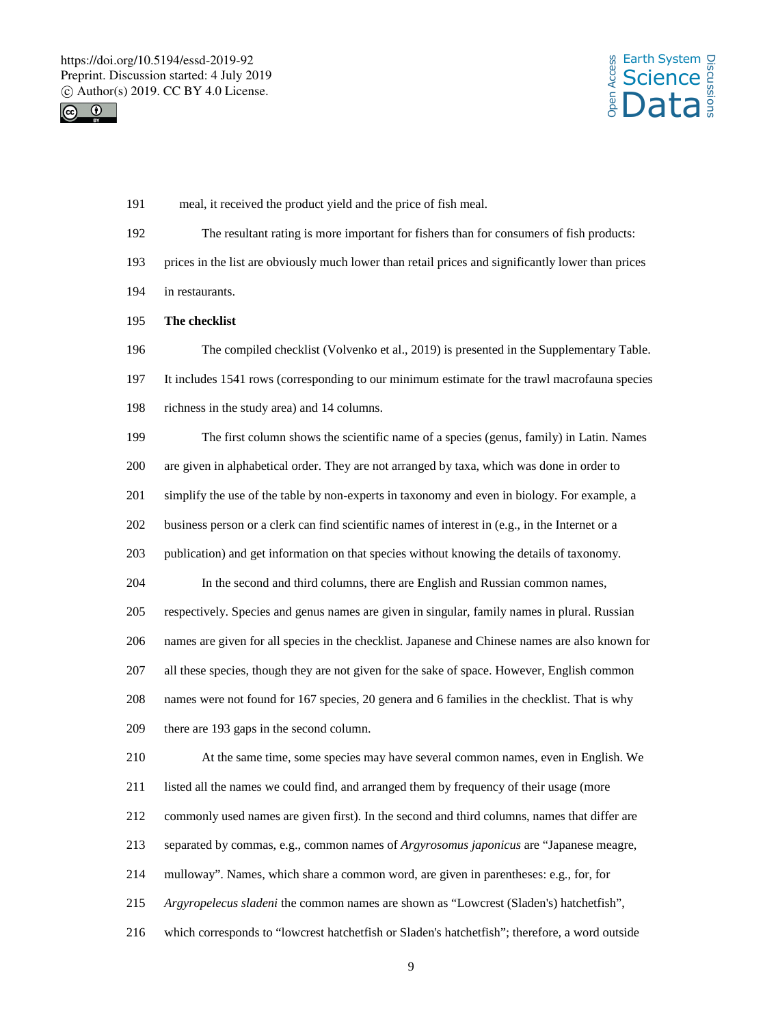



- meal, it received the product yield and the price of fish meal.
- The resultant rating is more important for fishers than for consumers of fish products:
- prices in the list are obviously much lower than retail prices and significantly lower than prices
- in restaurants.
- **The checklist**

The compiled checklist (Volvenko et al., 2019) is presented in the Supplementary Table.

It includes 1541 rows (corresponding to our minimum estimate for the trawl macrofauna species

richness in the study area) and 14 columns.

 The first column shows the scientific name of a species (genus, family) in Latin. Names are given in alphabetical order. They are not arranged by taxa, which was done in order to simplify the use of the table by non-experts in taxonomy and even in biology. For example, a business person or a clerk can find scientific names of interest in (e.g., in the Internet or a publication) and get information on that species without knowing the details of taxonomy. In the second and third columns, there are English and Russian common names, respectively. Species and genus names are given in singular, family names in plural. Russian names are given for all species in the checklist. Japanese and Chinese names are also known for all these species, though they are not given for the sake of space. However, English common names were not found for 167 species, 20 genera and 6 families in the checklist. That is why there are 193 gaps in the second column. At the same time, some species may have several common names, even in English. We listed all the names we could find, and arranged them by frequency of their usage (more commonly used names are given first). In the second and third columns, names that differ are separated by commas, e.g., common names of *Argyrosomus japonicus* are "Japanese meagre, mulloway". Names, which share a common word, are given in parentheses: e.g., for, for *Argyropelecus sladeni* the common names are shown as "Lowcrest (Sladen's) hatchetfish", which corresponds to "lowcrest hatchetfish or Sladen's hatchetfish"; therefore, a word outside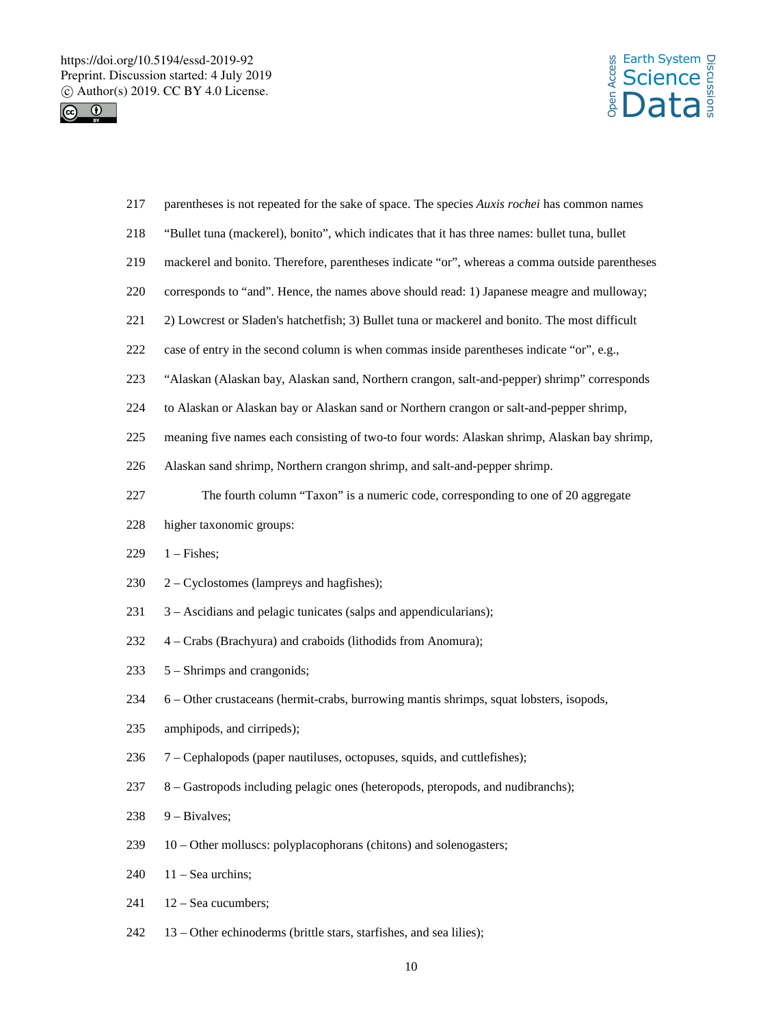https://doi.org/10.5194/essd-2019-92 Preprint. Discussion started: 4 July 2019  $\circledcirc$  Author(s) 2019. CC BY 4.0 License.<br>  $\circledcirc$ 





| 217 | parentheses is not repeated for the sake of space. The species Auxis rochei has common names   |
|-----|------------------------------------------------------------------------------------------------|
| 218 | "Bullet tuna (mackerel), bonito", which indicates that it has three names: bullet tuna, bullet |
| 219 | mackerel and bonito. Therefore, parentheses indicate "or", whereas a comma outside parentheses |
| 220 | corresponds to "and". Hence, the names above should read: 1) Japanese meagre and mulloway;     |
| 221 | 2) Lowcrest or Sladen's hatchetfish; 3) Bullet tuna or mackerel and bonito. The most difficult |
| 222 | case of entry in the second column is when commas inside parentheses indicate "or", e.g.,      |
| 223 | "Alaskan (Alaskan bay, Alaskan sand, Northern crangon, salt-and-pepper) shrimp" corresponds    |
| 224 | to Alaskan or Alaskan bay or Alaskan sand or Northern crangon or salt-and-pepper shrimp,       |
| 225 | meaning five names each consisting of two-to four words: Alaskan shrimp, Alaskan bay shrimp,   |
| 226 | Alaskan sand shrimp, Northern crangon shrimp, and salt-and-pepper shrimp.                      |
| 227 | The fourth column "Taxon" is a numeric code, corresponding to one of 20 aggregate              |
| 228 | higher taxonomic groups:                                                                       |
| 229 | $1 -$ Fishes;                                                                                  |
| 230 | 2 – Cyclostomes (lampreys and hagfishes);                                                      |
| 231 | 3 – Ascidians and pelagic tunicates (salps and appendicularians);                              |
| 232 | 4 – Crabs (Brachyura) and craboids (lithodids from Anomura);                                   |
| 233 | 5 – Shrimps and crangonids;                                                                    |
| 234 | 6 - Other crustaceans (hermit-crabs, burrowing mantis shrimps, squat lobsters, isopods,        |
| 235 | amphipods, and cirripeds);                                                                     |
| 236 | 7 – Cephalopods (paper nautiluses, octopuses, squids, and cuttlefishes);                       |
| 237 | 8 – Gastropods including pelagic ones (heteropods, pteropods, and nudibranchs);                |
| 238 | $9$ – Bivalves;                                                                                |
| 239 | 10 – Other molluscs: polyplacophorans (chitons) and solenogasters;                             |
| 240 | $11 -$ Sea urchins;                                                                            |
| 241 | 12 - Sea cucumbers;                                                                            |
| 242 | 13 – Other echinoderms (brittle stars, starfishes, and sea lilies);                            |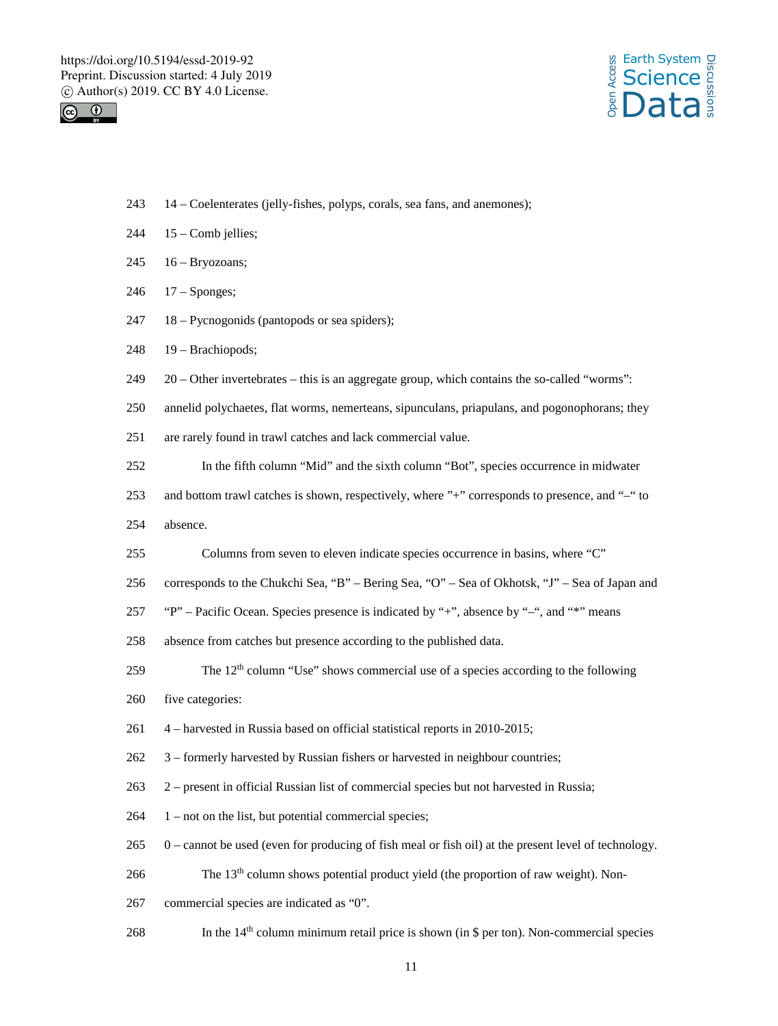



- 14 Coelenterates (jelly-fishes, polyps, corals, sea fans, and anemones);
- 15 Comb jellies;
- 16 Bryozoans;
- 17 Sponges;
- 18 Pycnogonids (pantopods or sea spiders);
- 19 Brachiopods;
- 20 Other invertebrates this is an aggregate group, which contains the so-called "worms":
- annelid polychaetes, flat worms, nemerteans, sipunculans, priapulans, and pogonophorans; they
- are rarely found in trawl catches and lack commercial value.
- In the fifth column "Mid" and the sixth column "Bot", species occurrence in midwater
- 253 and bottom trawl catches is shown, respectively, where "+" corresponds to presence, and "-" to
- absence.
- Columns from seven to eleven indicate species occurrence in basins, where "C"
- corresponds to the Chukchi Sea, "B" Bering Sea, "O" Sea of Okhotsk, "J" Sea of Japan and
- "P" Pacific Ocean. Species presence is indicated by "+", absence by "–", and "\*" means
- absence from catches but presence according to the published data.
- **column "Use"** shows commercial use of a species according to the following
- five categories:
- 4 harvested in Russia based on official statistical reports in 2010-2015;
- 3 formerly harvested by Russian fishers or harvested in neighbour countries;
- 2 present in official Russian list of commercial species but not harvested in Russia;
- 1 not on the list, but potential commercial species;
- 0 cannot be used (even for producing of fish meal or fish oil) at the present level of technology.
- **column shows potential product yield (the proportion of raw weight). Non-**
- commercial species are indicated as "0".
- 268 In the 14<sup>th</sup> column minimum retail price is shown (in \$ per ton). Non-commercial species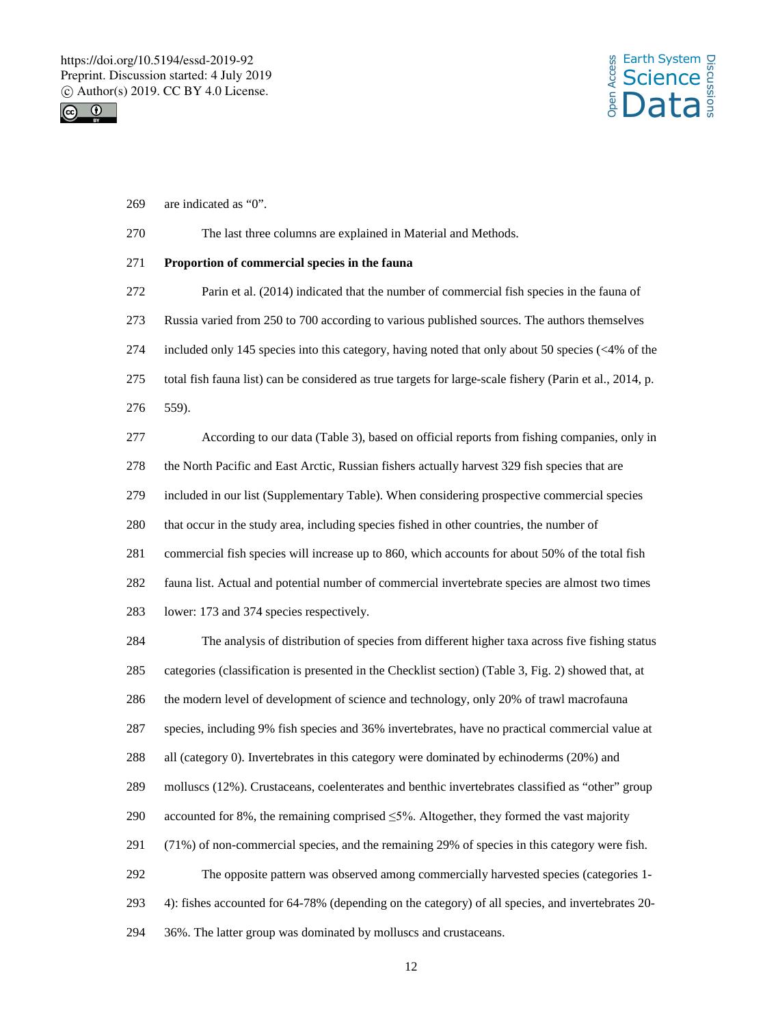



are indicated as "0".

### The last three columns are explained in Material and Methods.

### **Proportion of commercial species in the fauna**

 Parin et al. (2014) indicated that the number of commercial fish species in the fauna of Russia varied from 250 to 700 according to various published sources. The authors themselves included only 145 species into this category, having noted that only about 50 species (<4% of the total fish fauna list) can be considered as true targets for large-scale fishery (Parin et al., 2014, p. 559). According to our data (Table 3), based on official reports from fishing companies, only in

 the North Pacific and East Arctic, Russian fishers actually harvest 329 fish species that are included in our list (Supplementary Table). When considering prospective commercial species that occur in the study area, including species fished in other countries, the number of commercial fish species will increase up to 860, which accounts for about 50% of the total fish fauna list. Actual and potential number of commercial invertebrate species are almost two times lower: 173 and 374 species respectively.

 The analysis of distribution of species from different higher taxa across five fishing status categories (classification is presented in the Checklist section) (Table 3, Fig. 2) showed that, at the modern level of development of science and technology, only 20% of trawl macrofauna species, including 9% fish species and 36% invertebrates, have no practical commercial value at all (category 0). Invertebrates in this category were dominated by echinoderms (20%) and molluscs (12%). Crustaceans, coelenterates and benthic invertebrates classified as "other" group 290 accounted for 8%, the remaining comprised  $\leq 5\%$ . Altogether, they formed the vast majority (71%) of non-commercial species, and the remaining 29% of species in this category were fish. The opposite pattern was observed among commercially harvested species (categories 1- 4): fishes accounted for 64-78% (depending on the category) of all species, and invertebrates 20- 36%. The latter group was dominated by molluscs and crustaceans.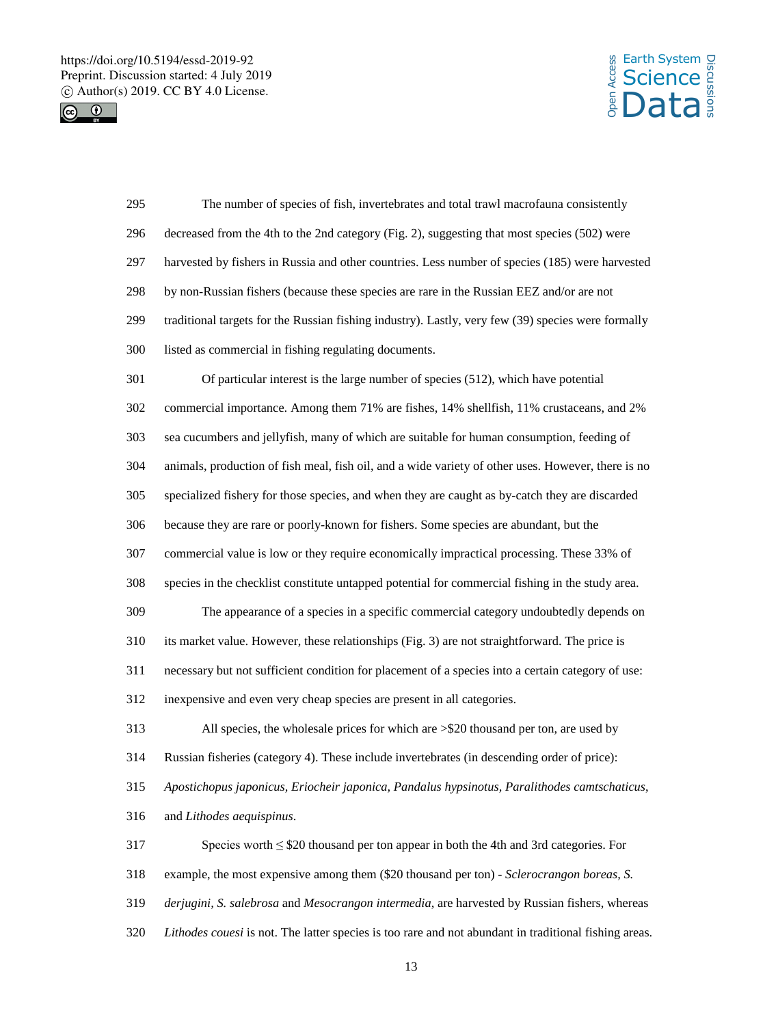https://doi.org/10.5194/essd-2019-92 Preprint. Discussion started: 4 July 2019  $\circledcirc$  Author(s) 2019. CC BY 4.0 License.<br>  $\circledcirc$ 





| 295 | The number of species of fish, invertebrates and total trawl macrofauna consistently                  |
|-----|-------------------------------------------------------------------------------------------------------|
| 296 | decreased from the 4th to the 2nd category (Fig. 2), suggesting that most species (502) were          |
| 297 | harvested by fishers in Russia and other countries. Less number of species (185) were harvested       |
| 298 | by non-Russian fishers (because these species are rare in the Russian EEZ and/or are not              |
| 299 | traditional targets for the Russian fishing industry). Lastly, very few (39) species were formally    |
| 300 | listed as commercial in fishing regulating documents.                                                 |
| 301 | Of particular interest is the large number of species (512), which have potential                     |
| 302 | commercial importance. Among them 71% are fishes, 14% shellfish, 11% crustaceans, and 2%              |
| 303 | sea cucumbers and jellyfish, many of which are suitable for human consumption, feeding of             |
| 304 | animals, production of fish meal, fish oil, and a wide variety of other uses. However, there is no    |
| 305 | specialized fishery for those species, and when they are caught as by-catch they are discarded        |
| 306 | because they are rare or poorly-known for fishers. Some species are abundant, but the                 |
| 307 | commercial value is low or they require economically impractical processing. These 33% of             |
| 308 | species in the checklist constitute untapped potential for commercial fishing in the study area.      |
| 309 | The appearance of a species in a specific commercial category undoubtedly depends on                  |
| 310 | its market value. However, these relationships (Fig. 3) are not straightforward. The price is         |
| 311 | necessary but not sufficient condition for placement of a species into a certain category of use:     |
| 312 | inexpensive and even very cheap species are present in all categories.                                |
| 313 | All species, the wholesale prices for which are >\$20 thousand per ton, are used by                   |
| 314 | Russian fisheries (category 4). These include invertebrates (in descending order of price):           |
| 315 | Apostichopus japonicus, Eriocheir japonica, Pandalus hypsinotus, Paralithodes camtschaticus,          |
| 316 | and Lithodes aequispinus.                                                                             |
| 317 | Species worth $\leq$ \$20 thousand per ton appear in both the 4th and 3rd categories. For             |
| 318 | example, the most expensive among them (\$20 thousand per ton) - Sclerocrangon boreas, S.             |
| 319 | derjugini, S. salebrosa and Mesocrangon intermedia, are harvested by Russian fishers, whereas         |
| 320 | Lithodes couesi is not. The latter species is too rare and not abundant in traditional fishing areas. |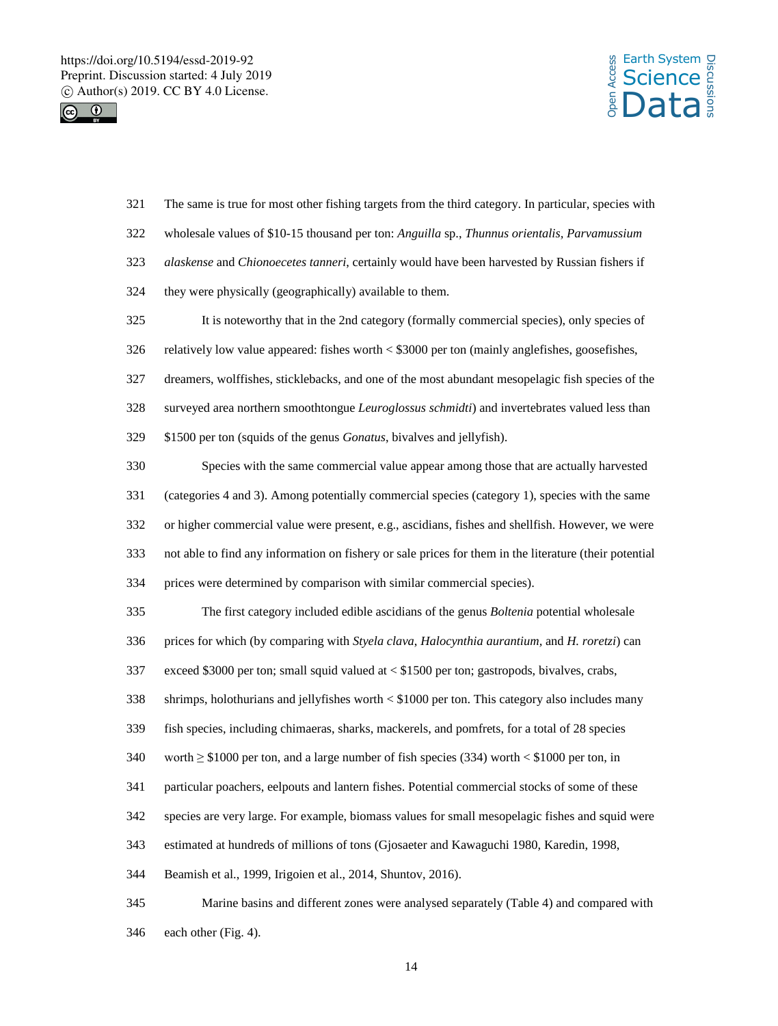



 The same is true for most other fishing targets from the third category. In particular, species with wholesale values of \$10-15 thousand per ton: *Anguilla* sp., *Thunnus orientalis, Parvamussium alaskense* and *Chionoecetes tanneri*, certainly would have been harvested by Russian fishers if they were physically (geographically) available to them. It is noteworthy that in the 2nd category (formally commercial species), only species of relatively low value appeared: fishes worth < \$3000 per ton (mainly anglefishes, goosefishes, dreamers, wolffishes, sticklebacks, and one of the most abundant mesopelagic fish species of the surveyed area northern smoothtongue *Leuroglossus schmidti*) and invertebrates valued less than \$1500 per ton (squids of the genus *Gonatus*, bivalves and jellyfish). Species with the same commercial value appear among those that are actually harvested (categories 4 and 3). Among potentially commercial species (category 1), species with the same or higher commercial value were present, e.g., ascidians, fishes and shellfish. However, we were not able to find any information on fishery or sale prices for them in the literature (their potential prices were determined by comparison with similar commercial species). The first category included edible ascidians of the genus *Boltenia* potential wholesale prices for which (by comparing with *Styela clava*, *Halocynthia aurantium,* and *H. roretzi*) can exceed \$3000 per ton; small squid valued at < \$1500 per ton; gastropods, bivalves, crabs, shrimps, holothurians and jellyfishes worth < \$1000 per ton. This category also includes many fish species, including chimaeras, sharks, mackerels, and pomfrets, for a total of 28 species worth ≥ \$1000 per ton, and a large number of fish species (334) worth < \$1000 per ton, in particular poachers, eelpouts and lantern fishes. Potential commercial stocks of some of these species are very large. For example, biomass values for small mesopelagic fishes and squid were estimated at hundreds of millions of tons (Gjosaeter and Kawaguchi 1980, Karedin, 1998, Beamish et al., 1999, Irigoien et al., 2014, Shuntov, 2016). Marine basins and different zones were analysed separately (Table 4) and compared with each other (Fig. 4).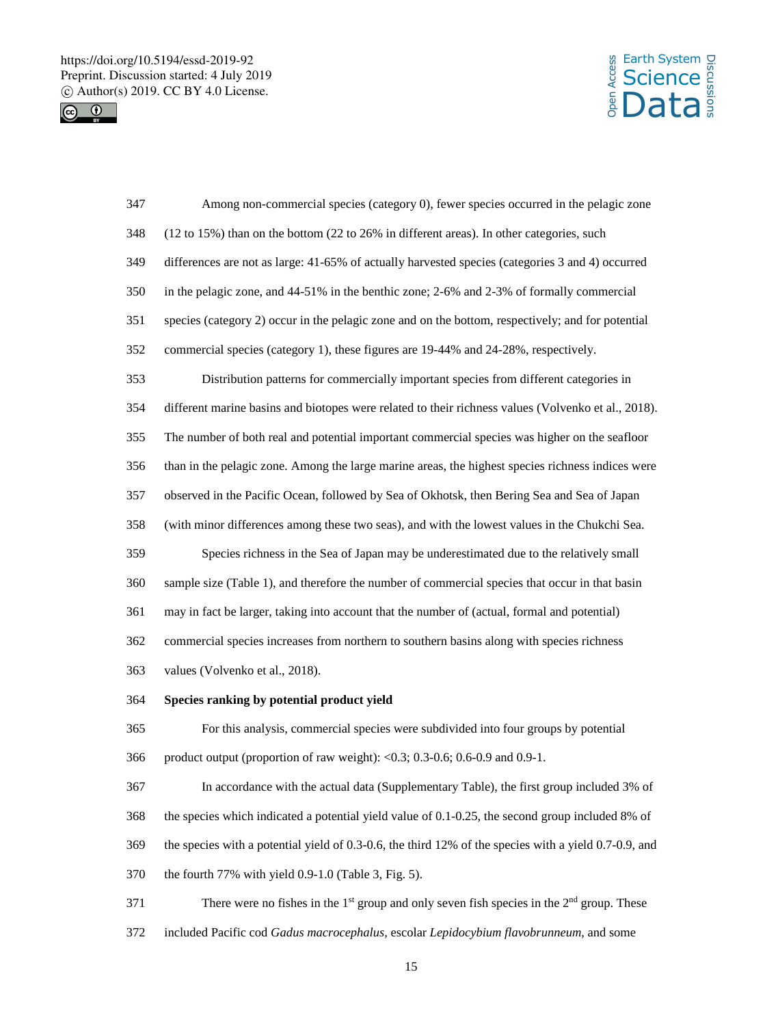



| 347 | Among non-commercial species (category 0), fewer species occurred in the pelagic zone                             |
|-----|-------------------------------------------------------------------------------------------------------------------|
| 348 | $(12 \text{ to } 15\%)$ than on the bottom $(22 \text{ to } 26\%)$ in different areas). In other categories, such |
| 349 | differences are not as large: 41-65% of actually harvested species (categories 3 and 4) occurred                  |
| 350 | in the pelagic zone, and 44-51% in the benthic zone; 2-6% and 2-3% of formally commercial                         |
| 351 | species (category 2) occur in the pelagic zone and on the bottom, respectively; and for potential                 |
| 352 | commercial species (category 1), these figures are 19-44% and 24-28%, respectively.                               |
| 353 | Distribution patterns for commercially important species from different categories in                             |
| 354 | different marine basins and biotopes were related to their richness values (Volvenko et al., 2018).               |
| 355 | The number of both real and potential important commercial species was higher on the seafloor                     |
| 356 | than in the pelagic zone. Among the large marine areas, the highest species richness indices were                 |
| 357 | observed in the Pacific Ocean, followed by Sea of Okhotsk, then Bering Sea and Sea of Japan                       |
| 358 | (with minor differences among these two seas), and with the lowest values in the Chukchi Sea.                     |
| 359 | Species richness in the Sea of Japan may be underestimated due to the relatively small                            |
| 360 | sample size (Table 1), and therefore the number of commercial species that occur in that basin                    |
| 361 | may in fact be larger, taking into account that the number of (actual, formal and potential)                      |
| 362 | commercial species increases from northern to southern basins along with species richness                         |
| 363 | values (Volvenko et al., 2018).                                                                                   |
| 364 | Species ranking by potential product yield                                                                        |
| 365 | For this analysis, commercial species were subdivided into four groups by potential                               |
| 366 | product output (proportion of raw weight): < $0.3$ ; 0.3-0.6; 0.6-0.9 and 0.9-1.                                  |
| 367 | In accordance with the actual data (Supplementary Table), the first group included 3% of                          |
| 368 | the species which indicated a potential yield value of 0.1-0.25, the second group included 8% of                  |
| 369 | the species with a potential yield of 0.3-0.6, the third 12% of the species with a yield 0.7-0.9, and             |
| 370 | the fourth 77% with yield 0.9-1.0 (Table 3, Fig. 5).                                                              |
| 371 | There were no fishes in the $1st$ group and only seven fish species in the $2nd$ group. These                     |

included Pacific cod *Gadus macrocephalus,* escolar *Lepidocybium flavobrunneum*, and some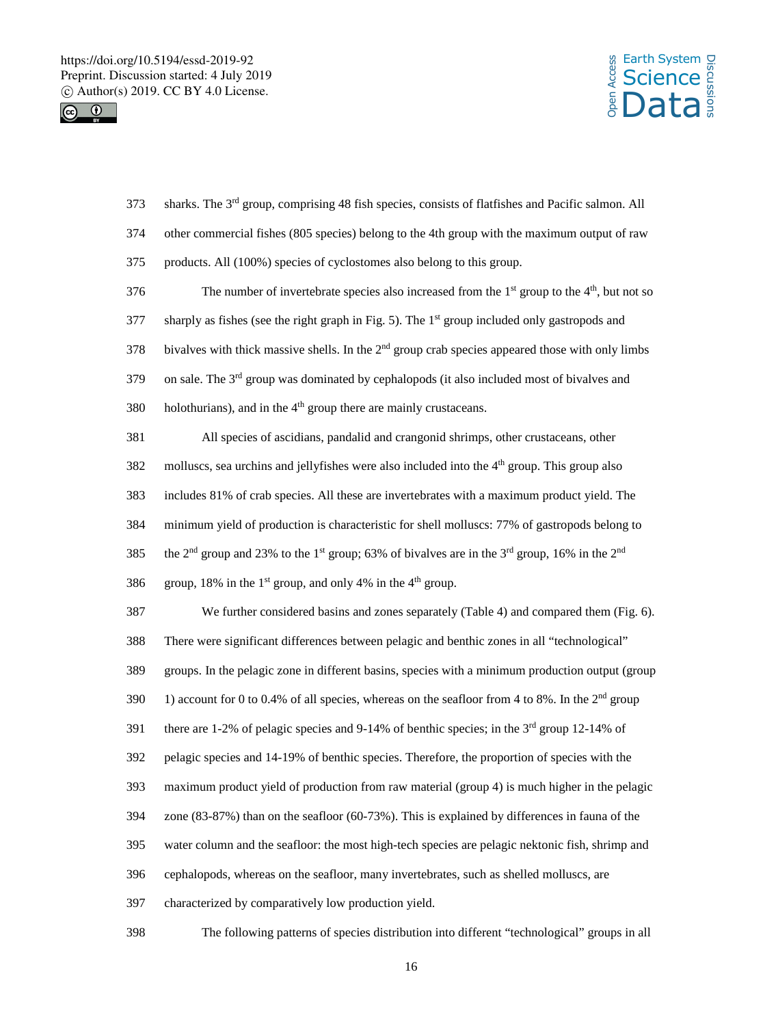



| 373 | sharks. The 3 <sup>rd</sup> group, comprising 48 fish species, consists of flatfishes and Pacific salmon. All                                |
|-----|----------------------------------------------------------------------------------------------------------------------------------------------|
| 374 | other commercial fishes (805 species) belong to the 4th group with the maximum output of raw                                                 |
| 375 | products. All (100%) species of cyclostomes also belong to this group.                                                                       |
| 376 | The number of invertebrate species also increased from the $1st$ group to the $4th$ , but not so                                             |
| 377 | sharply as fishes (see the right graph in Fig. 5). The 1 <sup>st</sup> group included only gastropods and                                    |
| 378 | bivalves with thick massive shells. In the 2 <sup>nd</sup> group crab species appeared those with only limbs                                 |
| 379 | on sale. The 3 <sup>rd</sup> group was dominated by cephalopods (it also included most of bivalves and                                       |
| 380 | holothurians), and in the 4 <sup>th</sup> group there are mainly crustaceans.                                                                |
| 381 | All species of ascidians, pandalid and crangonid shrimps, other crustaceans, other                                                           |
| 382 | molluscs, sea urchins and jellyfishes were also included into the 4 <sup>th</sup> group. This group also                                     |
| 383 | includes 81% of crab species. All these are invertebrates with a maximum product yield. The                                                  |
| 384 | minimum yield of production is characteristic for shell molluscs: 77% of gastropods belong to                                                |
| 385 | the 2 <sup>nd</sup> group and 23% to the 1 <sup>st</sup> group; 63% of bivalves are in the 3 <sup>rd</sup> group, 16% in the 2 <sup>nd</sup> |
| 386 | group, 18% in the 1 <sup>st</sup> group, and only 4% in the 4 <sup>th</sup> group.                                                           |
| 387 | We further considered basins and zones separately (Table 4) and compared them (Fig. 6).                                                      |
| 388 | There were significant differences between pelagic and benthic zones in all "technological"                                                  |
| 389 | groups. In the pelagic zone in different basins, species with a minimum production output (group                                             |
| 390 | 1) account for 0 to 0.4% of all species, whereas on the seafloor from 4 to 8%. In the $2nd$ group                                            |
| 391 | there are 1-2% of pelagic species and 9-14% of benthic species; in the $3rd$ group 12-14% of                                                 |
| 392 | pelagic species and 14-19% of benthic species. Therefore, the proportion of species with the                                                 |
| 393 | maximum product yield of production from raw material (group 4) is much higher in the pelagic                                                |
| 394 | zone $(83-87%)$ than on the seafloor $(60-73%)$ . This is explained by differences in fauna of the                                           |
| 395 | water column and the seafloor: the most high-tech species are pelagic nektonic fish, shrimp and                                              |
| 396 | cephalopods, whereas on the seafloor, many invertebrates, such as shelled molluscs, are                                                      |
| 397 | characterized by comparatively low production yield.                                                                                         |
| 398 | The following patterns of species distribution into different "technological" groups in all                                                  |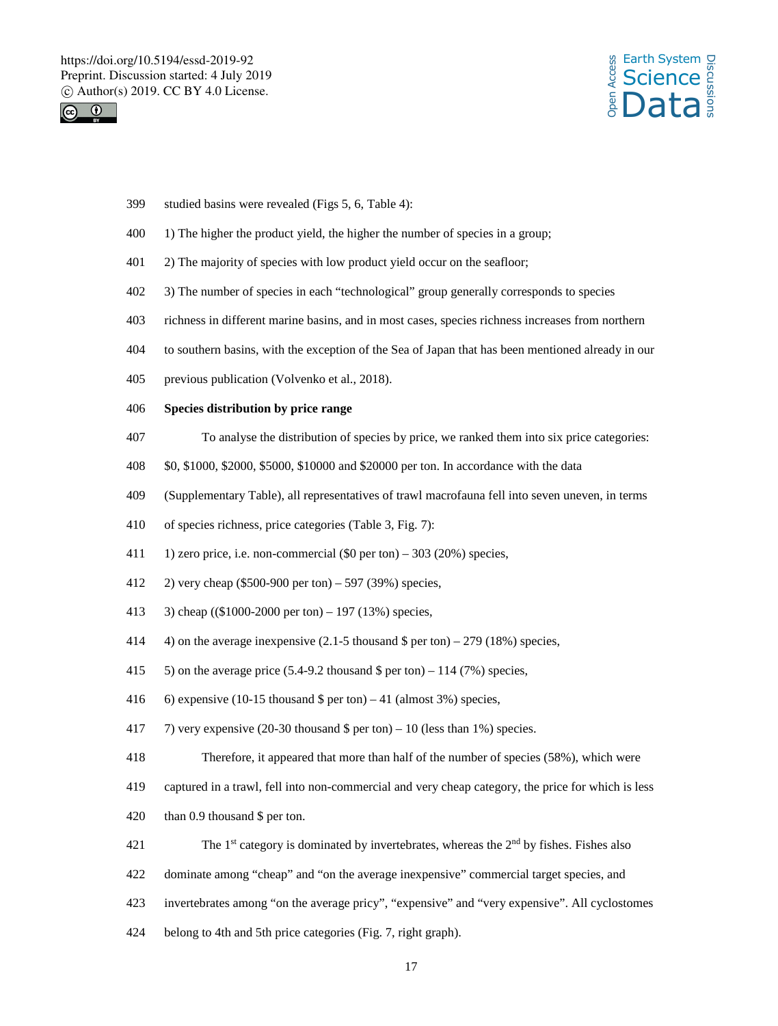



- studied basins were revealed (Figs 5, 6, Table 4):
- 1) The higher the product yield, the higher the number of species in a group;
- 401 2) The majority of species with low product yield occur on the seafloor;
- 3) The number of species in each "technological" group generally corresponds to species
- richness in different marine basins, and in most cases, species richness increases from northern
- to southern basins, with the exception of the Sea of Japan that has been mentioned already in our
- previous publication (Volvenko et al., 2018).
- **Species distribution by price range**
- To analyse the distribution of species by price, we ranked them into six price categories:
- \$0, \$1000, \$2000, \$5000, \$10000 and \$20000 per ton. In accordance with the data
- (Supplementary Table), all representatives of trawl macrofauna fell into seven uneven, in terms
- of species richness, price categories (Table 3, Fig. 7):
- 411 1) zero price, i.e. non-commercial  $(\$0$  per ton) 303 (20%) species,
- 2) very cheap (\$500-900 per ton) 597 (39%) species,
- 3) cheap ((\$1000-2000 per ton) 197 (13%) species,
- 4) on the average inexpensive (2.1-5 thousand \$ per ton) 279 (18%) species,
- 415  $\,$  5) on the average price (5.4-9.2 thousand \$ per ton) 114 (7%) species,
- 6) expensive (10-15 thousand \$ per ton) 41 (almost 3%) species,
- 417 7) very expensive (20-30 thousand  $\frac{1}{2}$  per ton) 10 (less than 1%) species.
- Therefore, it appeared that more than half of the number of species (58%), which were
- captured in a trawl, fell into non-commercial and very cheap category, the price for which is less
- than 0.9 thousand \$ per ton.
- 421 The 1<sup>st</sup> category is dominated by invertebrates, whereas the  $2<sup>nd</sup>$  by fishes. Fishes also
- dominate among "cheap" and "on the average inexpensive" commercial target species, and
- invertebrates among "on the average pricy", "expensive" and "very expensive". All cyclostomes
- belong to 4th and 5th price categories (Fig. 7, right graph).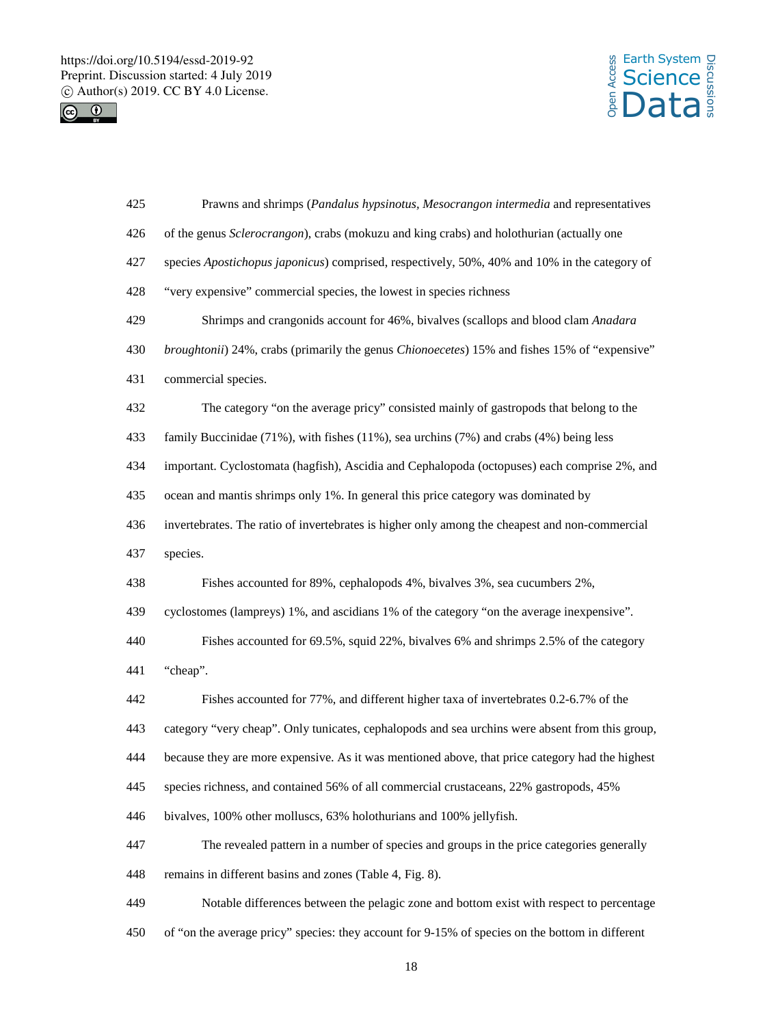



| 425 | Prawns and shrimps (Pandalus hypsinotus, Mesocrangon intermedia and representatives             |
|-----|-------------------------------------------------------------------------------------------------|
| 426 | of the genus Sclerocrangon), crabs (mokuzu and king crabs) and holothurian (actually one        |
| 427 | species Apostichopus japonicus) comprised, respectively, 50%, 40% and 10% in the category of    |
| 428 | "very expensive" commercial species, the lowest in species richness                             |
| 429 | Shrimps and crangonids account for 46%, bivalves (scallops and blood clam Anadara               |
| 430 | broughtonii) 24%, crabs (primarily the genus Chionoecetes) 15% and fishes 15% of "expensive"    |
| 431 | commercial species.                                                                             |
| 432 | The category "on the average pricy" consisted mainly of gastropods that belong to the           |
| 433 | family Buccinidae (71%), with fishes (11%), sea urchins (7%) and crabs (4%) being less          |
| 434 | important. Cyclostomata (hagfish), Ascidia and Cephalopoda (octopuses) each comprise 2%, and    |
| 435 | ocean and mantis shrimps only 1%. In general this price category was dominated by               |
| 436 | invertebrates. The ratio of invertebrates is higher only among the cheapest and non-commercial  |
| 437 | species.                                                                                        |
| 438 | Fishes accounted for 89%, cephalopods 4%, bivalves 3%, sea cucumbers 2%,                        |
| 439 | cyclostomes (lampreys) 1%, and ascidians 1% of the category "on the average inexpensive".       |
|     |                                                                                                 |
| 440 | Fishes accounted for 69.5%, squid 22%, bivalves 6% and shrimps 2.5% of the category             |
| 441 | "cheap".                                                                                        |
| 442 | Fishes accounted for 77%, and different higher taxa of invertebrates 0.2-6.7% of the            |
| 443 | category "very cheap". Only tunicates, cephalopods and sea urchins were absent from this group, |
| 444 | because they are more expensive. As it was mentioned above, that price category had the highest |
| 445 | species richness, and contained 56% of all commercial crustaceans, 22% gastropods, 45%          |
| 446 | bivalves, 100% other molluscs, 63% holothurians and 100% jellyfish.                             |
| 447 | The revealed pattern in a number of species and groups in the price categories generally        |
| 448 | remains in different basins and zones (Table 4, Fig. 8).                                        |
| 449 | Notable differences between the pelagic zone and bottom exist with respect to percentage        |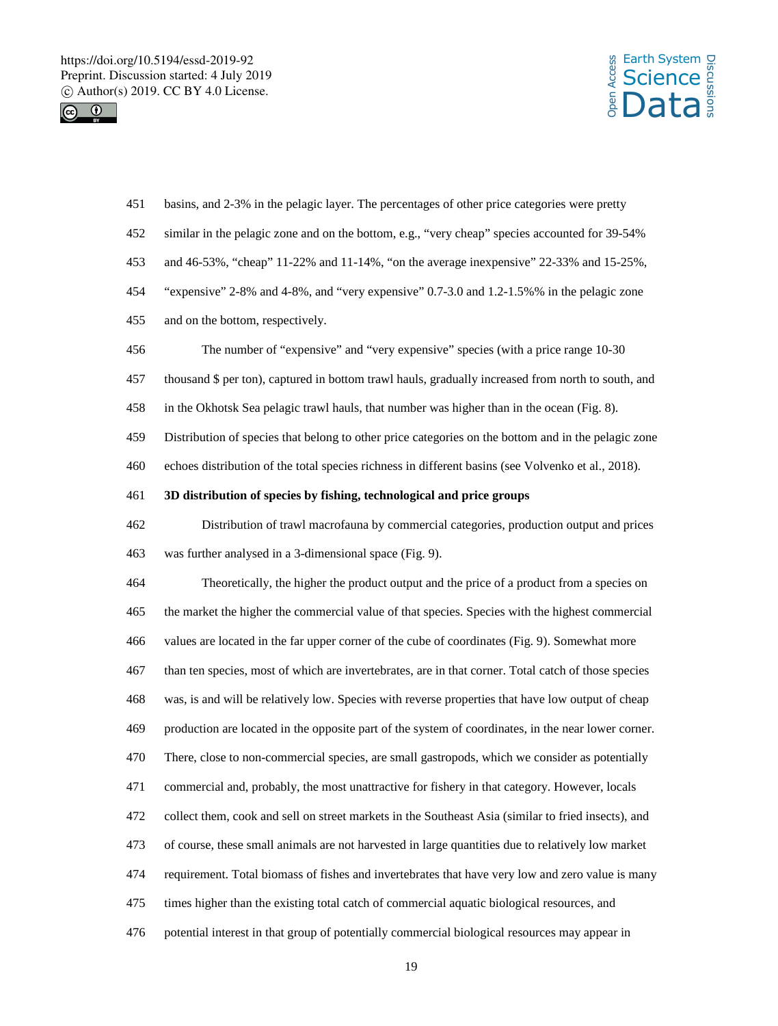https://doi.org/10.5194/essd-2019-92 Preprint. Discussion started: 4 July 2019  $\circledcirc$  Author(s) 2019. CC BY 4.0 License.<br>  $\circledcirc$ 





| 451 | basins, and 2-3% in the pelagic layer. The percentages of other price categories were pretty        |
|-----|-----------------------------------------------------------------------------------------------------|
| 452 | similar in the pelagic zone and on the bottom, e.g., "very cheap" species accounted for 39-54%      |
| 453 | and 46-53%, "cheap" 11-22% and 11-14%, "on the average inexpensive" 22-33% and 15-25%,              |
| 454 | "expensive" $2-8\%$ and $4-8\%$ , and "very expensive" 0.7-3.0 and 1.2-1.5% % in the pelagic zone   |
| 455 | and on the bottom, respectively.                                                                    |
| 456 | The number of "expensive" and "very expensive" species (with a price range 10-30                    |
| 457 | thousand \$ per ton), captured in bottom trawl hauls, gradually increased from north to south, and  |
| 458 | in the Okhotsk Sea pelagic trawl hauls, that number was higher than in the ocean (Fig. 8).          |
| 459 | Distribution of species that belong to other price categories on the bottom and in the pelagic zone |
| 460 | echoes distribution of the total species richness in different basins (see Volvenko et al., 2018).  |
| 461 | 3D distribution of species by fishing, technological and price groups                               |
| 462 | Distribution of trawl macrofauna by commercial categories, production output and prices             |
| 463 | was further analysed in a 3-dimensional space (Fig. 9).                                             |
| 464 | Theoretically, the higher the product output and the price of a product from a species on           |
| 465 | the market the higher the commercial value of that species. Species with the highest commercial     |
| 466 | values are located in the far upper corner of the cube of coordinates (Fig. 9). Somewhat more       |
| 467 | than ten species, most of which are invertebrates, are in that corner. Total catch of those species |
| 468 | was, is and will be relatively low. Species with reverse properties that have low output of cheap   |
| 469 | production are located in the opposite part of the system of coordinates, in the near lower corner. |
| 470 | There, close to non-commercial species, are small gastropods, which we consider as potentially      |
| 471 | commercial and, probably, the most unattractive for fishery in that category. However, locals       |
| 472 | collect them, cook and sell on street markets in the Southeast Asia (similar to fried insects), and |
| 473 | of course, these small animals are not harvested in large quantities due to relatively low market   |
| 474 | requirement. Total biomass of fishes and invertebrates that have very low and zero value is many    |
| 475 | times higher than the existing total catch of commercial aquatic biological resources, and          |
| 476 | potential interest in that group of potentially commercial biological resources may appear in       |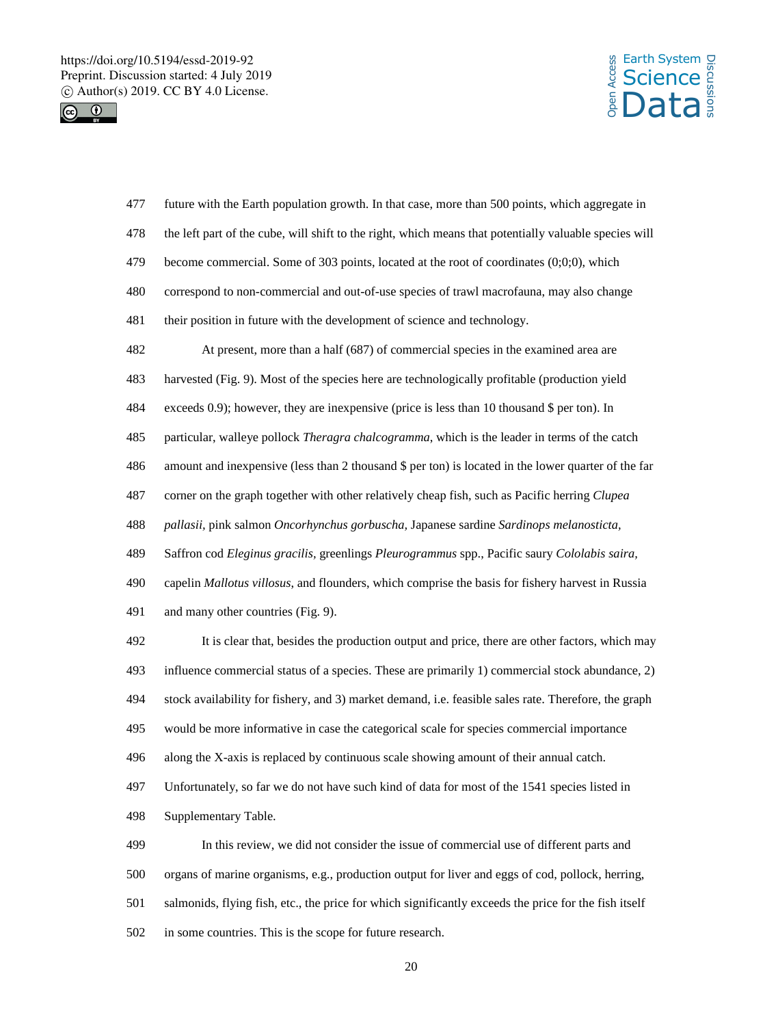



| 477 | future with the Earth population growth. In that case, more than 500 points, which aggregate in        |
|-----|--------------------------------------------------------------------------------------------------------|
| 478 | the left part of the cube, will shift to the right, which means that potentially valuable species will |
| 479 | become commercial. Some of 303 points, located at the root of coordinates $(0,0,0)$ , which            |
| 480 | correspond to non-commercial and out-of-use species of trawl macrofauna, may also change               |
| 481 | their position in future with the development of science and technology.                               |
| 482 | At present, more than a half (687) of commercial species in the examined area are                      |
| 483 | harvested (Fig. 9). Most of the species here are technologically profitable (production yield          |
| 484 | exceeds 0.9); however, they are inexpensive (price is less than 10 thousand \$ per ton). In            |
| 485 | particular, walleye pollock Theragra chalcogramma, which is the leader in terms of the catch           |
| 486 | amount and inexpensive (less than 2 thousand \$ per ton) is located in the lower quarter of the far    |
| 487 | corner on the graph together with other relatively cheap fish, such as Pacific herring <i>Clupea</i>   |
| 488 | pallasii, pink salmon Oncorhynchus gorbuscha, Japanese sardine Sardinops melanosticta,                 |
| 489 | Saffron cod Eleginus gracilis, greenlings Pleurogrammus spp., Pacific saury Cololabis saira,           |
| 490 | capelin Mallotus villosus, and flounders, which comprise the basis for fishery harvest in Russia       |
| 491 | and many other countries (Fig. 9).                                                                     |
| 492 | It is clear that, besides the production output and price, there are other factors, which may          |
| 493 | influence commercial status of a species. These are primarily 1) commercial stock abundance, 2)        |
| 494 | stock availability for fishery, and 3) market demand, i.e. feasible sales rate. Therefore, the graph   |
| 495 | would be more informative in case the categorical scale for species commercial importance              |
| 496 | along the X-axis is replaced by continuous scale showing amount of their annual catch.                 |
| 497 | Unfortunately, so far we do not have such kind of data for most of the 1541 species listed in          |
| 498 | Supplementary Table.                                                                                   |
| 499 | In this review, we did not consider the issue of commercial use of different parts and                 |
| 500 | organs of marine organisms, e.g., production output for liver and eggs of cod, pollock, herring,       |
| 501 | salmonids, flying fish, etc., the price for which significantly exceeds the price for the fish itself  |
| 502 | in some countries. This is the scope for future research.                                              |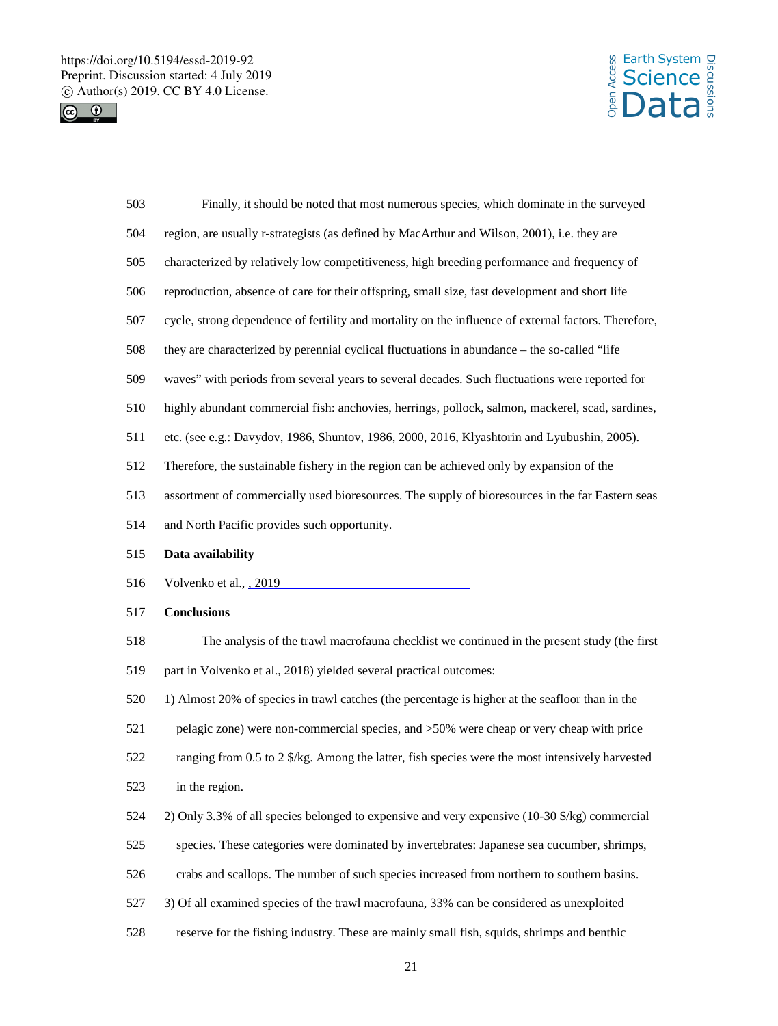



| 503 | Finally, it should be noted that most numerous species, which dominate in the surveyed               |
|-----|------------------------------------------------------------------------------------------------------|
| 504 | region, are usually r-strategists (as defined by MacArthur and Wilson, 2001), i.e. they are          |
| 505 | characterized by relatively low competitiveness, high breeding performance and frequency of          |
| 506 | reproduction, absence of care for their offspring, small size, fast development and short life       |
| 507 | cycle, strong dependence of fertility and mortality on the influence of external factors. Therefore, |
| 508 | they are characterized by perennial cyclical fluctuations in abundance – the so-called "life         |
| 509 | waves" with periods from several years to several decades. Such fluctuations were reported for       |
| 510 | highly abundant commercial fish: anchovies, herrings, pollock, salmon, mackerel, scad, sardines,     |
| 511 | etc. (see e.g.: Davydov, 1986, Shuntov, 1986, 2000, 2016, Klyashtorin and Lyubushin, 2005).          |
| 512 | Therefore, the sustainable fishery in the region can be achieved only by expansion of the            |
| 513 | assortment of commercially used bioresources. The supply of bioresources in the far Eastern seas     |
| 514 | and North Pacific provides such opportunity.                                                         |
| 515 | Data availability                                                                                    |
|     |                                                                                                      |
| 516 | Volvenko et al., 2019                                                                                |
| 517 | <b>Conclusions</b>                                                                                   |
| 518 | The analysis of the trawl macrofauna checklist we continued in the present study (the first          |
| 519 | part in Volvenko et al., 2018) yielded several practical outcomes:                                   |
| 520 | 1) Almost 20% of species in trawl catches (the percentage is higher at the seafloor than in the      |
| 521 | pelagic zone) were non-commercial species, and >50% were cheap or very cheap with price              |
| 522 | ranging from 0.5 to 2 \$/kg. Among the latter, fish species were the most intensively harvested      |
| 523 | in the region.                                                                                       |
| 524 | 2) Only 3.3% of all species belonged to expensive and very expensive (10-30 \$/kg) commercial        |
| 525 | species. These categories were dominated by invertebrates: Japanese sea cucumber, shrimps,           |
| 526 | crabs and scallops. The number of such species increased from northern to southern basins.           |
| 527 | 3) Of all examined species of the trawl macrofauna, 33% can be considered as unexploited             |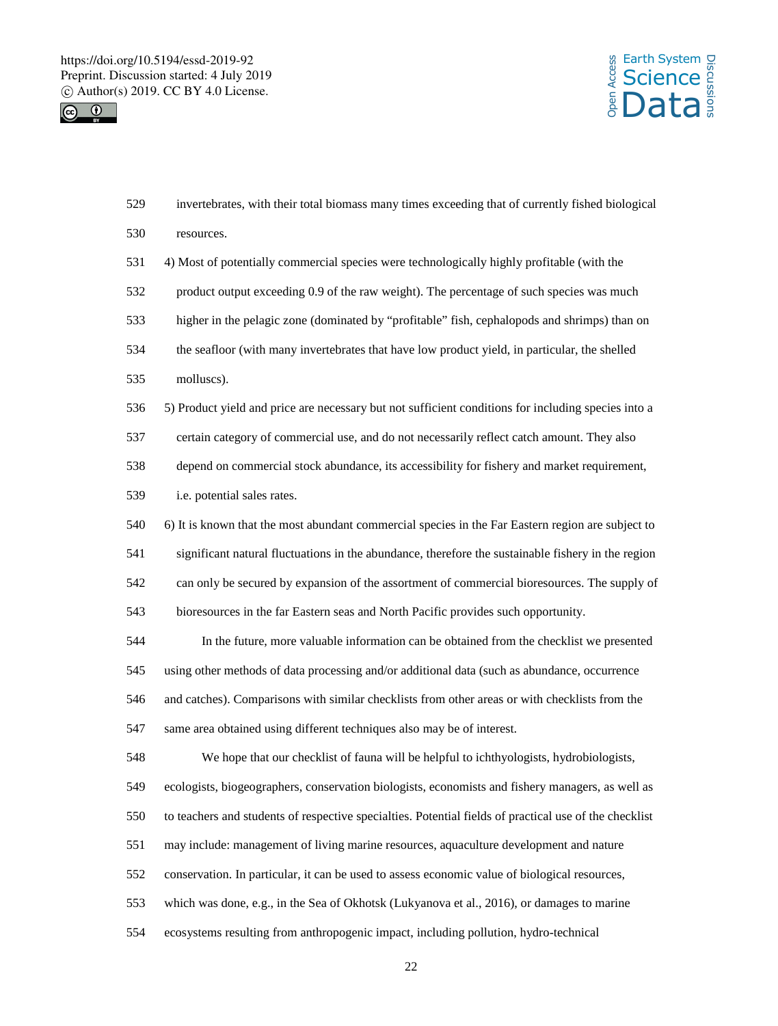



| 529 | invertebrates, with their total biomass many times exceeding that of currently fished biological       |
|-----|--------------------------------------------------------------------------------------------------------|
| 530 | resources.                                                                                             |
| 531 | 4) Most of potentially commercial species were technologically highly profitable (with the             |
| 532 | product output exceeding 0.9 of the raw weight). The percentage of such species was much               |
| 533 | higher in the pelagic zone (dominated by "profitable" fish, cephalopods and shrimps) than on           |
| 534 | the seafloor (with many invertebrates that have low product yield, in particular, the shelled          |
| 535 | molluscs).                                                                                             |
| 536 | 5) Product yield and price are necessary but not sufficient conditions for including species into a    |
| 537 | certain category of commercial use, and do not necessarily reflect catch amount. They also             |
| 538 | depend on commercial stock abundance, its accessibility for fishery and market requirement,            |
| 539 | i.e. potential sales rates.                                                                            |
| 540 | 6) It is known that the most abundant commercial species in the Far Eastern region are subject to      |
| 541 | significant natural fluctuations in the abundance, therefore the sustainable fishery in the region     |
| 542 | can only be secured by expansion of the assortment of commercial bioresources. The supply of           |
| 543 | bioresources in the far Eastern seas and North Pacific provides such opportunity.                      |
| 544 | In the future, more valuable information can be obtained from the checklist we presented               |
| 545 | using other methods of data processing and/or additional data (such as abundance, occurrence           |
| 546 | and catches). Comparisons with similar checklists from other areas or with checklists from the         |
| 547 | same area obtained using different techniques also may be of interest.                                 |
| 548 | We hope that our checklist of fauna will be helpful to ichthyologists, hydrobiologists,                |
| 549 | ecologists, biogeographers, conservation biologists, economists and fishery managers, as well as       |
| 550 | to teachers and students of respective specialties. Potential fields of practical use of the checklist |
| 551 | may include: management of living marine resources, aquaculture development and nature                 |
| 552 | conservation. In particular, it can be used to assess economic value of biological resources,          |
| 553 | which was done, e.g., in the Sea of Okhotsk (Lukyanova et al., 2016), or damages to marine             |
| 554 | ecosystems resulting from anthropogenic impact, including pollution, hydro-technical                   |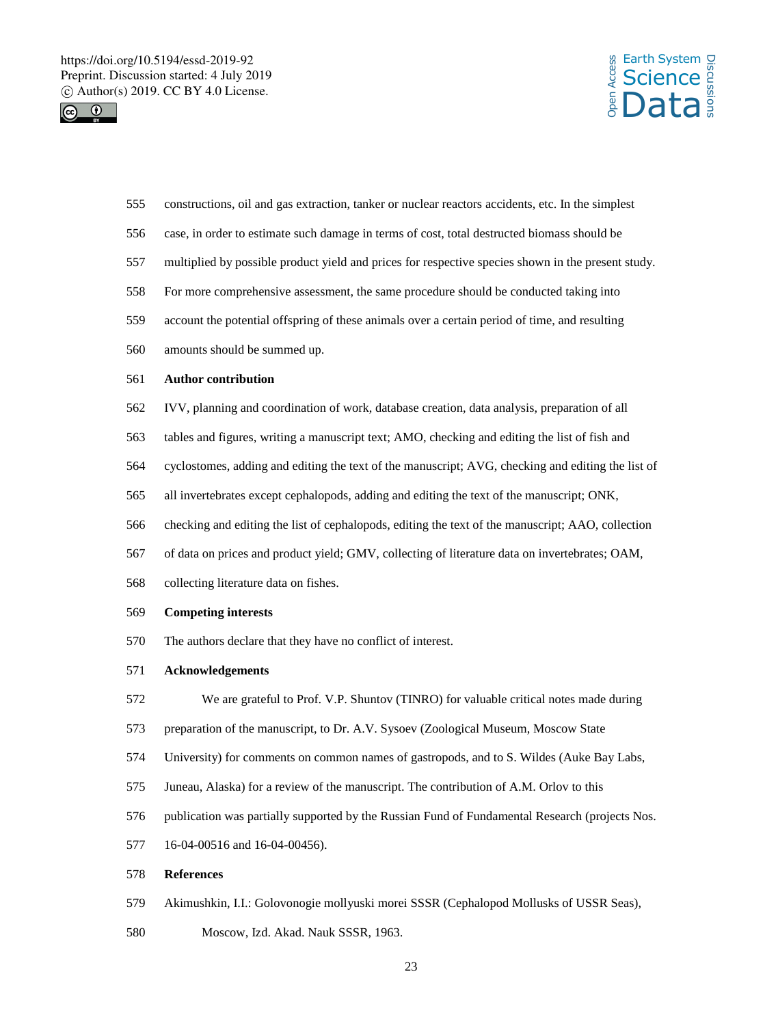



- constructions, oil and gas extraction, tanker or nuclear reactors accidents, etc. In the simplest
- case, in order to estimate such damage in terms of cost, total destructed biomass should be
- multiplied by possible product yield and prices for respective species shown in the present study.
- For more comprehensive assessment, the same procedure should be conducted taking into
- account the potential offspring of these animals over a certain period of time, and resulting
- amounts should be summed up.

### **Author contribution**

- IVV, planning and coordination of work, database creation, data analysis, preparation of all
- tables and figures, writing a manuscript text; AMO, checking and editing the list of fish and
- cyclostomes, adding and editing the text of the manuscript; AVG, checking and editing the list of
- all invertebrates except cephalopods, adding and editing the text of the manuscript; ONK,
- checking and editing the list of cephalopods, editing the text of the manuscript; AAO, collection
- of data on prices and product yield; GMV, collecting of literature data on invertebrates; OAM,
- collecting literature data on fishes.

#### **Competing interests**

- The authors declare that they have no conflict of interest.
- **Acknowledgements**
- We are grateful to Prof. V.P. Shuntov (TINRO) for valuable critical notes made during
- preparation of the manuscript, to Dr. A.V. Sysoev (Zoological Museum, Moscow State
- University) for comments on common names of gastropods, and to S. Wildes (Auke Bay Labs,
- Juneau, Alaska) for a review of the manuscript. The contribution of A.M. Orlov to this
- publication was partially supported by the Russian Fund of Fundamental Research (projects Nos.
- 16-04-00516 and 16-04-00456).

### **References**

- Akimushkin, I.I.: Golovonogie mollyuski morei SSSR (Cephalopod Mollusks of USSR Seas),
- Moscow, Izd. Akad. Nauk SSSR, 1963.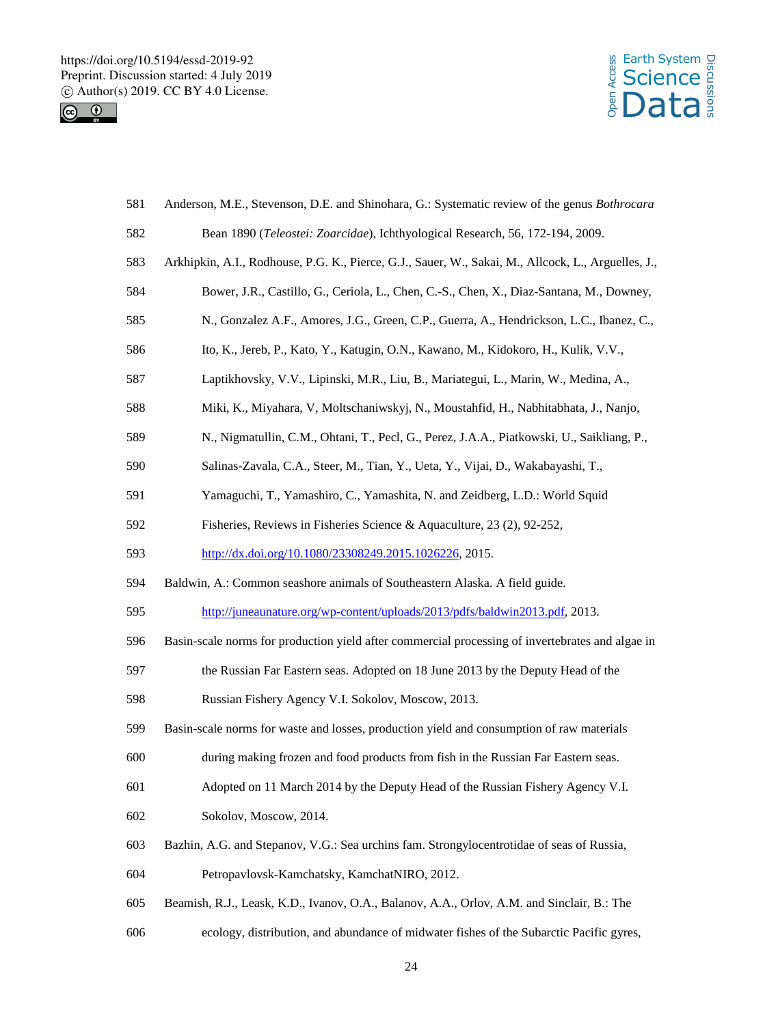



| 581 | Anderson, M.E., Stevenson, D.E. and Shinohara, G.: Systematic review of the genus <i>Bothrocara</i> |
|-----|-----------------------------------------------------------------------------------------------------|
| 582 | Bean 1890 (Teleostei: Zoarcidae), Ichthyological Research, 56, 172-194, 2009.                       |
| 583 | Arkhipkin, A.I., Rodhouse, P.G. K., Pierce, G.J., Sauer, W., Sakai, M., Allcock, L., Arguelles, J., |
| 584 | Bower, J.R., Castillo, G., Ceriola, L., Chen, C.-S., Chen, X., Diaz-Santana, M., Downey,            |
| 585 | N., Gonzalez A.F., Amores, J.G., Green, C.P., Guerra, A., Hendrickson, L.C., Ibanez, C.,            |
| 586 | Ito, K., Jereb, P., Kato, Y., Katugin, O.N., Kawano, M., Kidokoro, H., Kulik, V.V.,                 |
| 587 | Laptikhovsky, V.V., Lipinski, M.R., Liu, B., Mariategui, L., Marin, W., Medina, A.,                 |
| 588 | Miki, K., Miyahara, V, Moltschaniwskyj, N., Moustahfid, H., Nabhitabhata, J., Nanjo,                |
| 589 | N., Nigmatullin, C.M., Ohtani, T., Pecl, G., Perez, J.A.A., Piatkowski, U., Saikliang, P.,          |
| 590 | Salinas-Zavala, C.A., Steer, M., Tian, Y., Ueta, Y., Vijai, D., Wakabayashi, T.,                    |
| 591 | Yamaguchi, T., Yamashiro, C., Yamashita, N. and Zeidberg, L.D.: World Squid                         |
| 592 | Fisheries, Reviews in Fisheries Science & Aquaculture, 23 (2), 92-252,                              |
| 593 | http://dx.doi.org/10.1080/23308249.2015.1026226, 2015.                                              |
| 594 | Baldwin, A.: Common seashore animals of Southeastern Alaska. A field guide.                         |
| 595 | http://juneaunature.org/wp-content/uploads/2013/pdfs/baldwin2013.pdf, 2013.                         |
| 596 | Basin-scale norms for production yield after commercial processing of invertebrates and algae in    |
| 597 | the Russian Far Eastern seas. Adopted on 18 June 2013 by the Deputy Head of the                     |
| 598 | Russian Fishery Agency V.I. Sokolov, Moscow, 2013.                                                  |
| 599 | Basin-scale norms for waste and losses, production yield and consumption of raw materials           |
| 600 | during making frozen and food products from fish in the Russian Far Eastern seas.                   |
| 601 | Adopted on 11 March 2014 by the Deputy Head of the Russian Fishery Agency V.I.                      |
| 602 | Sokolov, Moscow, 2014.                                                                              |
| 603 | Bazhin, A.G. and Stepanov, V.G.: Sea urchins fam. Strongylocentrotidae of seas of Russia,           |
| 604 | Petropavlovsk-Kamchatsky, KamchatNIRO, 2012.                                                        |
| 605 | Beamish, R.J., Leask, K.D., Ivanov, O.A., Balanov, A.A., Orlov, A.M. and Sinclair, B.: The          |
| 606 | ecology, distribution, and abundance of midwater fishes of the Subarctic Pacific gyres,             |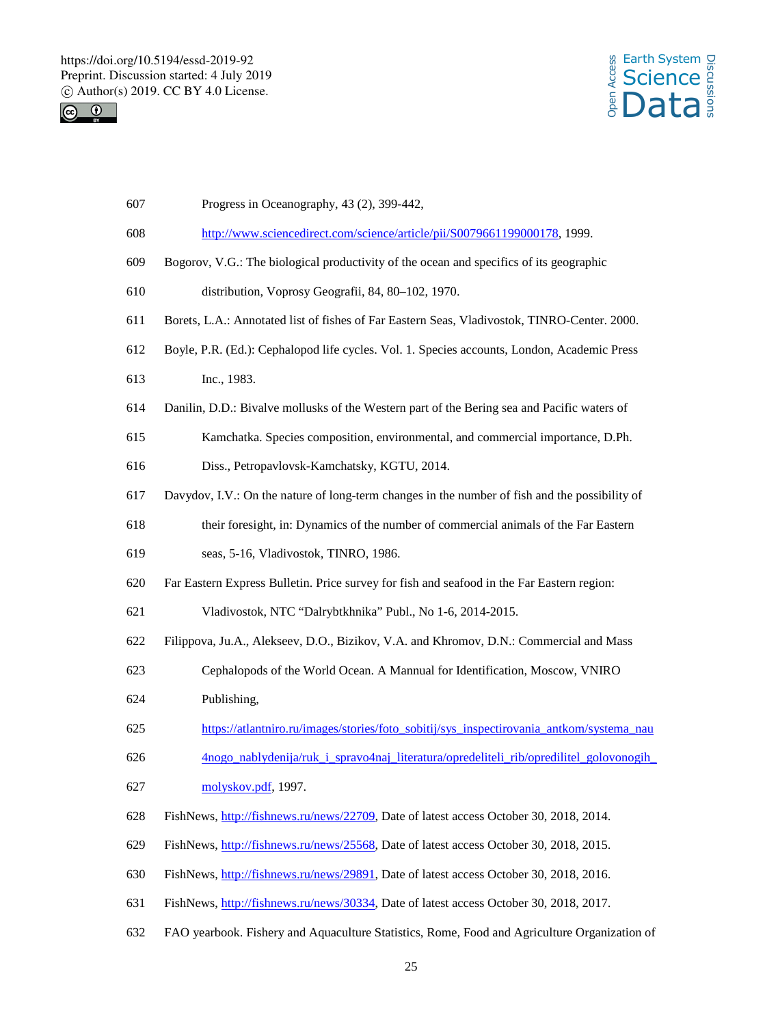



- Progress in Oceanography, 43 (2), 399-442,
- http://www.sciencedirect.com/science/article/pii/S0079661199000178, 1999.
- Bogorov, V.G.: The biological productivity of the ocean and specifics of its geographic
- distribution, Voprosy Geografii, 84, 80–102, 1970.
- Borets, L.A.: Annotated list of fishes of Far Eastern Seas*,* Vladivostok, TINRO-Center. 2000.
- Boyle, P.R. (Ed.): Cephalopod life cycles. Vol. 1. Species accounts, London, Academic Press
- Inc., 1983.
- Danilin, D.D.: Bivalve mollusks of the Western part of the Bering sea and Pacific waters of
- Kamchatka. Species composition, environmental, and commercial importance, D.Ph.
- Diss., Petropavlovsk-Kamchatsky, KGTU, 2014.
- Davydov, I.V.: On the nature of long-term changes in the number of fish and the possibility of
- their foresight, in: Dynamics of the number of commercial animals of the Far Eastern
- seas, 5-16, Vladivostok, TINRO, 1986.
- Far Eastern Express Bulletin. Price survey for fish and seafood in the Far Eastern region:
- Vladivostok, NTC "Dalrybtkhnika" Publ., No 1-6, 2014-2015.
- Filippova, Ju.A., Alekseev, D.O., Bizikov, V.A. and Khromov, D.N.: Commercial and Mass
- Cephalopods of the World Ocean. A Mannual for Identification, Moscow, VNIRO
- Publishing,
- https://atlantniro.ru/images/stories/foto\_sobitij/sys\_inspectirovania\_antkom/systema\_nau
- 4nogo\_nablydenija/ruk\_i\_spravo4naj\_literatura/opredeliteli\_rib/opredilitel\_golovonogih\_ molyskov.pdf, 1997.
- FishNews, http://fishnews.ru/news/22709, Date of latest access October 30, 2018, 2014.
- FishNews, http://fishnews.ru/news/25568, Date of latest access October 30, 2018, 2015.
- FishNews, http://fishnews.ru/news/29891, Date of latest access October 30, 2018, 2016.
- FishNews, http://fishnews.ru/news/30334, Date of latest access October 30, 2018, 2017.
- FAO yearbook. Fishery and Aquaculture Statistics, Rome, Food and Agriculture Organization of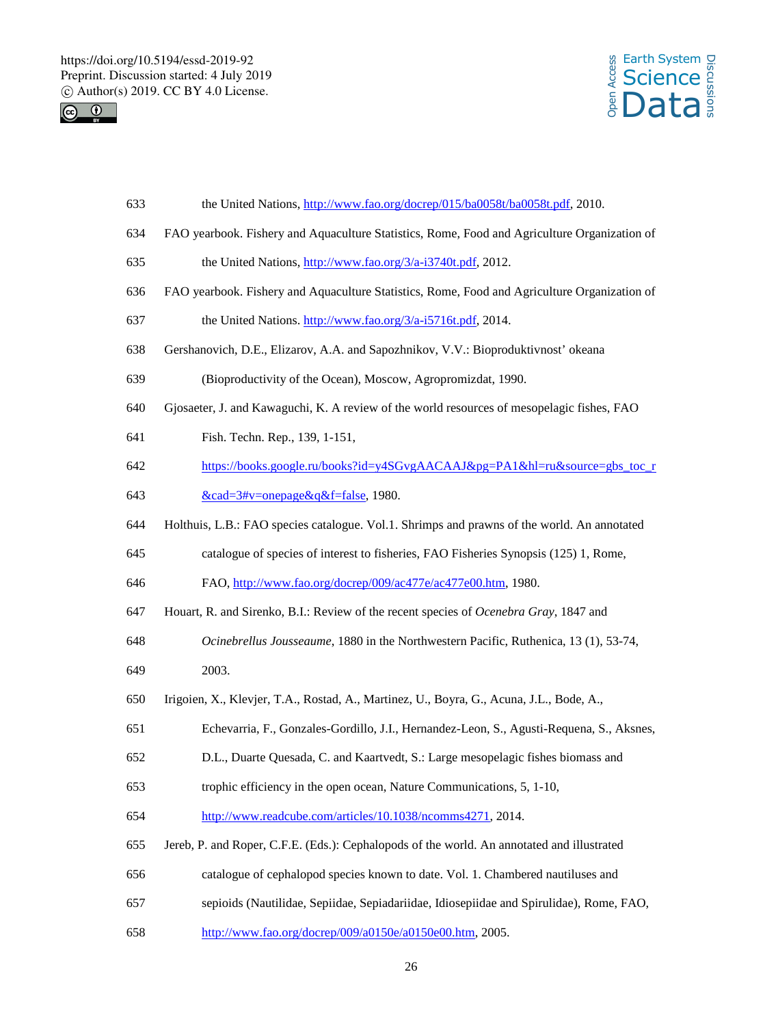



- the United Nations, http://www.fao.org/docrep/015/ba0058t/ba0058t.pdf, 2010.
- FAO yearbook. Fishery and Aquaculture Statistics, Rome, Food and Agriculture Organization of
- the United Nations, http://www.fao.org/3/a-i3740t.pdf, 2012.
- FAO yearbook. Fishery and Aquaculture Statistics, Rome, Food and Agriculture Organization of
- the United Nations. http://www.fao.org/3/a-i5716t.pdf, 2014.
- Gershanovich, D.E., Elizarov, A.A. and Sapozhnikov, V.V.: Bioproduktivnost' okeana
- (Bioproductivity of the Ocean), Moscow, Agropromizdat, 1990.
- Gjosaeter, J. and Kawaguchi, K. A review of the world resources of mesopelagic fishes, FAO
- Fish. Techn. Rep., 139, 1-151,
- https://books.google.ru/books?id=y4SGvgAACAAJ&pg=PA1&hl=ru&source=gbs\_toc\_r
- &cad=3#v=onepage&q&f=false, 1980.
- Holthuis, L.B.: FAO species catalogue. Vol.1. Shrimps and prawns of the world. An annotated
- catalogue of species of interest to fisheries, FAO Fisheries Synopsis (125) 1, Rome,
- 646 FAO, http://www.fao.org/docrep/009/ac477e/ac477e00.htm, 1980.
- Houart, R. and Sirenko, B.I.: Review of the recent species of *Ocenebra Gray*, 1847 and
- *Ocinebrellus Jousseaume*, 1880 in the Northwestern Pacific, Ruthenica, 13 (1), 53-74,
- 2003.
- Irigoien, X., Klevjer, T.A., Rostad, A., Martinez, U., Boyra, G., Acuna, J.L., Bode, A.,
- Echevarria, F., Gonzales-Gordillo, J.I., Hernandez-Leon, S., Agusti-Requena, S., Aksnes,
- D.L., Duarte Quesada, C. and Kaartvedt, S.: Large mesopelagic fishes biomass and
- trophic efficiency in the open ocean, Nature Communications, 5, 1-10,
- http://www.readcube.com/articles/10.1038/ncomms4271, 2014.
- Jereb, P. and Roper, C.F.E. (Eds.): Cephalopods of the world. An annotated and illustrated
- catalogue of cephalopod species known to date. Vol. 1. Chambered nautiluses and
- sepioids (Nautilidae, Sepiidae, Sepiadariidae, Idiosepiidae and Spirulidae), Rome, FAO,
- http://www.fao.org/docrep/009/a0150e/a0150e00.htm, 2005.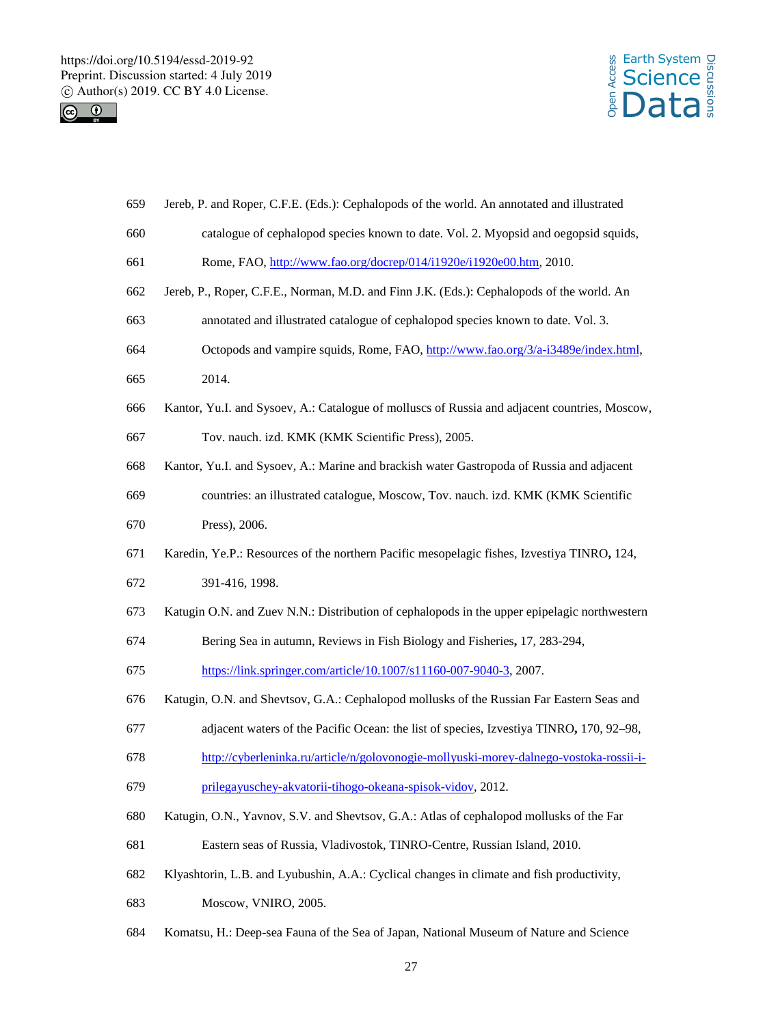



- Jereb, P. and Roper, C.F.E. (Eds.): Cephalopods of the world. An annotated and illustrated
- catalogue of cephalopod species known to date. Vol. 2. Myopsid and oegopsid squids,
- Rome, FAO, http://www.fao.org/docrep/014/i1920e/i1920e00.htm, 2010.
- Jereb, P., Roper, C.F.E., Norman, M.D. and Finn J.K. (Eds.): Cephalopods of the world. An
- annotated and illustrated catalogue of cephalopod species known to date. Vol. 3.
- Octopods and vampire squids, Rome, FAO, http://www.fao.org/3/a-i3489e/index.html,
- 2014.
- Kantor, Yu.I. and Sysoev, A.: Catalogue of molluscs of Russia and adjacent countries, Moscow,

Tov. nauch. izd. KMK (KMK Scientific Press), 2005.

- Kantor, Yu.I. and Sysoev, A.: Marine and brackish water Gastropoda of Russia and adjacent
- countries: an illustrated catalogue, Moscow, Tov. nauch. izd. KMK (KMK Scientific Press), 2006.
- Karedin, Ye.P.: Resources of the northern Pacific mesopelagic fishes, Izvestiya TINRO**,** 124,
- 391-416, 1998.
- Katugin O.N. and Zuev N.N.: Distribution of cephalopods in the upper epipelagic northwestern
- Bering Sea in autumn, Reviews in Fish Biology and Fisheries**,** 17, 283-294,

https://link.springer.com/article/10.1007/s11160-007-9040-3, 2007.

- Katugin, O.N. and Shevtsov, G.A.: Cephalopod mollusks of the Russian Far Eastern Seas and
- adjacent waters of the Pacific Ocean: the list of species, Izvestiya TINRO**,** 170, 92–98,
- http://cyberleninka.ru/article/n/golovonogie-mollyuski-morey-dalnego-vostoka-rossii-i-
- prilegayuschey-akvatorii-tihogo-okeana-spisok-vidov, 2012.
- Katugin, O.N., Yavnov, S.V. and Shevtsov, G.A.: Atlas of cephalopod mollusks of the Far
- Eastern seas of Russia, Vladivostok, TINRO-Centre, Russian Island, 2010.
- Klyashtorin, L.B. and Lyubushin, A.A.: Cyclical changes in climate and fish productivity,
- Moscow, VNIRO, 2005.
- Komatsu, H.: Deep-sea Fauna of the Sea of Japan, National Museum of Nature and Science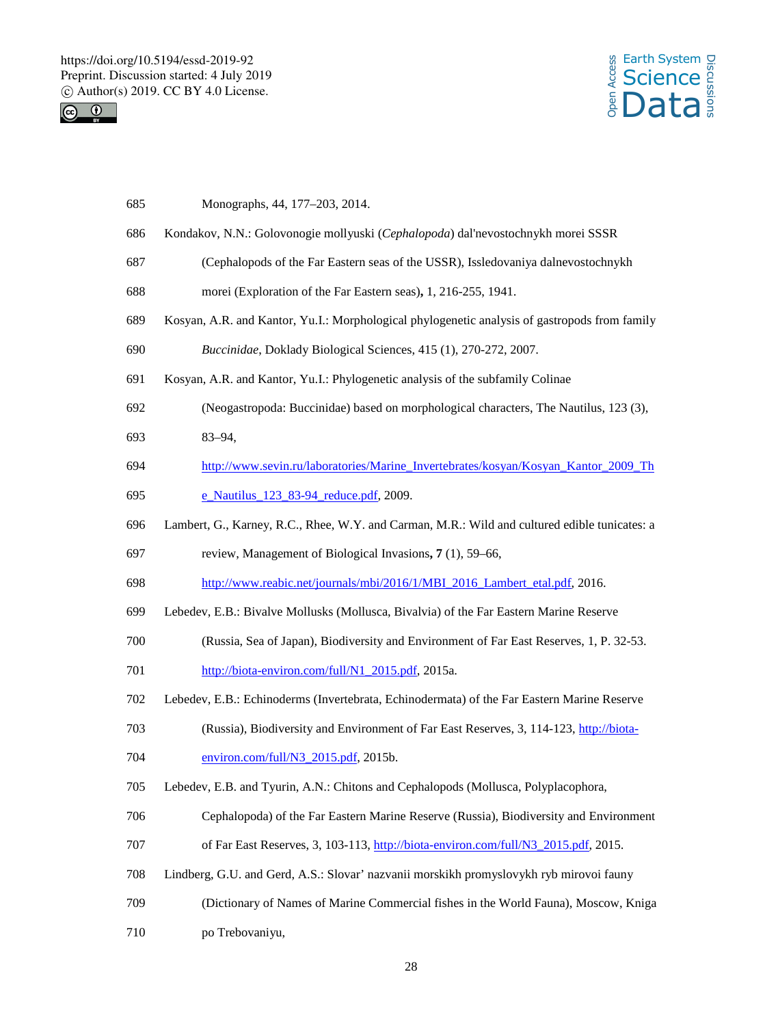



| 685 | Monographs, 44, 177–203, 2014.                                                                |
|-----|-----------------------------------------------------------------------------------------------|
| 686 | Kondakov, N.N.: Golovonogie mollyuski (Cephalopoda) dal'nevostochnykh morei SSSR              |
| 687 | (Cephalopods of the Far Eastern seas of the USSR), Issledovaniya dalnevostochnykh             |
| 688 | morei (Exploration of the Far Eastern seas), 1, 216-255, 1941.                                |
| 689 | Kosyan, A.R. and Kantor, Yu.I.: Morphological phylogenetic analysis of gastropods from family |
| 690 | Buccinidae, Doklady Biological Sciences, 415 (1), 270-272, 2007.                              |
| 691 | Kosyan, A.R. and Kantor, Yu.I.: Phylogenetic analysis of the subfamily Colinae                |
| 692 | (Neogastropoda: Buccinidae) based on morphological characters, The Nautilus, 123 (3),         |
| 693 | $83 - 94$ ,                                                                                   |
| 694 | http://www.sevin.ru/laboratories/Marine_Invertebrates/kosyan/Kosyan_Kantor_2009_Th            |
| 695 | e Nautilus 123 83-94 reduce.pdf, 2009.                                                        |
| 696 | Lambert, G., Karney, R.C., Rhee, W.Y. and Carman, M.R.: Wild and cultured edible tunicates: a |
| 697 | review, Management of Biological Invasions, 7 (1), 59–66,                                     |
| 698 | http://www.reabic.net/journals/mbi/2016/1/MBI_2016_Lambert_etal.pdf, 2016.                    |
| 699 | Lebedev, E.B.: Bivalve Mollusks (Mollusca, Bivalvia) of the Far Eastern Marine Reserve        |
| 700 | (Russia, Sea of Japan), Biodiversity and Environment of Far East Reserves, 1, P. 32-53.       |
| 701 | http://biota-environ.com/full/N1_2015.pdf, 2015a.                                             |
| 702 | Lebedev, E.B.: Echinoderms (Invertebrata, Echinodermata) of the Far Eastern Marine Reserve    |
| 703 | (Russia), Biodiversity and Environment of Far East Reserves, 3, 114-123, http://biota-        |
| 704 | environ.com/full/N3_2015.pdf, 2015b.                                                          |
| 705 | Lebedev, E.B. and Tyurin, A.N.: Chitons and Cephalopods (Mollusca, Polyplacophora,            |
| 706 | Cephalopoda) of the Far Eastern Marine Reserve (Russia), Biodiversity and Environment         |
| 707 | of Far East Reserves, 3, 103-113, http://biota-environ.com/full/N3 2015.pdf, 2015.            |
| 708 | Lindberg, G.U. and Gerd, A.S.: Slovar' nazvanii morskikh promyslovykh ryb mirovoi fauny       |
| 709 | (Dictionary of Names of Marine Commercial fishes in the World Fauna), Moscow, Kniga           |
| 710 | po Trebovaniyu,                                                                               |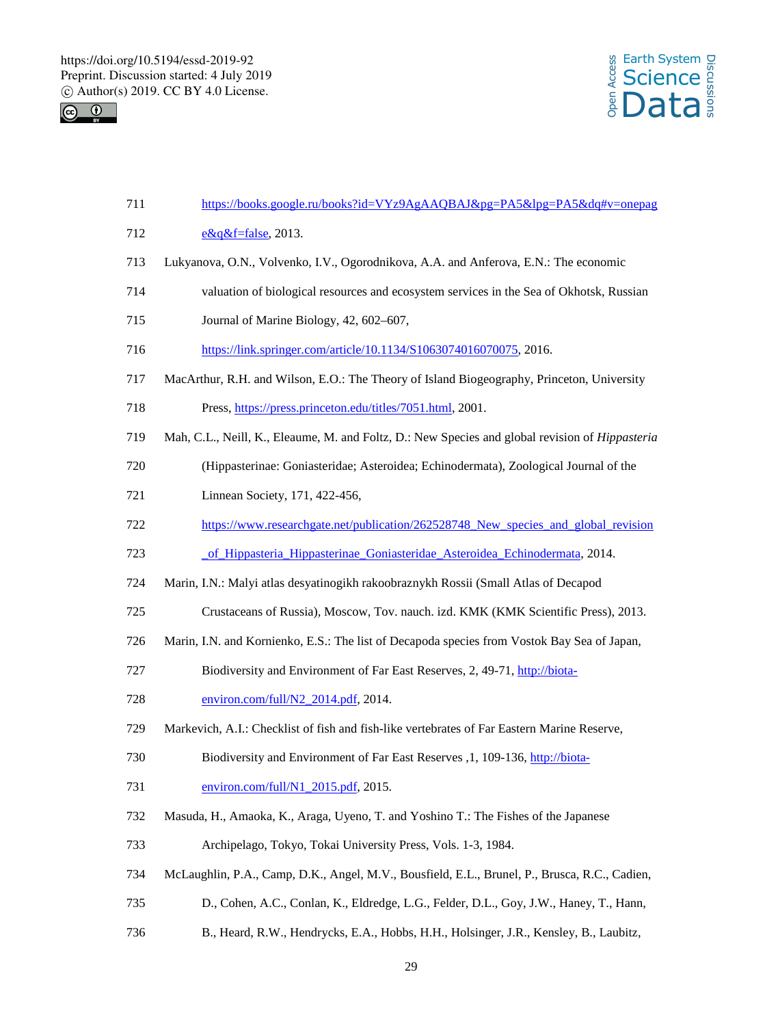



| 711 | https://books.google.ru/books?id=VYz9AgAAQBAJ&pg=PA5&lpg=PA5&dq#v=onepag                               |
|-----|--------------------------------------------------------------------------------------------------------|
| 712 | $e\&q\&f$ =false, 2013.                                                                                |
| 713 | Lukyanova, O.N., Volvenko, I.V., Ogorodnikova, A.A. and Anferova, E.N.: The economic                   |
| 714 | valuation of biological resources and ecosystem services in the Sea of Okhotsk, Russian                |
| 715 | Journal of Marine Biology, 42, 602-607,                                                                |
| 716 | https://link.springer.com/article/10.1134/S1063074016070075, 2016.                                     |
| 717 | MacArthur, R.H. and Wilson, E.O.: The Theory of Island Biogeography, Princeton, University             |
| 718 | Press, https://press.princeton.edu/titles/7051.html, 2001.                                             |
| 719 | Mah, C.L., Neill, K., Eleaume, M. and Foltz, D.: New Species and global revision of <i>Hippasteria</i> |
| 720 | (Hippasterinae: Goniasteridae; Asteroidea; Echinodermata), Zoological Journal of the                   |
| 721 | Linnean Society, 171, 422-456,                                                                         |
| 722 | https://www.researchgate.net/publication/262528748_New_species_and_global_revision                     |
| 723 | of Hippasteria Hippasterinae Goniasteridae Asteroidea Echinodermata, 2014.                             |
| 724 | Marin, I.N.: Malyi atlas desyatinogikh rakoobraznykh Rossii (Small Atlas of Decapod                    |
| 725 | Crustaceans of Russia), Moscow, Tov. nauch. izd. KMK (KMK Scientific Press), 2013.                     |
| 726 | Marin, I.N. and Kornienko, E.S.: The list of Decapoda species from Vostok Bay Sea of Japan,            |
| 727 | Biodiversity and Environment of Far East Reserves, 2, 49-71, http://biota-                             |
| 728 | environ.com/full/N2_2014.pdf, 2014.                                                                    |
| 729 | Markevich, A.I.: Checklist of fish and fish-like vertebrates of Far Eastern Marine Reserve,            |
| 730 | Biodiversity and Environment of Far East Reserves , 1, 109-136, http://biota-                          |
| 731 | environ.com/full/N1_2015.pdf, 2015.                                                                    |
| 732 | Masuda, H., Amaoka, K., Araga, Uyeno, T. and Yoshino T.: The Fishes of the Japanese                    |
| 733 | Archipelago, Tokyo, Tokai University Press, Vols. 1-3, 1984.                                           |
| 734 | McLaughlin, P.A., Camp, D.K., Angel, M.V., Bousfield, E.L., Brunel, P., Brusca, R.C., Cadien,          |
| 735 | D., Cohen, A.C., Conlan, K., Eldredge, L.G., Felder, D.L., Goy, J.W., Haney, T., Hann,                 |
| 736 | B., Heard, R.W., Hendrycks, E.A., Hobbs, H.H., Holsinger, J.R., Kensley, B., Laubitz,                  |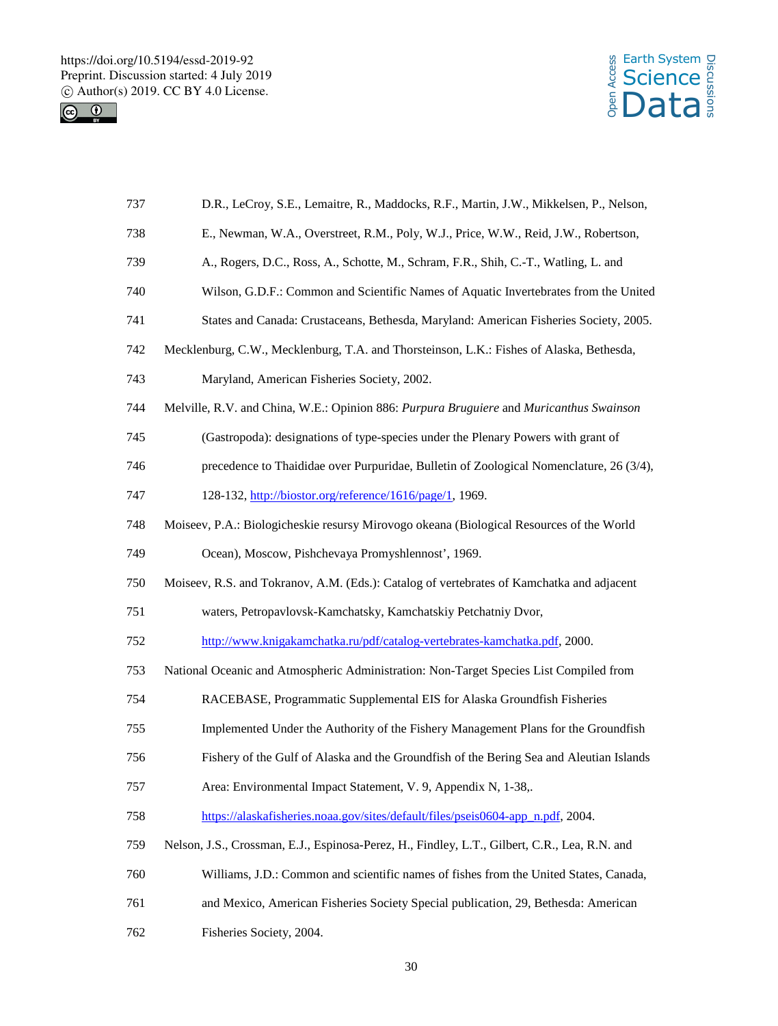



| 737 | D.R., LeCroy, S.E., Lemaitre, R., Maddocks, R.F., Martin, J.W., Mikkelsen, P., Nelson,        |
|-----|-----------------------------------------------------------------------------------------------|
| 738 | E., Newman, W.A., Overstreet, R.M., Poly, W.J., Price, W.W., Reid, J.W., Robertson,           |
| 739 | A., Rogers, D.C., Ross, A., Schotte, M., Schram, F.R., Shih, C.-T., Watling, L. and           |
| 740 | Wilson, G.D.F.: Common and Scientific Names of Aquatic Invertebrates from the United          |
| 741 | States and Canada: Crustaceans, Bethesda, Maryland: American Fisheries Society, 2005.         |
| 742 | Mecklenburg, C.W., Mecklenburg, T.A. and Thorsteinson, L.K.: Fishes of Alaska, Bethesda,      |
| 743 | Maryland, American Fisheries Society, 2002.                                                   |
| 744 | Melville, R.V. and China, W.E.: Opinion 886: Purpura Bruguiere and Muricanthus Swainson       |
| 745 | (Gastropoda): designations of type-species under the Plenary Powers with grant of             |
| 746 | precedence to Thaididae over Purpuridae, Bulletin of Zoological Nomenclature, 26 (3/4),       |
| 747 | 128-132, http://biostor.org/reference/1616/page/1, 1969.                                      |
| 748 | Moiseev, P.A.: Biologicheskie resursy Mirovogo okeana (Biological Resources of the World      |
| 749 | Ocean), Moscow, Pishchevaya Promyshlennost', 1969.                                            |
| 750 | Moiseev, R.S. and Tokranov, A.M. (Eds.): Catalog of vertebrates of Kamchatka and adjacent     |
| 751 | waters, Petropavlovsk-Kamchatsky, Kamchatskiy Petchatniy Dvor,                                |
| 752 | http://www.knigakamchatka.ru/pdf/catalog-vertebrates-kamchatka.pdf, 2000.                     |
| 753 | National Oceanic and Atmospheric Administration: Non-Target Species List Compiled from        |
| 754 | RACEBASE, Programmatic Supplemental EIS for Alaska Groundfish Fisheries                       |
| 755 | Implemented Under the Authority of the Fishery Management Plans for the Groundfish            |
| 756 | Fishery of the Gulf of Alaska and the Groundfish of the Bering Sea and Aleutian Islands       |
| 757 | Area: Environmental Impact Statement, V. 9, Appendix N, 1-38,.                                |
| 758 | https://alaskafisheries.noaa.gov/sites/default/files/pseis0604-app_n.pdf, 2004.               |
| 759 | Nelson, J.S., Crossman, E.J., Espinosa-Perez, H., Findley, L.T., Gilbert, C.R., Lea, R.N. and |
| 760 | Williams, J.D.: Common and scientific names of fishes from the United States, Canada,         |
| 761 | and Mexico, American Fisheries Society Special publication, 29, Bethesda: American            |
| 762 | Fisheries Society, 2004.                                                                      |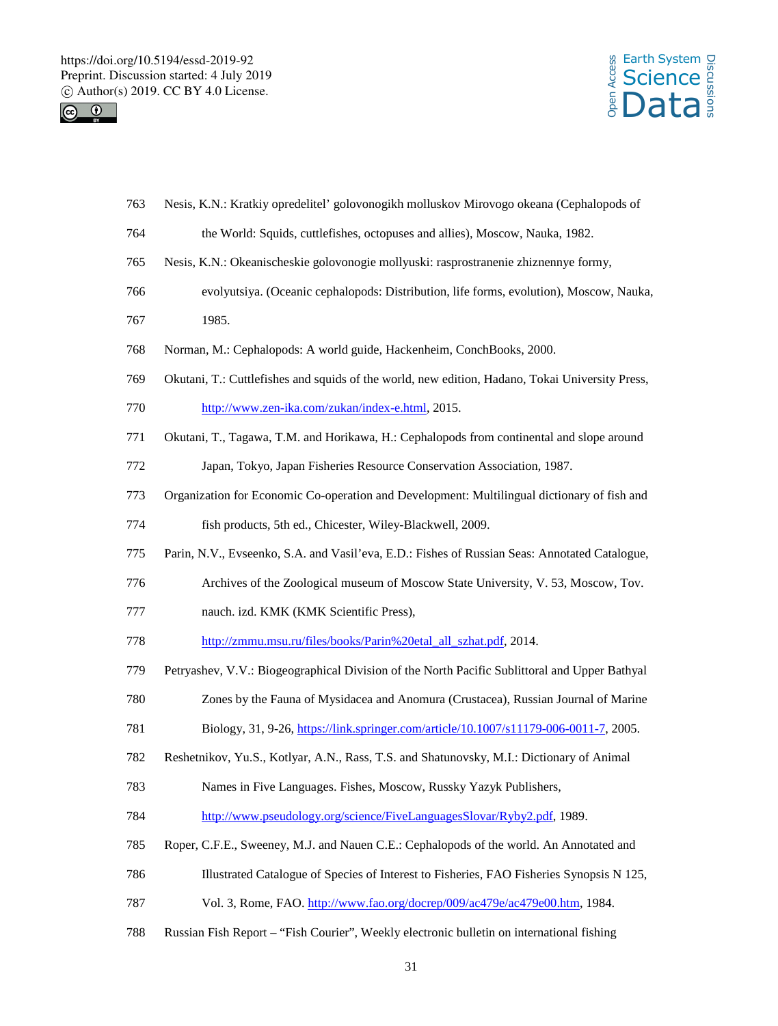



| 764 | the World: Squids, cuttlefishes, octopuses and allies), Moscow, Nauka, 1982.                    |
|-----|-------------------------------------------------------------------------------------------------|
| 765 | Nesis, K.N.: Okeanischeskie golovonogie mollyuski: rasprostranenie zhiznennye formy,            |
| 766 | evolyutsiya. (Oceanic cephalopods: Distribution, life forms, evolution), Moscow, Nauka,         |
| 767 | 1985.                                                                                           |
| 768 | Norman, M.: Cephalopods: A world guide, Hackenheim, ConchBooks, 2000.                           |
| 769 | Okutani, T.: Cuttlefishes and squids of the world, new edition, Hadano, Tokai University Press, |
| 770 | http://www.zen-ika.com/zukan/index-e.html, 2015.                                                |
| 771 | Okutani, T., Tagawa, T.M. and Horikawa, H.: Cephalopods from continental and slope around       |
| 772 | Japan, Tokyo, Japan Fisheries Resource Conservation Association, 1987.                          |
| 773 | Organization for Economic Co-operation and Development: Multilingual dictionary of fish and     |
| 774 | fish products, 5th ed., Chicester, Wiley-Blackwell, 2009.                                       |
| 775 | Parin, N.V., Evseenko, S.A. and Vasil'eva, E.D.: Fishes of Russian Seas: Annotated Catalogue,   |
| 776 | Archives of the Zoological museum of Moscow State University, V. 53, Moscow, Tov.               |
| 777 | nauch. izd. KMK (KMK Scientific Press),                                                         |
| 778 | http://zmmu.msu.ru/files/books/Parin%20etal_all_szhat.pdf, 2014.                                |
| 779 | Petryashev, V.V.: Biogeographical Division of the North Pacific Sublittoral and Upper Bathyal   |
| 780 | Zones by the Fauna of Mysidacea and Anomura (Crustacea), Russian Journal of Marine              |
| 781 | Biology, 31, 9-26, https://link.springer.com/article/10.1007/s11179-006-0011-7, 2005.           |
| 782 | Reshetnikov, Yu.S., Kotlyar, A.N., Rass, T.S. and Shatunovsky, M.I.: Dictionary of Animal       |
| 783 | Names in Five Languages. Fishes, Moscow, Russky Yazyk Publishers,                               |
| 784 | http://www.pseudology.org/science/FiveLanguagesSlovar/Ryby2.pdf, 1989.                          |
| 785 | Roper, C.F.E., Sweeney, M.J. and Nauen C.E.: Cephalopods of the world. An Annotated and         |
| 786 | Illustrated Catalogue of Species of Interest to Fisheries, FAO Fisheries Synopsis N 125,        |
| 787 | Vol. 3, Rome, FAO. http://www.fao.org/docrep/009/ac479e/ac479e00.htm, 1984.                     |
| 788 | Russian Fish Report - "Fish Courier", Weekly electronic bulletin on international fishing       |
|     | 31                                                                                              |

Nesis, K.N.: Kratkiy opredelitel' golovonogikh molluskov Mirovogo okeana (Cephalopods of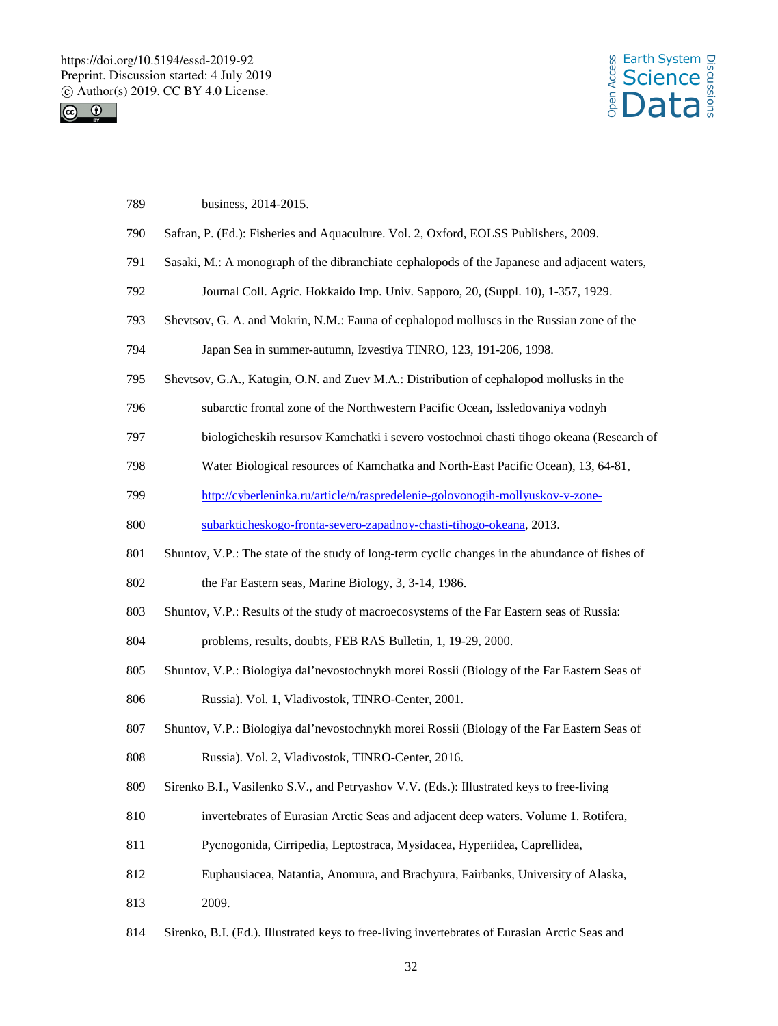



| 789 | business, 2014-2015.                                                                            |
|-----|-------------------------------------------------------------------------------------------------|
| 790 | Safran, P. (Ed.): Fisheries and Aquaculture. Vol. 2, Oxford, EOLSS Publishers, 2009.            |
| 791 | Sasaki, M.: A monograph of the dibranchiate cephalopods of the Japanese and adjacent waters,    |
| 792 | Journal Coll. Agric. Hokkaido Imp. Univ. Sapporo, 20, (Suppl. 10), 1-357, 1929.                 |
| 793 | Shevtsov, G. A. and Mokrin, N.M.: Fauna of cephalopod molluscs in the Russian zone of the       |
| 794 | Japan Sea in summer-autumn, Izvestiya TINRO, 123, 191-206, 1998.                                |
| 795 | Shevtsov, G.A., Katugin, O.N. and Zuev M.A.: Distribution of cephalopod mollusks in the         |
| 796 | subarctic frontal zone of the Northwestern Pacific Ocean, Issledovaniya vodnyh                  |
| 797 | biologicheskih resursov Kamchatki i severo vostochnoi chasti tihogo okeana (Research of         |
| 798 | Water Biological resources of Kamchatka and North-East Pacific Ocean), 13, 64-81,               |
| 799 | http://cyberleninka.ru/article/n/raspredelenie-golovonogih-mollyuskov-v-zone-                   |
| 800 | subarkticheskogo-fronta-severo-zapadnoy-chasti-tihogo-okeana, 2013.                             |
| 801 | Shuntov, V.P.: The state of the study of long-term cyclic changes in the abundance of fishes of |
| 802 | the Far Eastern seas, Marine Biology, 3, 3-14, 1986.                                            |
| 803 | Shuntov, V.P.: Results of the study of macroecosystems of the Far Eastern seas of Russia:       |
| 804 | problems, results, doubts, FEB RAS Bulletin, 1, 19-29, 2000.                                    |
| 805 | Shuntov, V.P.: Biologiya dal'nevostochnykh morei Rossii (Biology of the Far Eastern Seas of     |
| 806 | Russia). Vol. 1, Vladivostok, TINRO-Center, 2001.                                               |
| 807 | Shuntov, V.P.: Biologiya dal'nevostochnykh morei Rossii (Biology of the Far Eastern Seas of     |
| 808 | Russia). Vol. 2, Vladivostok, TINRO-Center, 2016.                                               |
| 809 | Sirenko B.I., Vasilenko S.V., and Petryashov V.V. (Eds.): Illustrated keys to free-living       |
| 810 | invertebrates of Eurasian Arctic Seas and adjacent deep waters. Volume 1. Rotifera,             |
| 811 | Pycnogonida, Cirripedia, Leptostraca, Mysidacea, Hyperiidea, Caprellidea,                       |
| 812 | Euphausiacea, Natantia, Anomura, and Brachyura, Fairbanks, University of Alaska,                |
| 813 | 2009.                                                                                           |
|     |                                                                                                 |

Sirenko, B.I. (Ed.). Illustrated keys to free-living invertebrates of Eurasian Arctic Seas and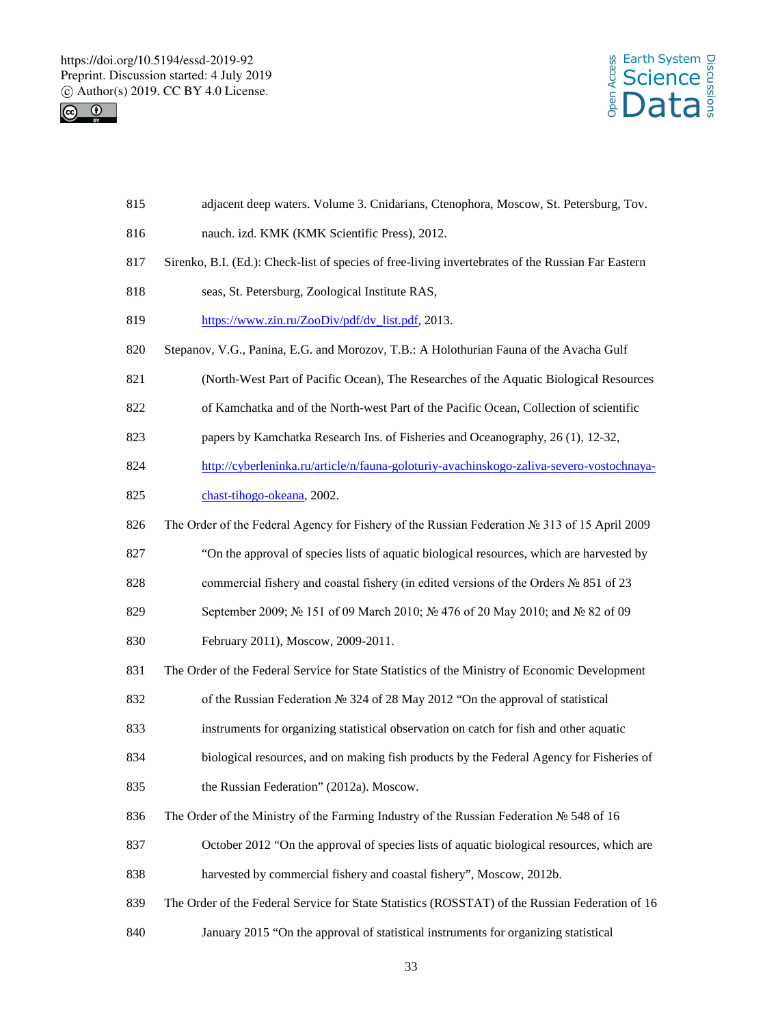



- adjacent deep waters. Volume 3. Cnidarians, Ctenophora, Moscow, St. Petersburg, Tov.
- nauch. izd. KMK (KMK Scientific Press), 2012.
- Sirenko, B.I. (Ed.): Check-list of species of free-living invertebrates of the Russian Far Eastern
- seas, St. Petersburg, Zoological Institute RAS,
- 819 https://www.zin.ru/ZooDiv/pdf/dv\_list.pdf, 2013.
- Stepanov, V.G., Panina, E.G. and Morozov, T.B.: A Holothurian Fauna of the Avacha Gulf
- (North-West Part of Pacific Ocean), The Researches of the Aquatic Biological Resources
- of Kamchatka and of the North-west Part of the Pacific Ocean, Collection of scientific
- papers by Kamchatka Research Ins. of Fisheries and Oceanography, 26 (1), 12-32,
- http://cyberleninka.ru/article/n/fauna-goloturiy-avachinskogo-zaliva-severo-vostochnaya-
- chast-tihogo-okeana, 2002.
- The Order of the Federal Agency for Fishery of the Russian Federation № 313 of 15 April 2009
- "On the approval of species lists of aquatic biological resources, which are harvested by
- 828 commercial fishery and coastal fishery (in edited versions of the Orders № 851 of 23
- 829 September 2009; № 151 of 09 March 2010; № 476 of 20 May 2010; and № 82 of 09
- February 2011), Moscow, 2009-2011.
- The Order of the Federal Service for State Statistics of the Ministry of Economic Development
- of the Russian Federation № 324 of 28 May 2012 "On the approval of statistical
- instruments for organizing statistical observation on catch for fish and other aquatic
- biological resources, and on making fish products by the Federal Agency for Fisheries of the Russian Federation" (2012a). Moscow.
- The Order of the Ministry of the Farming Industry of the Russian Federation № 548 of 16
- 837 October 2012 "On the approval of species lists of aquatic biological resources, which are
- harvested by commercial fishery and coastal fishery", Moscow, 2012b.
- The Order of the Federal Service for State Statistics (ROSSTAT) of the Russian Federation of 16
- January 2015 "On the approval of statistical instruments for organizing statistical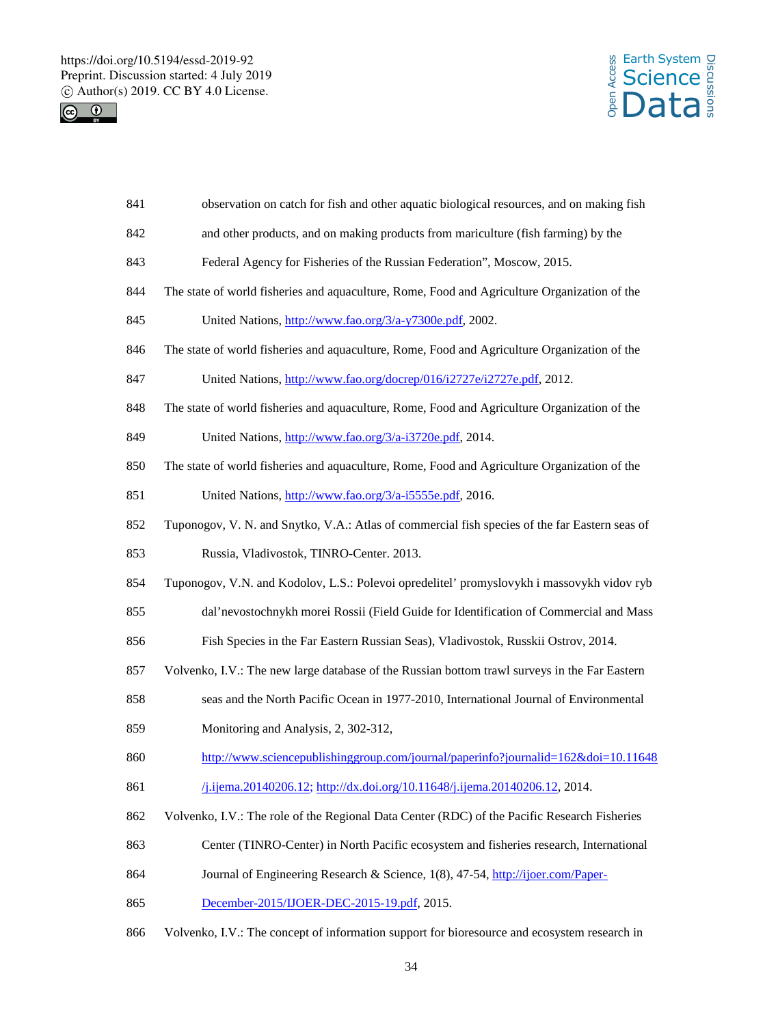



| 841 | observation on catch for fish and other aquatic biological resources, and on making fish       |
|-----|------------------------------------------------------------------------------------------------|
| 842 | and other products, and on making products from mariculture (fish farming) by the              |
| 843 | Federal Agency for Fisheries of the Russian Federation", Moscow, 2015.                         |
| 844 | The state of world fisheries and aquaculture, Rome, Food and Agriculture Organization of the   |
| 845 | United Nations, http://www.fao.org/3/a-y7300e.pdf, 2002.                                       |
| 846 | The state of world fisheries and aquaculture, Rome, Food and Agriculture Organization of the   |
| 847 | United Nations, http://www.fao.org/docrep/016/i2727e/i2727e.pdf, 2012.                         |
| 848 | The state of world fisheries and aquaculture, Rome, Food and Agriculture Organization of the   |
| 849 | United Nations, http://www.fao.org/3/a-i3720e.pdf, 2014.                                       |
| 850 | The state of world fisheries and aquaculture, Rome, Food and Agriculture Organization of the   |
| 851 | United Nations, http://www.fao.org/3/a-i5555e.pdf, 2016.                                       |
| 852 | Tuponogov, V. N. and Snytko, V.A.: Atlas of commercial fish species of the far Eastern seas of |
| 853 | Russia, Vladivostok, TINRO-Center. 2013.                                                       |
| 854 | Tuponogov, V.N. and Kodolov, L.S.: Polevoi opredelitel' promyslovykh i massovykh vidov ryb     |
| 855 | dal'nevostochnykh morei Rossii (Field Guide for Identification of Commercial and Mass          |
| 856 | Fish Species in the Far Eastern Russian Seas), Vladivostok, Russkii Ostrov, 2014.              |
| 857 | Volvenko, I.V.: The new large database of the Russian bottom trawl surveys in the Far Eastern  |
| 858 | seas and the North Pacific Ocean in 1977-2010, International Journal of Environmental          |
| 859 | Monitoring and Analysis, 2, 302-312,                                                           |
| 860 | http://www.sciencepublishinggroup.com/journal/paperinfo?journalid=162&doi=10.11648             |
| 861 | /j.ijema.20140206.12; http://dx.doi.org/10.11648/j.ijema.20140206.12, 2014.                    |
| 862 | Volvenko, I.V.: The role of the Regional Data Center (RDC) of the Pacific Research Fisheries   |
| 863 | Center (TINRO-Center) in North Pacific ecosystem and fisheries research, International         |
| 864 | Journal of Engineering Research & Science, 1(8), 47-54, http://ijoer.com/Paper-                |
| 865 | December-2015/IJOER-DEC-2015-19.pdf, 2015.                                                     |
| 866 | Volvenko, I.V.: The concept of information support for bioresource and ecosystem research in   |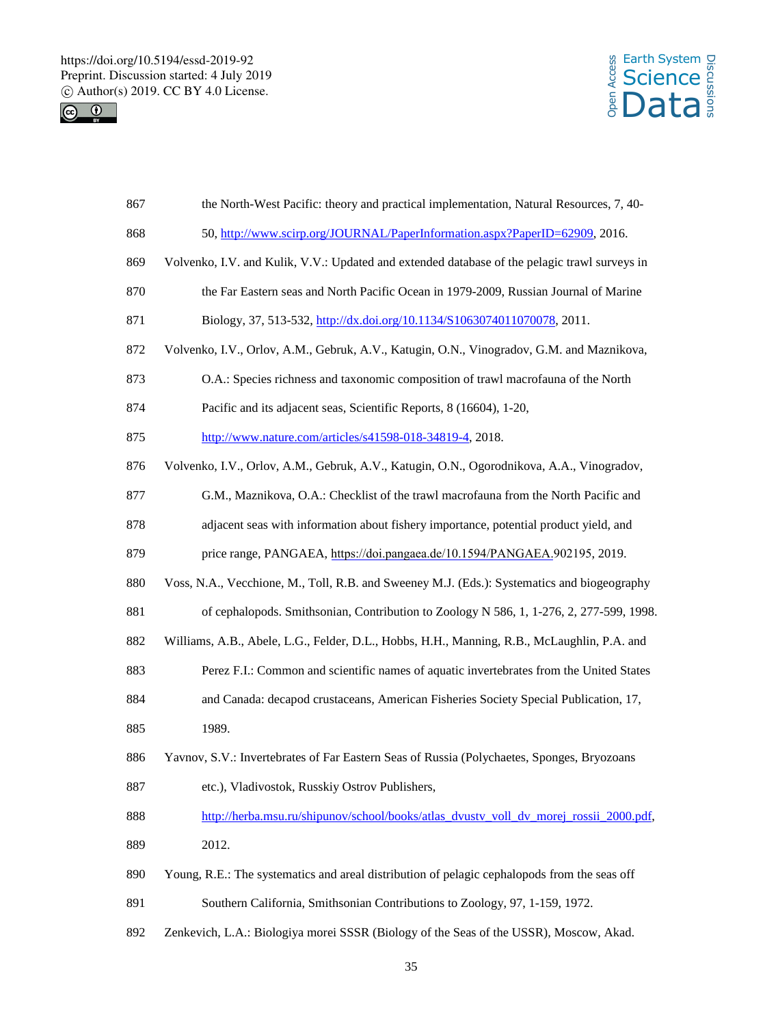



| 867 | the North-West Pacific: theory and practical implementation, Natural Resources, 7, 40-        |
|-----|-----------------------------------------------------------------------------------------------|
| 868 | 50, http://www.scirp.org/JOURNAL/PaperInformation.aspx?PaperID=62909, 2016.                   |
| 869 | Volvenko, I.V. and Kulik, V.V.: Updated and extended database of the pelagic trawl surveys in |
| 870 | the Far Eastern seas and North Pacific Ocean in 1979-2009, Russian Journal of Marine          |
| 871 | Biology, 37, 513-532, http://dx.doi.org/10.1134/S1063074011070078, 2011.                      |
| 872 | Volvenko, I.V., Orlov, A.M., Gebruk, A.V., Katugin, O.N., Vinogradov, G.M. and Maznikova,     |
| 873 | O.A.: Species richness and taxonomic composition of trawl macrofauna of the North             |
| 874 | Pacific and its adjacent seas, Scientific Reports, 8 (16604), 1-20,                           |
| 875 | http://www.nature.com/articles/s41598-018-34819-4, 2018.                                      |
| 876 | Volvenko, I.V., Orlov, A.M., Gebruk, A.V., Katugin, O.N., Ogorodnikova, A.A., Vinogradov,     |
| 877 | G.M., Maznikova, O.A.: Checklist of the trawl macrofauna from the North Pacific and           |
| 878 | adjacent seas with information about fishery importance, potential product yield, and         |
| 879 | price range, PANGAEA, https://doi.pangaea.de/10.1594/PANGAEA.902195, 2019.                    |
| 880 | Voss, N.A., Vecchione, M., Toll, R.B. and Sweeney M.J. (Eds.): Systematics and biogeography   |
| 881 | of cephalopods. Smithsonian, Contribution to Zoology N 586, 1, 1-276, 2, 277-599, 1998.       |
| 882 | Williams, A.B., Abele, L.G., Felder, D.L., Hobbs, H.H., Manning, R.B., McLaughlin, P.A. and   |
| 883 | Perez F.I.: Common and scientific names of aquatic invertebrates from the United States       |
| 884 | and Canada: decapod crustaceans, American Fisheries Society Special Publication, 17,          |
| 885 | 1989.                                                                                         |
| 886 | Yavnov, S.V.: Invertebrates of Far Eastern Seas of Russia (Polychaetes, Sponges, Bryozoans    |
| 887 | etc.), Vladivostok, Russkiy Ostrov Publishers,                                                |
| 888 | http://herba.msu.ru/shipunov/school/books/atlas_dvustv_voll_dv_morej_rossii_2000.pdf,         |
| 889 | 2012.                                                                                         |
| 890 | Young, R.E.: The systematics and areal distribution of pelagic cephalopods from the seas off  |
| 891 | Southern California, Smithsonian Contributions to Zoology, 97, 1-159, 1972.                   |
| 892 | Zenkevich, L.A.: Biologiya morei SSSR (Biology of the Seas of the USSR), Moscow, Akad.        |
|     |                                                                                               |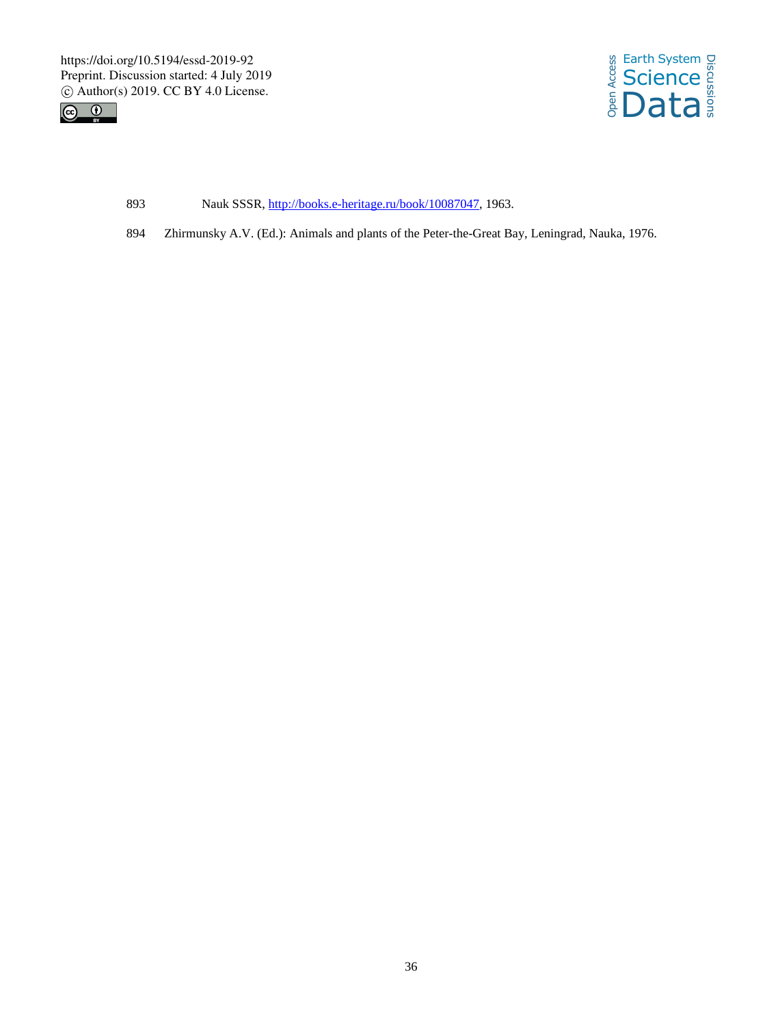



- 893 Nauk SSSR, http://books.e-heritage.ru/book/10087047, 1963.
- 894 Zhirmunsky A.V. (Ed.): Animals and plants of the Peter-the-Great Bay, Leningrad, Nauka, 1976.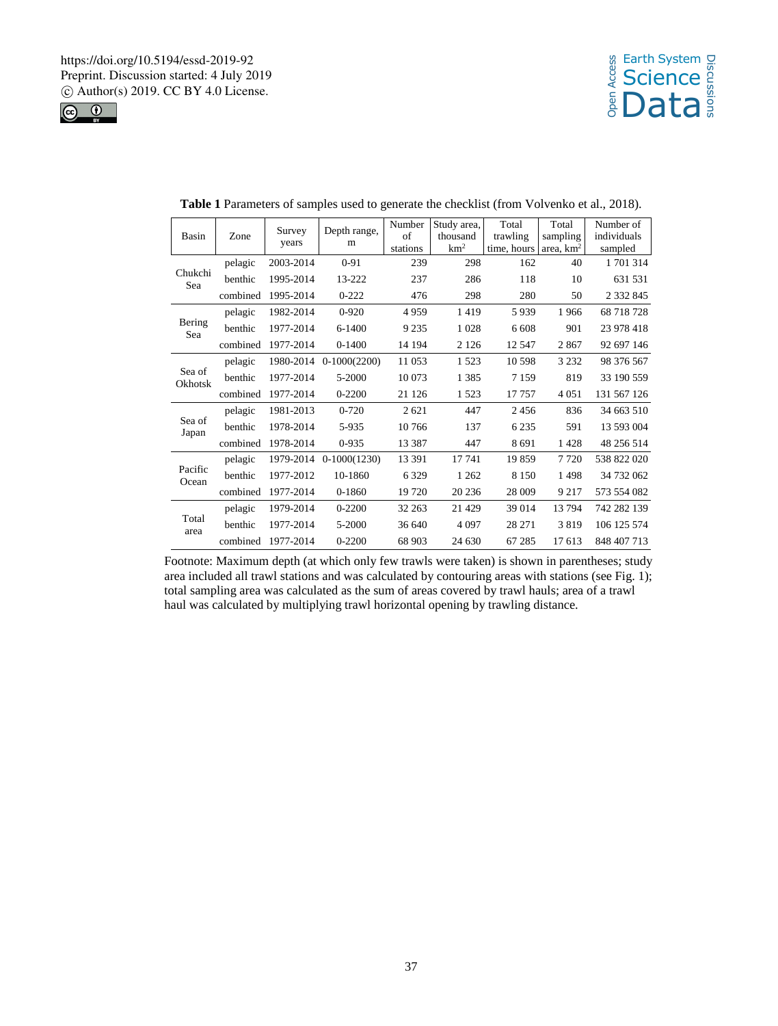



| <b>Basin</b>      | Zone     | Survey<br>years | Depth range,<br>m | Number<br>of<br>stations | Study area,<br>thousand<br>km <sup>2</sup> | Total<br>trawling<br>time, hours | Total<br>sampling<br>area, $km2$ | Number of<br>individuals<br>sampled |
|-------------------|----------|-----------------|-------------------|--------------------------|--------------------------------------------|----------------------------------|----------------------------------|-------------------------------------|
| Chukchi<br>Sea    | pelagic  | 2003-2014       | $0 - 91$          | 239                      | 298                                        | 162                              | 40                               | 1701314                             |
|                   | benthic  | 1995-2014       | 13-222            | 237                      | 286                                        | 118                              | 10                               | 631 531                             |
|                   | combined | 1995-2014       | $0 - 222$         | 476                      | 298                                        | 280                              | 50                               | 2 3 3 2 8 4 5                       |
|                   | pelagic  | 1982-2014       | $0 - 920$         | 4959                     | 1419                                       | 5939                             | 1966                             | 68 718 728                          |
| Bering<br>Sea     | benthic  | 1977-2014       | $6 - 1400$        | 9 2 3 5                  | 1 0 28                                     | 6 608                            | 901                              | 23 978 418                          |
|                   | combined | 1977-2014       | $0-1400$          | 14 194                   | 2 1 2 6                                    | 12 5 47                          | 2867                             | 92 697 146                          |
| Sea of<br>Okhotsk | pelagic  | 1980-2014       | $0-1000(2200)$    | 11 053                   | 1523                                       | 10 5 98                          | 3 2 3 2                          | 98 376 567                          |
|                   | benthic  | 1977-2014       | 5-2000            | 10 073                   | 1 3 8 5                                    | 7 1 5 9                          | 819                              | 33 190 559                          |
|                   | combined | 1977-2014       | $0 - 2200$        | 21 1 26                  | 1 5 2 3                                    | 17 757                           | 4 0 5 1                          | 131 567 126                         |
|                   | pelagic  | 1981-2013       | $0 - 720$         | 2 6 2 1                  | 447                                        | 2456                             | 836                              | 34 663 510                          |
| Sea of<br>Japan   | benthic  | 1978-2014       | 5-935             | 10766                    | 137                                        | 6 2 3 5                          | 591                              | 13 593 004                          |
|                   | combined | 1978-2014       | $0 - 935$         | 13 3 8 7                 | 447                                        | 8691                             | 1428                             | 48 256 514                          |
|                   | pelagic  | 1979-2014       | $0-1000(1230)$    | 13 391                   | 17 741                                     | 19859                            | 7 7 2 0                          | 538 822 020                         |
| Pacific<br>Ocean  | benthic  | 1977-2012       | 10-1860           | 6 3 2 9                  | 1 2 6 2                                    | 8 1 5 0                          | 1498                             | 34 732 062                          |
|                   | combined | 1977-2014       | $0 - 1860$        | 19 720                   | 20 23 6                                    | 28 009                           | 9 2 1 7                          | 573 554 082                         |
|                   | pelagic  | 1979-2014       | $0 - 2200$        | 32 263                   | 21 4 29                                    | 39 014                           | 13794                            | 742 282 139                         |
| Total<br>area     | benthic  | 1977-2014       | 5-2000            | 36 640                   | 4 0 9 7                                    | 28 271                           | 3819                             | 106 125 574                         |
|                   | combined | 1977-2014       | $0 - 2200$        | 68 903                   | 24 630                                     | 67 285                           | 17613                            | 848 407 713                         |

Footnote: Maximum depth (at which only few trawls were taken) is shown in parentheses; study area included all trawl stations and was calculated by contouring areas with stations (see Fig. 1); total sampling area was calculated as the sum of areas covered by trawl hauls; area of a trawl haul was calculated by multiplying trawl horizontal opening by trawling distance.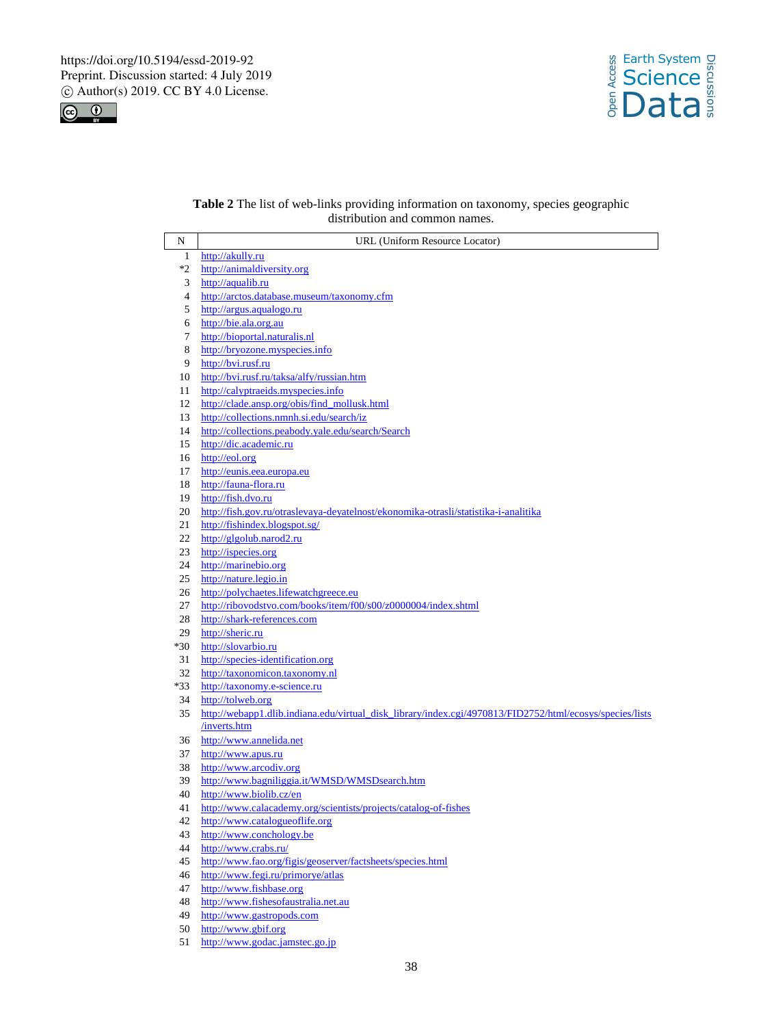



# **Table 2** The list of web-links providing information on taxonomy, species geographic distribution and common names.

| N            | URL (Uniform Resource Locator)                                                                           |
|--------------|----------------------------------------------------------------------------------------------------------|
| $\mathbf{1}$ | http://akully.ru                                                                                         |
| *2           | http://animaldiversity.org                                                                               |
| 3            | http://aqualib.ru                                                                                        |
| 4            | http://arctos.database.museum/taxonomy.cfm                                                               |
| 5            | http://argus.aqualogo.ru                                                                                 |
| 6            | http://bie.ala.org.au                                                                                    |
| 7            | http://bioportal.naturalis.nl                                                                            |
| 8            | http://bryozone.myspecies.info                                                                           |
| 9            | http://bvi.rusf.ru                                                                                       |
| 10           | http://bvi.rusf.ru/taksa/alfy/russian.htm                                                                |
| 11           | http://calyptraeids.myspecies.info                                                                       |
| 12           | http://clade.ansp.org/obis/find mollusk.html                                                             |
| 13           | http://collections.nmnh.si.edu/search/iz                                                                 |
| 14           | http://collections.peabody.yale.edu/search/Search                                                        |
| 15           | http://dic.academic.ru                                                                                   |
| 16           | http://eol.org                                                                                           |
| 17           | http://eunis.eea.europa.eu                                                                               |
| 18           | http://fauna-flora.ru                                                                                    |
| 19           | http://fish.dvo.ru                                                                                       |
| 20           | http://fish.gov.ru/otraslevaya-deyatelnost/ekonomika-otrasli/statistika-i-analitika                      |
| 21           | http://fishindex.blogspot.sg/                                                                            |
| 22           | http://glgolub.narod2.ru                                                                                 |
| 23           | http://ispecies.org                                                                                      |
| 24           | http://marinebio.org                                                                                     |
| 25           | http://nature.legio.in                                                                                   |
| 26           | http://polychaetes.lifewatchgreece.eu                                                                    |
| 27           | http://ribovodstvo.com/books/item/f00/s00/z0000004/index.shtml                                           |
| 28           | http://shark-references.com                                                                              |
| 29           | http://sheric.ru                                                                                         |
| *30          | http://slovarbio.ru                                                                                      |
| 31           | http://species-identification.org                                                                        |
| 32           | http://taxonomicon.taxonomy.nl                                                                           |
| $*33$        | http://taxonomy.e-science.ru                                                                             |
| 34           | http://tolweb.org                                                                                        |
| 35           | http://webapp1.dlib.indiana.edu/virtual disk library/index.cgi/4970813/FID2752/html/ecosys/species/lists |
|              | inverts.htm                                                                                              |
| 36           | http://www.annelida.net                                                                                  |
| 37           | http://www.apus.ru                                                                                       |
| 38           | http://www.arcodiv.org                                                                                   |
| 39           | http://www.bagniliggia.it/WMSD/WMSDsearch.htm                                                            |
| 40           | http://www.biolib.cz/en                                                                                  |
| 41           | http://www.calacademy.org/scientists/projects/catalog-of-fishes                                          |
| 42           | http://www.catalogueoflife.org                                                                           |
| 43           | http://www.conchology.be                                                                                 |
| 44           | http://www.crabs.ru/                                                                                     |
| 45           | http://www.fao.org/figis/geoserver/factsheets/species.html                                               |
| 46           | http://www.fegi.ru/primorye/atlas                                                                        |
| 47           | http://www.fishbase.org                                                                                  |
| 48           | http://www.fishesofaustralia.net.au                                                                      |
| 49           | http://www.gastropods.com                                                                                |
| 50           | http://www.gbif.org                                                                                      |

51 http://www.godac.jamstec.go.jp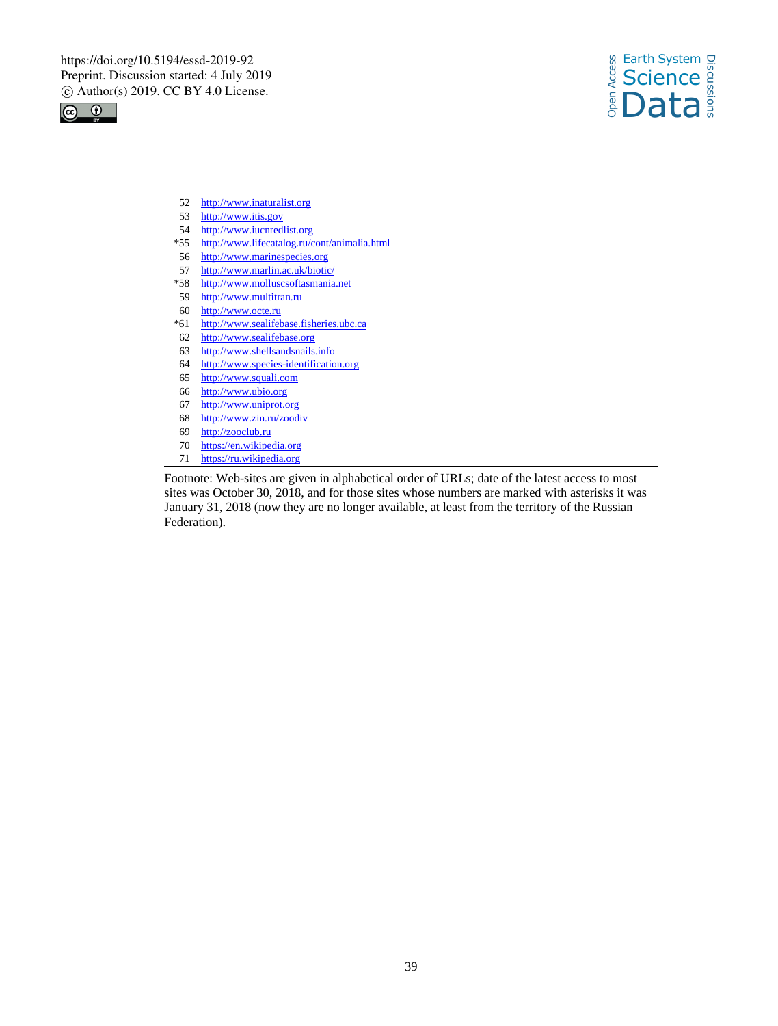



- 52 http://www.inaturalist.org
- 53 http://www.itis.gov
- 54 http://www.iucnredlist.org
- \*55 http://www.lifecatalog.ru/cont/animalia.html
- 56 http://www.marinespecies.org
- 57 http://www.marlin.ac.uk/biotic/
- \*58 http://www.molluscsoftasmania.net
- 59 http://www.multitran.ru
- 60 http://www.octe.ru
- \*61 http://www.sealifebase.fisheries.ubc.ca
- 62 http://www.sealifebase.org
- 63 http://www.shellsandsnails.info
- 64 http://www.species-identification.org
- 65 http://www.squali.com
- 66 http://www.ubio.org
- 67 http://www.uniprot.org
- 68 http://www.zin.ru/zoodiv
- 69 http://zooclub.ru<br>70 https://en.wikipe
- https://en.wikipedia.org
- 71 https://ru.wikipedia.org

Footnote: Web-sites are given in alphabetical order of URLs; date of the latest access to most sites was October 30, 2018, and for those sites whose numbers are marked with asterisks it was January 31, 2018 (now they are no longer available, at least from the territory of the Russian Federation).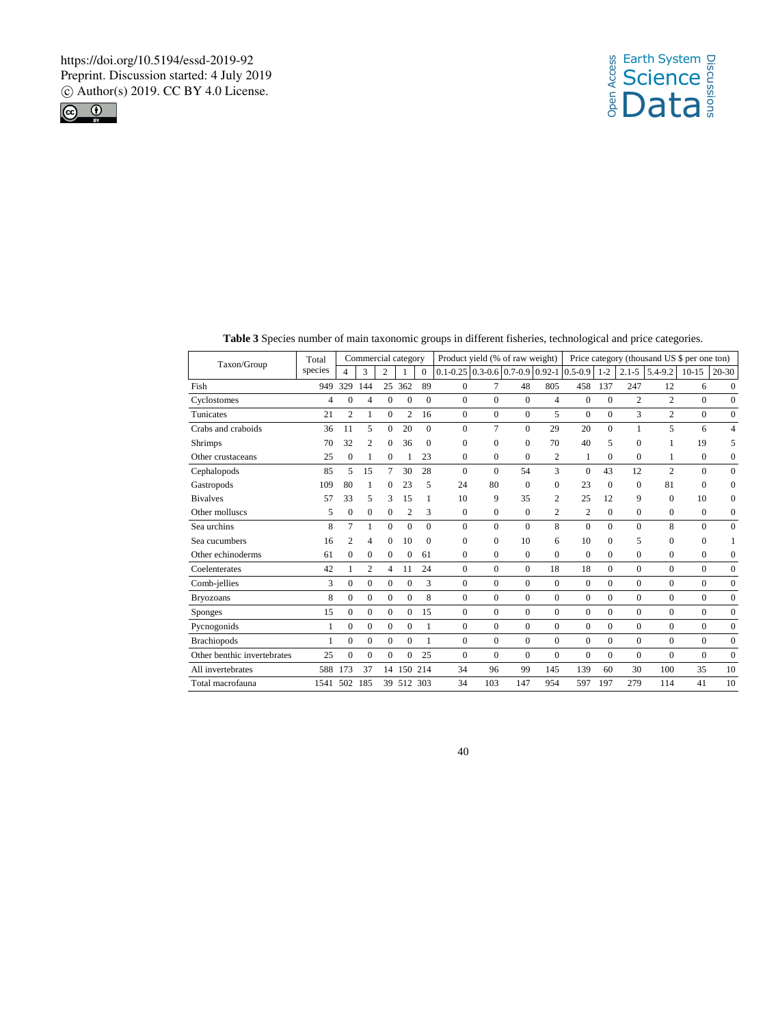



**Table 3** Species number of main taxonomic groups in different fisheries, technological and price categories.

| Taxon/Group                 | Total   |                  | Commercial category |                |                |              | Product yield (% of raw weight)             |                |                  |                  |                |              |                | Price category (thousand US \$ per one ton) |              |                  |
|-----------------------------|---------|------------------|---------------------|----------------|----------------|--------------|---------------------------------------------|----------------|------------------|------------------|----------------|--------------|----------------|---------------------------------------------|--------------|------------------|
|                             | species | Δ                | 3                   | $\overline{c}$ |                | $\Omega$     | $0.1 - 0.25$ 0.3-0.6 0.7-0.9 0.92-1 0.5-0.9 |                |                  |                  |                | $1 - 2$      | $2.1 - 5$      | $5.4 - 9.2$                                 | $10-15$      | $20 - 30$        |
| Fish                        | 949     | 329              | 144                 | 25             | 362            | 89           | $\mathbf{0}$                                | 7              | 48               | 805              | 458            | 137          | 247            | 12                                          | 6            | $\mathbf{0}$     |
| Cyclostomes                 | 4       | $\mathbf{0}$     | 4                   | $\mathbf{0}$   | $\mathbf{0}$   | $\mathbf{0}$ | $\mathbf{0}$                                | $\mathbf{0}$   | $\mathbf{0}$     | $\overline{4}$   | $\mathbf{0}$   | $\Omega$     | $\overline{c}$ | 2                                           | $\mathbf{0}$ | $\mathbf{0}$     |
| Tunicates                   | 21      | $\overline{c}$   | 1                   | $\mathbf{0}$   | $\overline{c}$ | 16           | $\mathbf{0}$                                | $\mathbf{0}$   | $\mathbf{0}$     | 5                | $\mathbf{0}$   | $\mathbf{0}$ | 3              | $\overline{c}$                              | $\mathbf{0}$ | $\boldsymbol{0}$ |
| Crabs and craboids          | 36      | 11               | 5                   | $\mathbf{0}$   | 20             | $\Omega$     | $\Omega$                                    | $\overline{7}$ | $\mathbf{0}$     | 29               | 20             | $\Omega$     | 1              | 5                                           | 6            | $\overline{4}$   |
| <b>Shrimps</b>              | 70      | 32               | $\overline{c}$      | $\mathbf{0}$   | 36             | $\Omega$     | $\Omega$                                    | $\mathbf{0}$   | $\mathbf{0}$     | 70               | 40             | 5            | $\Omega$       |                                             | 19           | 5                |
| Other crustaceans           | 25      | $\mathbf{0}$     |                     | $\mathbf{0}$   |                | 23           | 0                                           | $\mathbf{0}$   | $\mathbf{0}$     | $\overline{2}$   | 1              | $\Omega$     | $\Omega$       | 1                                           | $\mathbf{0}$ | 0                |
| Cephalopods                 | 85      | 5                | 15                  | 7              | 30             | 28           | $\Omega$                                    | $\Omega$       | 54               | 3                | $\Omega$       | 43           | 12             | $\overline{c}$                              | $\mathbf{0}$ | $\mathbf{0}$     |
| Gastropods                  | 109     | 80               |                     | $\Omega$       | 23             | 5            | 24                                          | 80             | $\mathbf{0}$     | $\Omega$         | 23             | $\Omega$     | $\Omega$       | 81                                          | $\Omega$     | $\mathbf{0}$     |
| <b>Bivalves</b>             | 57      | 33               | 5                   | 3              | 15             |              | 10                                          | 9              | 35               | $\overline{c}$   | 25             | 12           | 9              | $\mathbf{0}$                                | 10           | 0                |
| Other molluses              | 5       | $\mathbf{0}$     | $\Omega$            | $\Omega$       | $\overline{2}$ | 3            | $\Omega$                                    | $\mathbf{0}$   | $\mathbf{0}$     | $\overline{2}$   | $\mathfrak{2}$ | $\Omega$     | $\Omega$       | $\mathbf{0}$                                | $\Omega$     | $\boldsymbol{0}$ |
| Sea urchins                 | 8       | $\overline{7}$   | 1                   | $\Omega$       | $\mathbf{0}$   | $\Omega$     | $\theta$                                    | $\Omega$       | $\Omega$         | 8                | $\theta$       | $\Omega$     | $\Omega$       | 8                                           | $\Omega$     | $\mathbf{0}$     |
| Sea cucumbers               | 16      | 2                | 4                   | $\Omega$       | 10             | $\Omega$     | $\Omega$                                    | $\Omega$       | 10               | 6                | 10             | $\Omega$     | 5              | $\mathbf{0}$                                | $\mathbf{0}$ | 1                |
| Other echinoderms           | 61      | $\mathbf{0}$     | $\mathbf{0}$        | $\Omega$       | $\mathbf{0}$   | 61           | $\theta$                                    | $\mathbf{0}$   | $\mathbf{0}$     | $\mathbf{0}$     | $\mathbf{0}$   | $\Omega$     | $\Omega$       | $\mathbf{0}$                                | $\mathbf{0}$ | $\overline{0}$   |
| Coelenterates               | 42      | 1                | 2                   | 4              | 11             | 24           | $\mathbf{0}$                                | $\mathbf{0}$   | $\mathbf{0}$     | 18               | 18             | $\Omega$     | $\Omega$       | $\mathbf{0}$                                | $\mathbf{0}$ | $\mathbf{0}$     |
| Comb-jellies                | 3       | $\mathbf{0}$     | $\mathbf{0}$        | $\mathbf{0}$   | $\mathbf{0}$   | 3            | $\mathbf{0}$                                | $\mathbf{0}$   | $\mathbf{0}$     | $\mathbf{0}$     | $\mathbf{0}$   | $\Omega$     | $\Omega$       | $\mathbf{0}$                                | $\mathbf{0}$ | $\mathbf{0}$     |
| <b>Bryozoans</b>            | 8       | $\mathbf{0}$     | $\mathbf{0}$        | $\mathbf{0}$   | $\overline{0}$ | 8            | $\overline{0}$                              | $\mathbf{0}$   | $\mathbf{0}$     | $\overline{0}$   | $\mathbf{0}$   | $\Omega$     | $\overline{0}$ | $\overline{0}$                              | $\mathbf{0}$ | $\boldsymbol{0}$ |
| <b>Sponges</b>              | 15      | $\Omega$         | $\Omega$            | $\Omega$       | $\Omega$       | 15           | $\Omega$                                    | $\mathbf{0}$   | $\boldsymbol{0}$ | $\boldsymbol{0}$ | $\mathbf{0}$   | $\Omega$     | $\Omega$       | $\overline{0}$                              | $\mathbf{0}$ | $\mathbf{0}$     |
| Pycnogonids                 | 1       | $\mathbf{0}$     | $\Omega$            | $\Omega$       | $\mathbf{0}$   | 1            | $\Omega$                                    | $\mathbf{0}$   | $\mathbf{0}$     | $\overline{0}$   | $\mathbf{0}$   | $\Omega$     | $\Omega$       | $\mathbf{0}$                                | $\mathbf{0}$ | $\boldsymbol{0}$ |
| <b>Brachiopods</b>          | 1       | $\boldsymbol{0}$ | $\Omega$            | $\Omega$       | $\mathbf{0}$   | 1            | $\mathbf{0}$                                | $\mathbf{0}$   | $\boldsymbol{0}$ | $\boldsymbol{0}$ | $\mathbf{0}$   | $\Omega$     | $\Omega$       | $\mathbf{0}$                                | $\mathbf{0}$ | $\boldsymbol{0}$ |
| Other benthic invertebrates | 25      | $\Omega$         | $\Omega$            | $\Omega$       | $\mathbf{0}$   | 25           | $\Omega$                                    | $\mathbf{0}$   | $\mathbf{0}$     | $\mathbf{0}$     | $\mathbf{0}$   | $\Omega$     | $\Omega$       | $\Omega$                                    | $\mathbf{0}$ | $\mathbf{0}$     |
| All invertebrates           | 588     | 173              | 37                  |                | 14 150         | 214          | 34                                          | 96             | 99               | 145              | 139            | 60           | 30             | 100                                         | 35           | 10               |
| Total macrofauna            | 1541    | 502              | 185                 |                | 39 512         | 303          | 34                                          | 103            | 147              | 954              | 597            | 197          | 279            | 114                                         | 41           | 10               |
|                             |         |                  |                     |                |                |              |                                             |                |                  |                  |                |              |                |                                             |              |                  |

40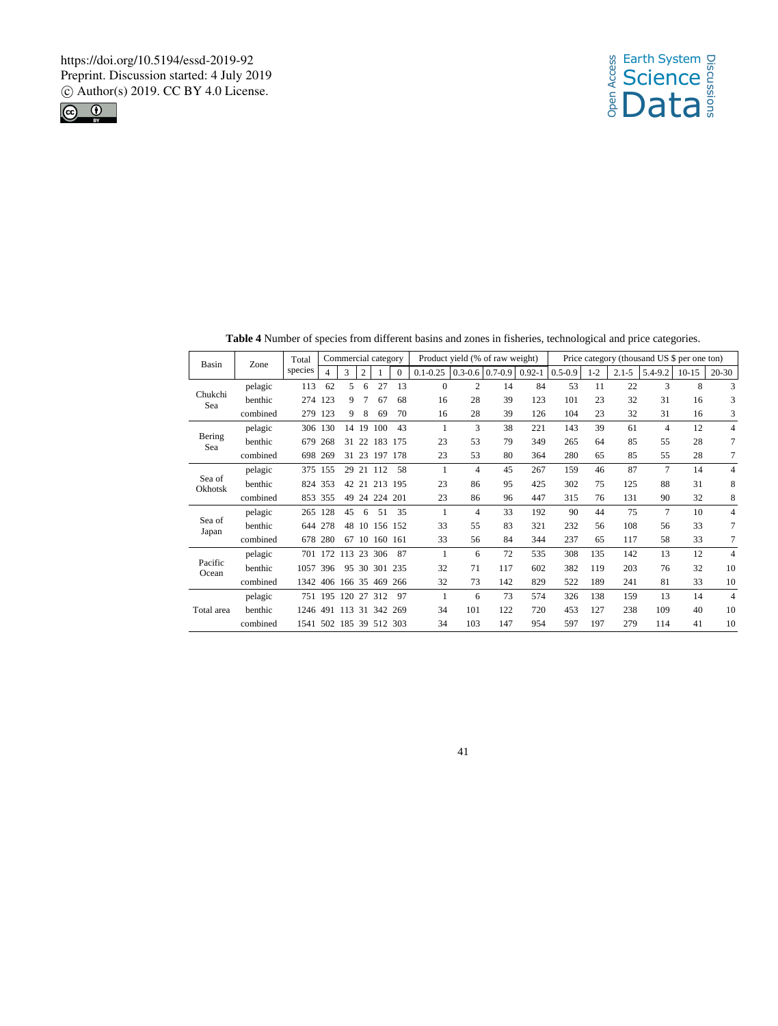



| Basin             | Zone     | Total                   | Commercial category |     |    |         |          | Product yield (% of raw weight) | Price category (thousand US \$ per one ton) |                     |            |             |       |           |                |         |                |
|-------------------|----------|-------------------------|---------------------|-----|----|---------|----------|---------------------------------|---------------------------------------------|---------------------|------------|-------------|-------|-----------|----------------|---------|----------------|
|                   |          | species                 | 4                   | 3   | 2  |         | $\Omega$ | $0.1 - 0.25$                    |                                             | $0.3 - 0.6$ 0.7-0.9 | $0.92 - 1$ | $0.5 - 0.9$ | $1-2$ | $2.1 - 5$ | 5.4-9.2        | $10-15$ | $20 - 30$      |
| Chukchi<br>Sea    | pelagic  | 113                     | 62                  | 5   | 6  | 27      | 13       | $\mathbf{0}$                    | $\overline{c}$                              | 14                  | 84         | 53          | 11    | 22        | 3              | 8       | 3              |
|                   | benthic  | 274                     | 123                 | 9   |    | 67      | 68       | 16                              | 28                                          | 39                  | 123        | 101         | 23    | 32        | 31             | 16      | 3              |
|                   | combined | 279                     | 123                 | 9   | 8  | 69      | 70       | 16                              | 28                                          | 39                  | 126        | 104         | 23    | 32        | 31             | 16      | 3              |
|                   | pelagic  | 306                     | 130                 | 14  | 19 | 100     | 43       | 1                               | 3                                           | 38                  | 221        | 143         | 39    | 61        | $\overline{4}$ | 12      | $\overline{4}$ |
| Bering<br>Sea     | benthic  | 679                     | 268                 | 31  | 22 | 183     | 175      | 23                              | 53                                          | 79                  | 349        | 265         | 64    | 85        | 55             | 28      | 7              |
|                   | combined | 698                     | 269                 | 31  | 23 | 197     | 178      | 23                              | 53                                          | 80                  | 364        | 280         | 65    | 85        | 55             | 28      | 7              |
|                   | pelagic  | 375                     | 155                 | 29  |    | 21 112  | 58       | $\mathbf{1}$                    | $\overline{4}$                              | 45                  | 267        | 159         | 46    | 87        | 7              | 14      | $\overline{4}$ |
| Sea of<br>Okhotsk | benthic  | 824                     | 353                 | 42  | 21 | 213     | 195      | 23                              | 86                                          | 95                  | 425        | 302         | 75    | 125       | 88             | 31      | 8              |
|                   | combined | 853 355                 |                     | 49  | 24 | 224     | 201      | 23                              | 86                                          | 96                  | 447        | 315         | 76    | 131       | 90             | 32      | 8              |
|                   | pelagic  | 265                     | 128                 | 45  | 6  | 51      | 35       | 1                               | $\overline{4}$                              | 33                  | 192        | 90          | 44    | 75        | 7              | 10      | $\overline{4}$ |
| Sea of<br>Japan   | benthic  | 644                     | 278                 | 48  | 10 | 156 152 |          | 33                              | 55                                          | 83                  | 321        | 232         | 56    | 108       | 56             | 33      | $\overline{7}$ |
|                   | combined | 678                     | 280                 | 67  | 10 | 160 161 |          | 33                              | 56                                          | 84                  | 344        | 237         | 65    | 117       | 58             | 33      | 7              |
|                   | pelagic  | 701                     | 172                 | 113 | 23 | 306     | 87       | 1                               | 6                                           | 72                  | 535        | 308         | 135   | 142       | 13             | 12      | $\overline{4}$ |
| Pacific<br>Ocean  | benthic  | 1057                    | 396                 | 95  | 30 | 301     | 235      | 32                              | 71                                          | 117                 | 602        | 382         | 119   | 203       | 76             | 32      | 10             |
|                   | combined | 1342 406 166 35 469     |                     |     |    |         | 266      | 32                              | 73                                          | 142                 | 829        | 522         | 189   | 241       | 81             | 33      | 10             |
|                   | pelagic  | 751 195                 |                     | 120 | 27 | 312     | 97       | 1                               | 6                                           | 73                  | 574        | 326         | 138   | 159       | 13             | 14      | $\overline{4}$ |
| Total area        | benthic  | 1246                    | 491                 | 113 | 31 | 342     | 269      | 34                              | 101                                         | 122                 | 720        | 453         | 127   | 238       | 109            | 40      | 10             |
|                   | combined | 1541 502 185 39 512 303 |                     |     |    |         |          | 34                              | 103                                         | 147                 | 954        | 597         | 197   | 279       | 114            | 41      | 10             |

**Table 4** Number of species from different basins and zones in fisheries, technological and price categories.

41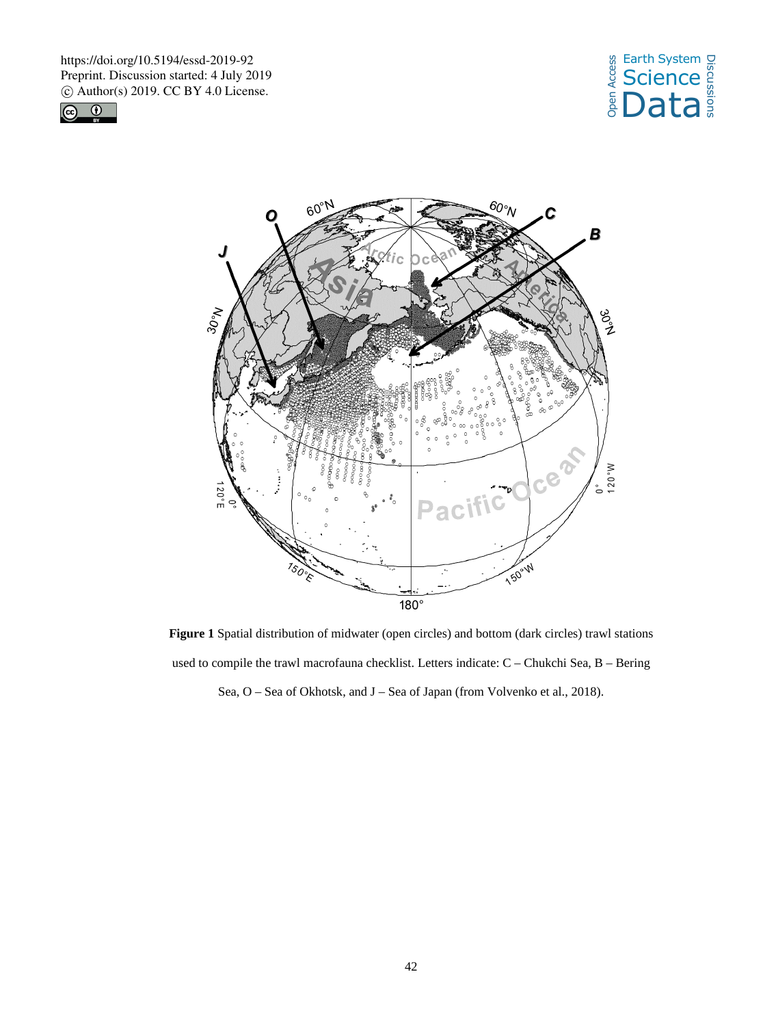





**Figure 1** Spatial distribution of midwater (open circles) and bottom (dark circles) trawl stations used to compile the trawl macrofauna checklist. Letters indicate: C – Chukchi Sea, B – Bering Sea, O – Sea of Okhotsk, and J – Sea of Japan (from Volvenko et al., 2018).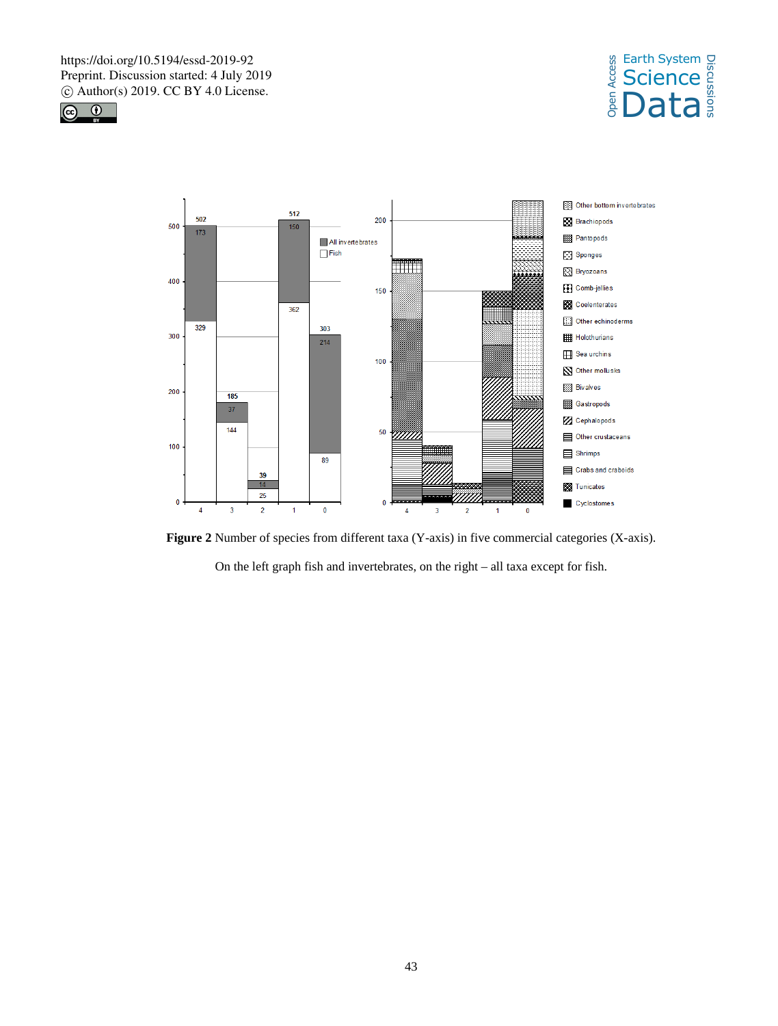





**Figure 2** Number of species from different taxa (Y-axis) in five commercial categories (X-axis). On the left graph fish and invertebrates, on the right – all taxa except for fish.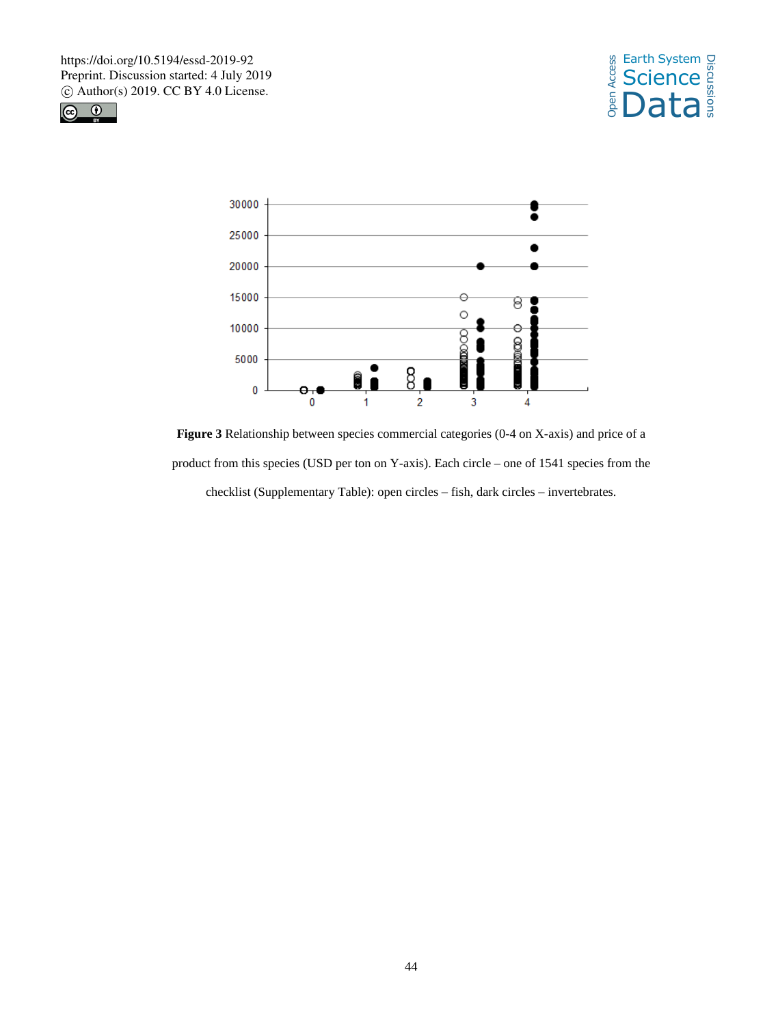





**Figure 3** Relationship between species commercial categories (0-4 on X-axis) and price of a product from this species (USD per ton on Y-axis). Each circle – one of 1541 species from the checklist (Supplementary Table): open circles – fish, dark circles – invertebrates.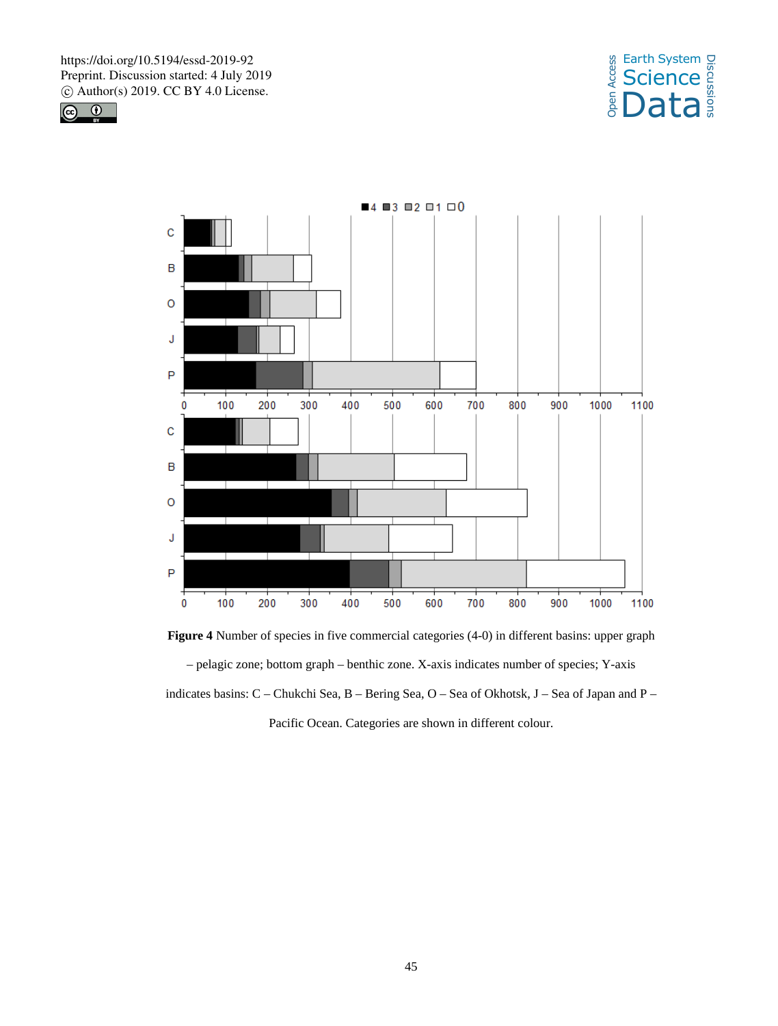





**Figure 4** Number of species in five commercial categories (4-0) in different basins: upper graph – pelagic zone; bottom graph – benthic zone. X-axis indicates number of species; Y-axis indicates basins: C – Chukchi Sea, B – Bering Sea, O – Sea of Okhotsk, J – Sea of Japan and P – Pacific Ocean. Categories are shown in different colour.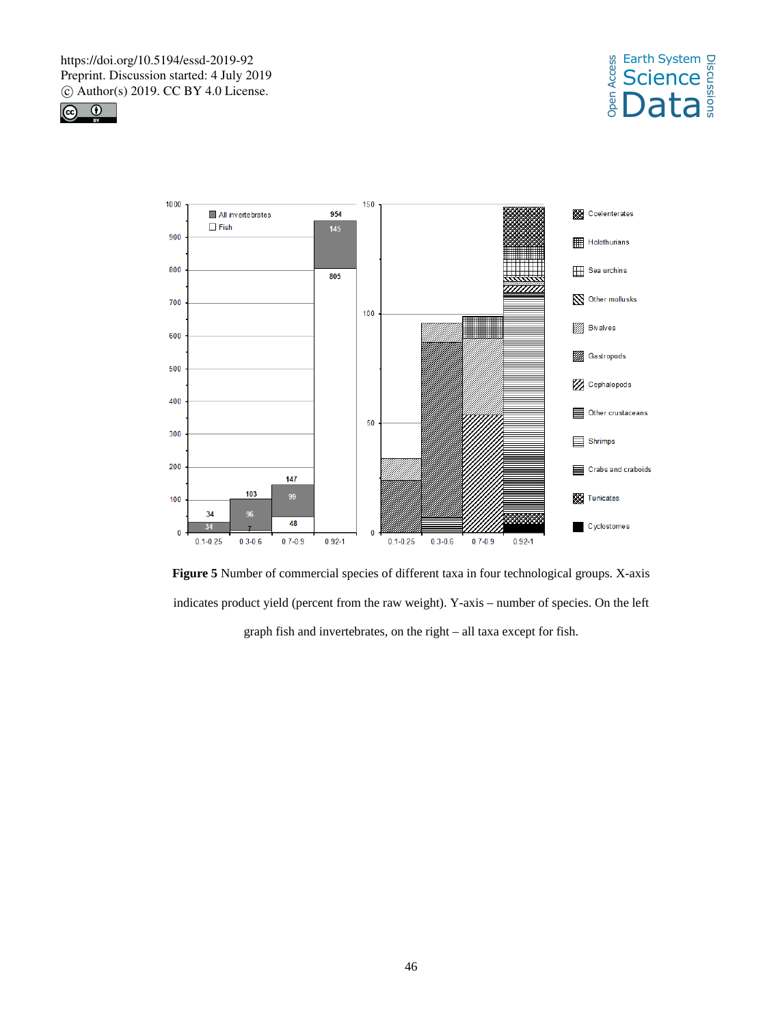





**Figure 5** Number of commercial species of different taxa in four technological groups. X-axis indicates product yield (percent from the raw weight). Y-axis – number of species. On the left graph fish and invertebrates, on the right – all taxa except for fish.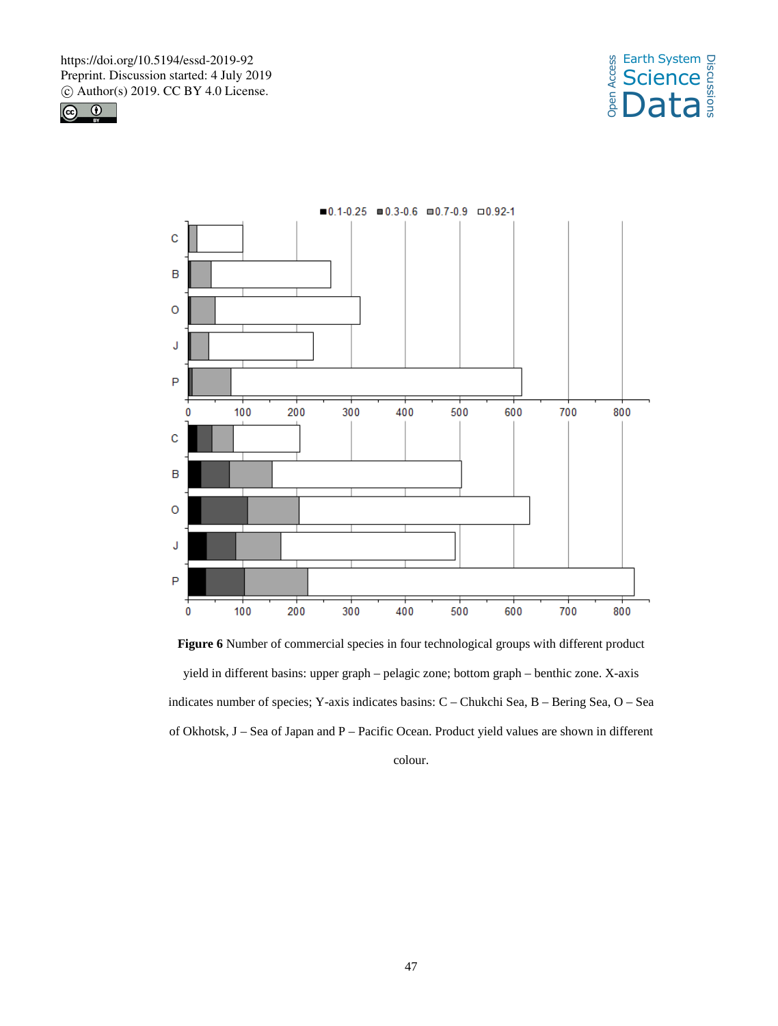





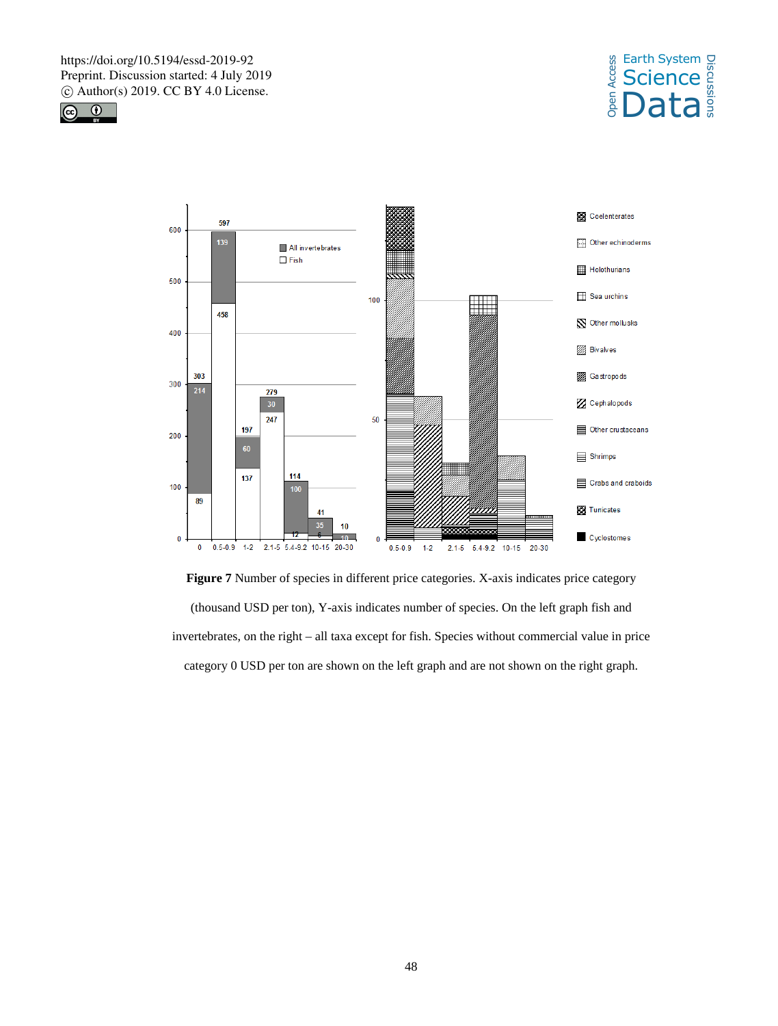





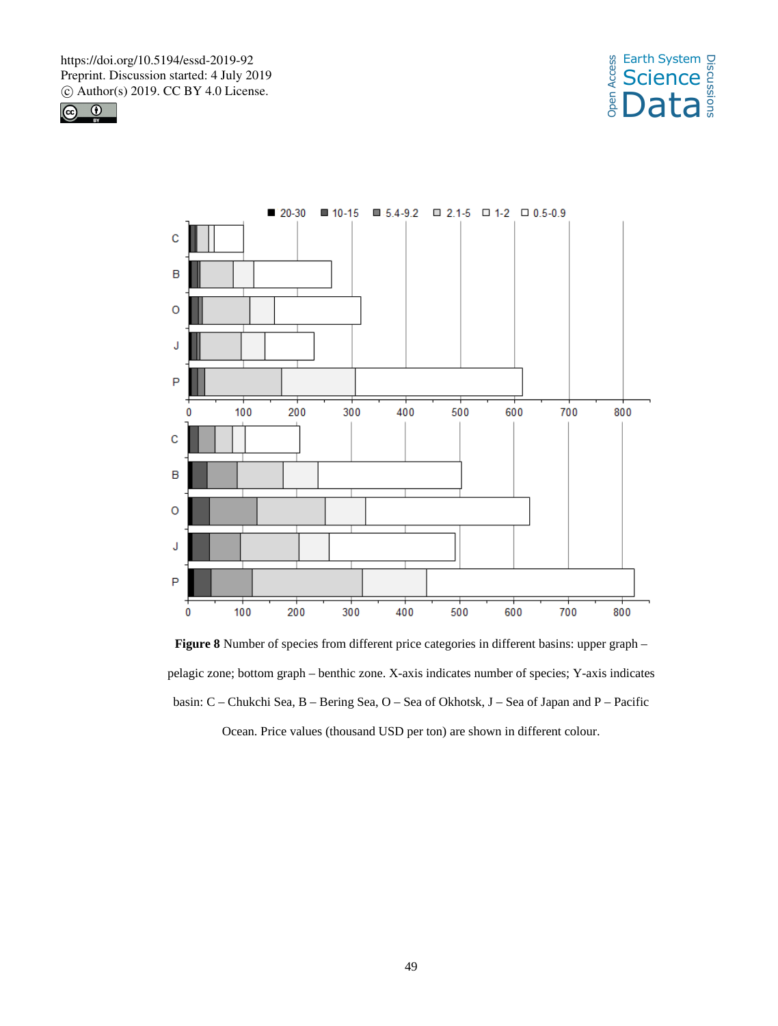